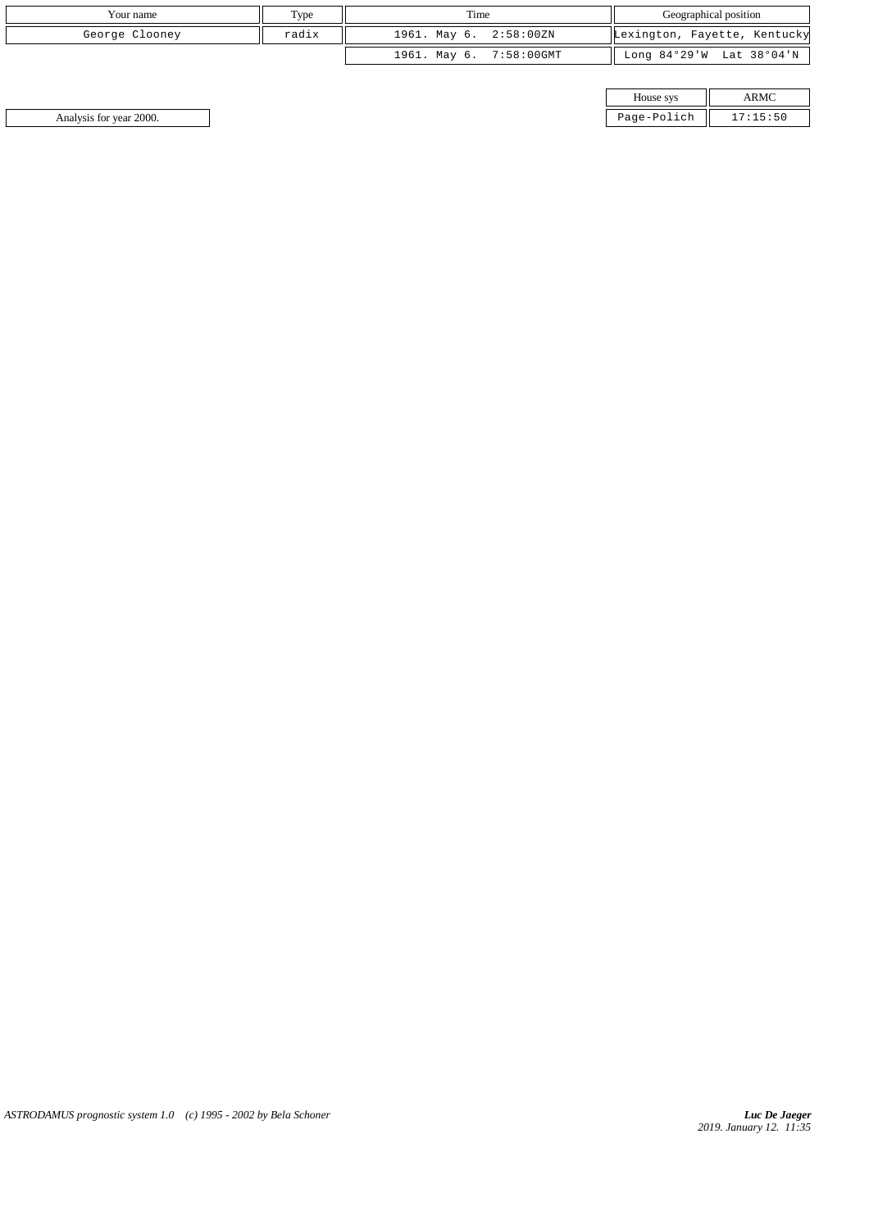| Your name      | Type  | Time                    | Geographical position        |
|----------------|-------|-------------------------|------------------------------|
| George Clooney | radix | 1961. May 6. 2:58:00ZN  | Lexington, Fayette, Kentucky |
|                |       | 1961. May 6. 7:58:00GMT | Long 84°29'W Lat 38°04'N     |

| House sys   |  |
|-------------|--|
|             |  |
| Page-Polich |  |

Analysis for year 2000. Page-Polich 17: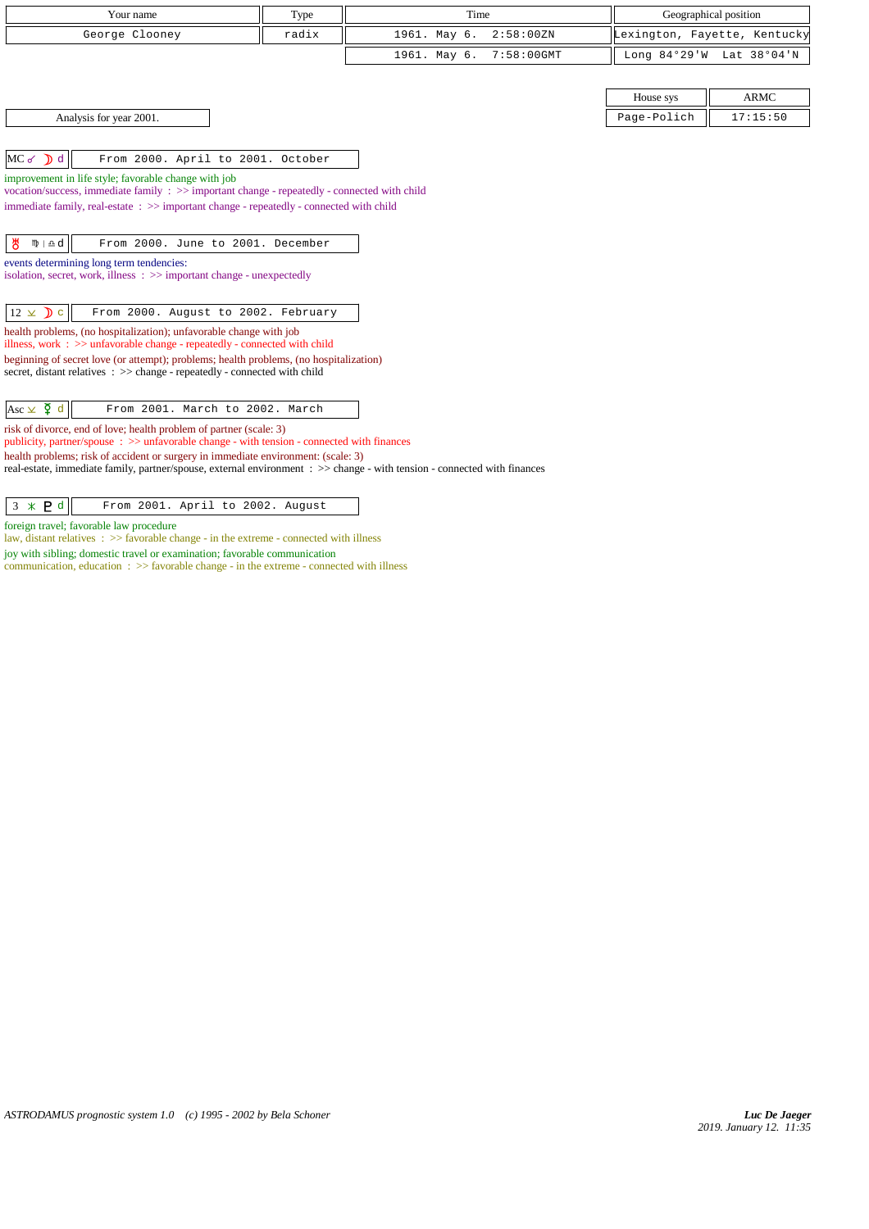| Your name                                                                                                                                                       | Type  | Time                          | Geographical position |                              |
|-----------------------------------------------------------------------------------------------------------------------------------------------------------------|-------|-------------------------------|-----------------------|------------------------------|
|                                                                                                                                                                 |       |                               |                       |                              |
| George Clooney                                                                                                                                                  | radix | 1961. May 6.<br>2:58:00 ZN    |                       | Lexington, Fayette, Kentucky |
|                                                                                                                                                                 |       | 1961. May 6.<br>$7:58:00$ GMT |                       | Long 84°29'W Lat 38°04'N     |
|                                                                                                                                                                 |       |                               |                       |                              |
|                                                                                                                                                                 |       |                               | House sys             | <b>ARMC</b>                  |
| Analysis for year 2001.                                                                                                                                         |       |                               | Page-Polich           | 17:15:50                     |
|                                                                                                                                                                 |       |                               |                       |                              |
| $MC \, \delta$ d<br>From 2000. April to 2001. October                                                                                                           |       |                               |                       |                              |
| improvement in life style; favorable change with job                                                                                                            |       |                               |                       |                              |
| vocation/success, immediate family : >> important change - repeatedly - connected with child                                                                    |       |                               |                       |                              |
| immediate family, real-estate : >> important change - repeatedly - connected with child                                                                         |       |                               |                       |                              |
|                                                                                                                                                                 |       |                               |                       |                              |
| ზ<br>$m \nightharpoonup d$<br>From 2000. June to 2001. December                                                                                                 |       |                               |                       |                              |
| events determining long term tendencies:                                                                                                                        |       |                               |                       |                              |
| isolation, secret, work, illness : >> important change - unexpectedly                                                                                           |       |                               |                       |                              |
|                                                                                                                                                                 |       |                               |                       |                              |
| $12 \times D$ c<br>From 2000. August to 2002. February                                                                                                          |       |                               |                       |                              |
| health problems, (no hospitalization); unfavorable change with job<br>illness, work $\Rightarrow$ >> unfavorable change - repeatedly - connected with child     |       |                               |                       |                              |
| beginning of secret love (or attempt); problems; health problems, (no hospitalization)                                                                          |       |                               |                       |                              |
| secret, distant relatives : >> change - repeatedly - connected with child                                                                                       |       |                               |                       |                              |
|                                                                                                                                                                 |       |                               |                       |                              |
| Asc $\vee$ $\Phi$ d<br>From 2001. March to 2002. March                                                                                                          |       |                               |                       |                              |
| risk of divorce, end of love; health problem of partner (scale: 3)<br>publicity, partner/spouse: >> unfavorable change - with tension - connected with finances |       |                               |                       |                              |
| health problems; risk of accident or surgery in immediate environment: (scale: 3)                                                                               |       |                               |                       |                              |
| real-estate, immediate family, partner/spouse, external environment : >> change - with tension - connected with finances                                        |       |                               |                       |                              |
|                                                                                                                                                                 |       |                               |                       |                              |
| $3 * P d$<br>From 2001. April to 2002. August                                                                                                                   |       |                               |                       |                              |

foreign travel; favorable law procedure

law, distant relatives :  $\gg$  favorable change - in the extreme - connected with illness

joy with sibling; domestic travel or examination; favorable communication

communication, education  $\Rightarrow$   $\Rightarrow$  favorable change - in the extreme - connected with illness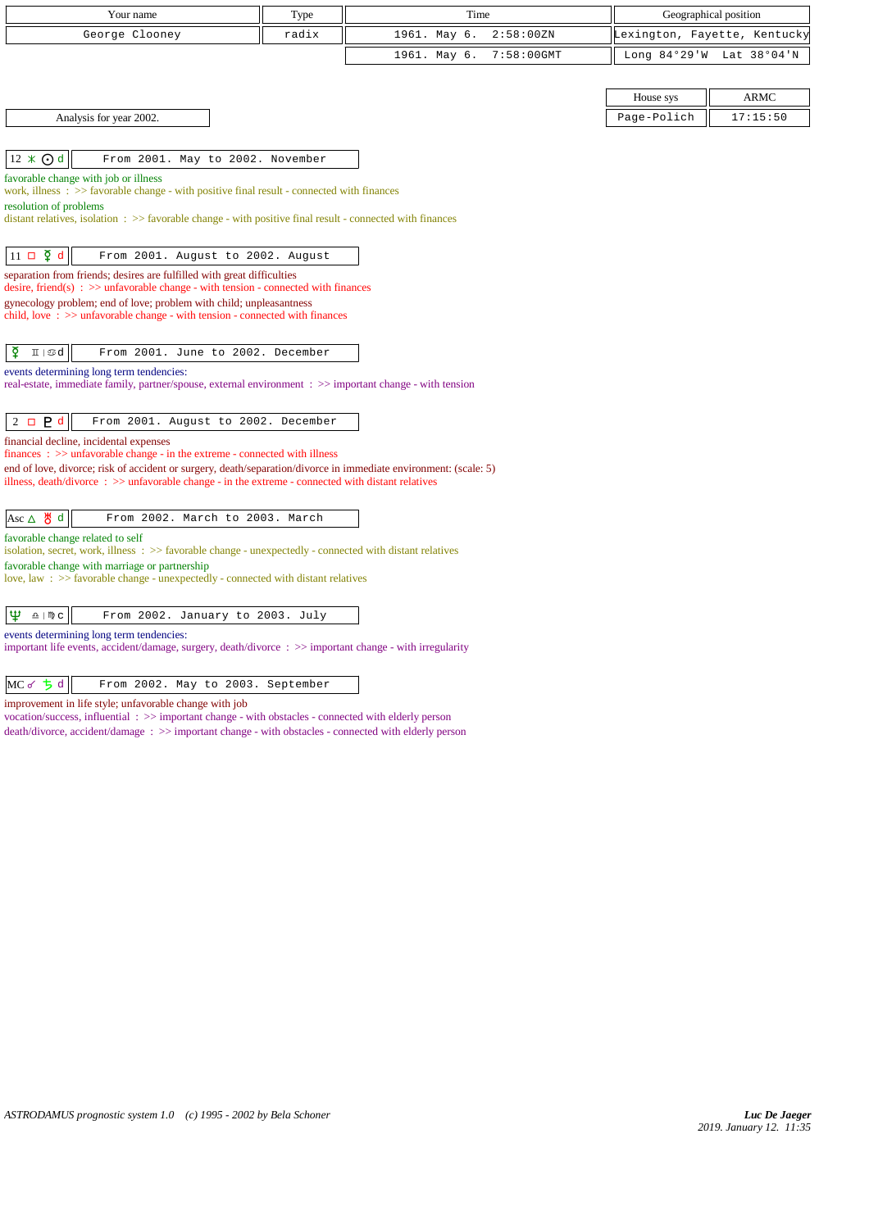| Your name                                                                                                                                                                                         | Type  | Time         |               | Geographical position        |             |  |
|---------------------------------------------------------------------------------------------------------------------------------------------------------------------------------------------------|-------|--------------|---------------|------------------------------|-------------|--|
| George Clooney                                                                                                                                                                                    | radix | 1961. May 6. | 2:58:00 ZN    | Lexington, Fayette, Kentucky |             |  |
|                                                                                                                                                                                                   |       | 1961. May 6. | $7:58:00$ GMT | Long $84°29'W$               | Lat 38°04'N |  |
|                                                                                                                                                                                                   |       |              |               |                              |             |  |
|                                                                                                                                                                                                   |       |              |               | House sys                    | <b>ARMC</b> |  |
| Analysis for year 2002.                                                                                                                                                                           |       |              |               | Page-Polich                  | 17:15:50    |  |
|                                                                                                                                                                                                   |       |              |               |                              |             |  |
| 12 * ⊙ d<br>From 2001. May to 2002. November                                                                                                                                                      |       |              |               |                              |             |  |
| favorable change with job or illness<br>work, illness $\Rightarrow$ > $\Rightarrow$ favorable change - with positive final result - connected with finances                                       |       |              |               |                              |             |  |
| resolution of problems                                                                                                                                                                            |       |              |               |                              |             |  |
| distant relatives, isolation $\Rightarrow$ Savorable change - with positive final result - connected with finances                                                                                |       |              |               |                              |             |  |
|                                                                                                                                                                                                   |       |              |               |                              |             |  |
| $11 \Box \Phi d$<br>From 2001. August to 2002. August                                                                                                                                             |       |              |               |                              |             |  |
| separation from friends; desires are fulfilled with great difficulties<br>desire, friend(s) : $\gg$ unfavorable change - with tension - connected with finances                                   |       |              |               |                              |             |  |
| gynecology problem; end of love; problem with child; unpleasantness                                                                                                                               |       |              |               |                              |             |  |
| child, love $\Rightarrow$ >> unfavorable change - with tension - connected with finances                                                                                                          |       |              |               |                              |             |  |
|                                                                                                                                                                                                   |       |              |               |                              |             |  |
| ₫<br>$\text{I} \mid \text{od}$<br>From 2001. June to 2002. December                                                                                                                               |       |              |               |                              |             |  |
| events determining long term tendencies:<br>real-estate, immediate family, partner/spouse, external environment : >> important change - with tension                                              |       |              |               |                              |             |  |
|                                                                                                                                                                                                   |       |              |               |                              |             |  |
| $2 \Box P d$<br>From 2001. August to 2002. December                                                                                                                                               |       |              |               |                              |             |  |
| financial decline, incidental expenses                                                                                                                                                            |       |              |               |                              |             |  |
| $finances : \gg$ unfavorable change - in the extreme - connected with illness<br>end of love, divorce; risk of accident or surgery, death/separation/divorce in immediate environment: (scale: 5) |       |              |               |                              |             |  |
| illness, death/divorce $\Rightarrow$ >> unfavorable change - in the extreme - connected with distant relatives                                                                                    |       |              |               |                              |             |  |
|                                                                                                                                                                                                   |       |              |               |                              |             |  |
| Asc △ 생 d<br>From 2002. March to 2003. March                                                                                                                                                      |       |              |               |                              |             |  |
| favorable change related to self<br>isolation, secret, work, illness : >> favorable change - unexpectedly - connected with distant relatives                                                      |       |              |               |                              |             |  |
| favorable change with marriage or partnership                                                                                                                                                     |       |              |               |                              |             |  |
| love, law : $\gg$ favorable change - unexpectedly - connected with distant relatives                                                                                                              |       |              |               |                              |             |  |
|                                                                                                                                                                                                   |       |              |               |                              |             |  |
| Ψ<br>$\underline{\Omega}$   $M\overline{D}$ C<br>From 2002. January to 2003. July                                                                                                                 |       |              |               |                              |             |  |

events determining long term tendencies: important life events, accident/damage, surgery, death/divorce : >> important change - with irregularity

| $MC \leq \frac{1}{2} d$ |  |  |  | From 2002. May to 2003. September |
|-------------------------|--|--|--|-----------------------------------|
|                         |  |  |  |                                   |

improvement in life style; unfavorable change with job

vocation/success, influential : >> important change - with obstacles - connected with elderly person death/divorce, accident/damage : >> important change - with obstacles - connected with elderly person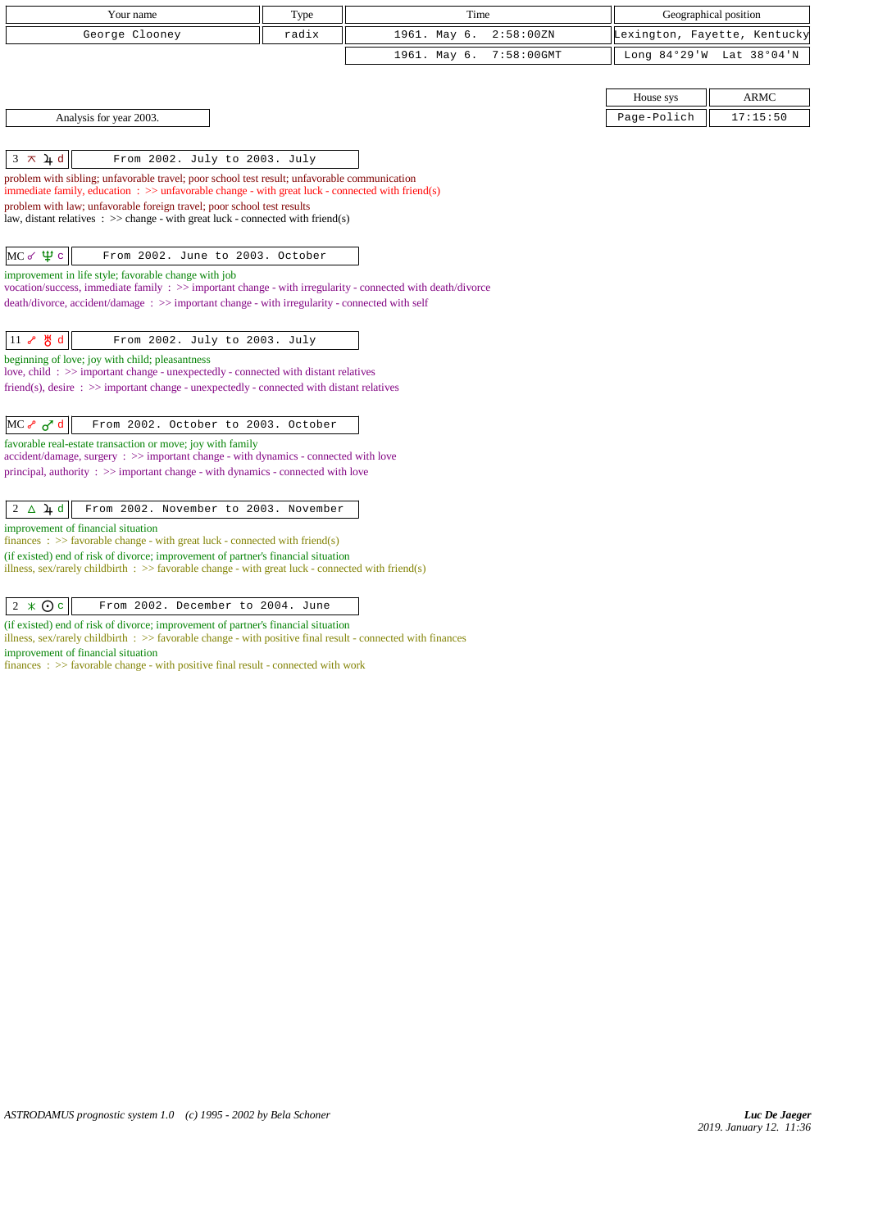| Your name                                                                                                                                                                                                      | Type  | Time                          |              | Geographical position        |
|----------------------------------------------------------------------------------------------------------------------------------------------------------------------------------------------------------------|-------|-------------------------------|--------------|------------------------------|
| George Clooney                                                                                                                                                                                                 | radix | 1961. May 6.<br>2:58:00 ZN    |              | Lexington, Fayette, Kentucky |
|                                                                                                                                                                                                                |       | 1961. May 6.<br>$7:58:00$ GMT | Long 84°29'W | Lat 38°04'N                  |
|                                                                                                                                                                                                                |       |                               |              |                              |
|                                                                                                                                                                                                                |       |                               | House sys    | <b>ARMC</b>                  |
| Analysis for year 2003.                                                                                                                                                                                        |       |                               | Page-Polich  | 17:15:50                     |
|                                                                                                                                                                                                                |       |                               |              |                              |
| $3 \times 4d$<br>From 2002. July to 2003. July                                                                                                                                                                 |       |                               |              |                              |
| problem with sibling; unfavorable travel; poor school test result; unfavorable communication<br>immediate family, education $\therefore$ $\gg$ unfavorable change - with great luck - connected with friend(s) |       |                               |              |                              |
| problem with law; unfavorable foreign travel; poor school test results                                                                                                                                         |       |                               |              |                              |
| law, distant relatives : $\gg$ change - with great luck - connected with friend(s)                                                                                                                             |       |                               |              |                              |
|                                                                                                                                                                                                                |       |                               |              |                              |
| $MC \propto \Psi c$<br>From 2002. June to 2003. October                                                                                                                                                        |       |                               |              |                              |
| improvement in life style; favorable change with job<br>vocation/success, immediate family: >> important change - with irregularity - connected with death/divorce                                             |       |                               |              |                              |
| death/divorce, accident/damage: >> important change - with irregularity - connected with self                                                                                                                  |       |                               |              |                              |
|                                                                                                                                                                                                                |       |                               |              |                              |
| $11$ $8$ $8$ d<br>From 2002. July to 2003. July                                                                                                                                                                |       |                               |              |                              |
| beginning of love; joy with child; pleasantness<br>love, child: >> important change - unexpectedly - connected with distant relatives                                                                          |       |                               |              |                              |
| friend(s), desire $\Rightarrow$ > important change - unexpectedly - connected with distant relatives                                                                                                           |       |                               |              |                              |
|                                                                                                                                                                                                                |       |                               |              |                              |
| $MC \sim \sigma d$<br>From 2002. October to 2003. October                                                                                                                                                      |       |                               |              |                              |
| favorable real-estate transaction or move; joy with family<br>$accident/damage$ , surgery : $\gg$ important change - with dynamics - connected with love                                                       |       |                               |              |                              |
| principal, authority $\Rightarrow$ important change - with dynamics - connected with love                                                                                                                      |       |                               |              |                              |
|                                                                                                                                                                                                                |       |                               |              |                              |
| $2 \Delta \mu d$<br>From 2002. November to 2003. November                                                                                                                                                      |       |                               |              |                              |
| improvement of financial situation<br>finances : $\gg$ favorable change - with great luck - connected with friend(s)                                                                                           |       |                               |              |                              |
| (if existed) end of risk of divorce; improvement of partner's financial situation                                                                                                                              |       |                               |              |                              |
| illness, sex/rarely childbirth : $\gg$ favorable change - with great luck - connected with friend(s)                                                                                                           |       |                               |              |                              |
| From 2002. December to 2004. June                                                                                                                                                                              |       |                               |              |                              |
| $2 \times Qc$                                                                                                                                                                                                  |       |                               |              |                              |

(if existed) end of risk of divorce; improvement of partner's financial situation illness, sex/rarely childbirth : >> favorable change - with positive final result - connected with finances

improvement of financial situation

finances : >> favorable change - with positive final result - connected with work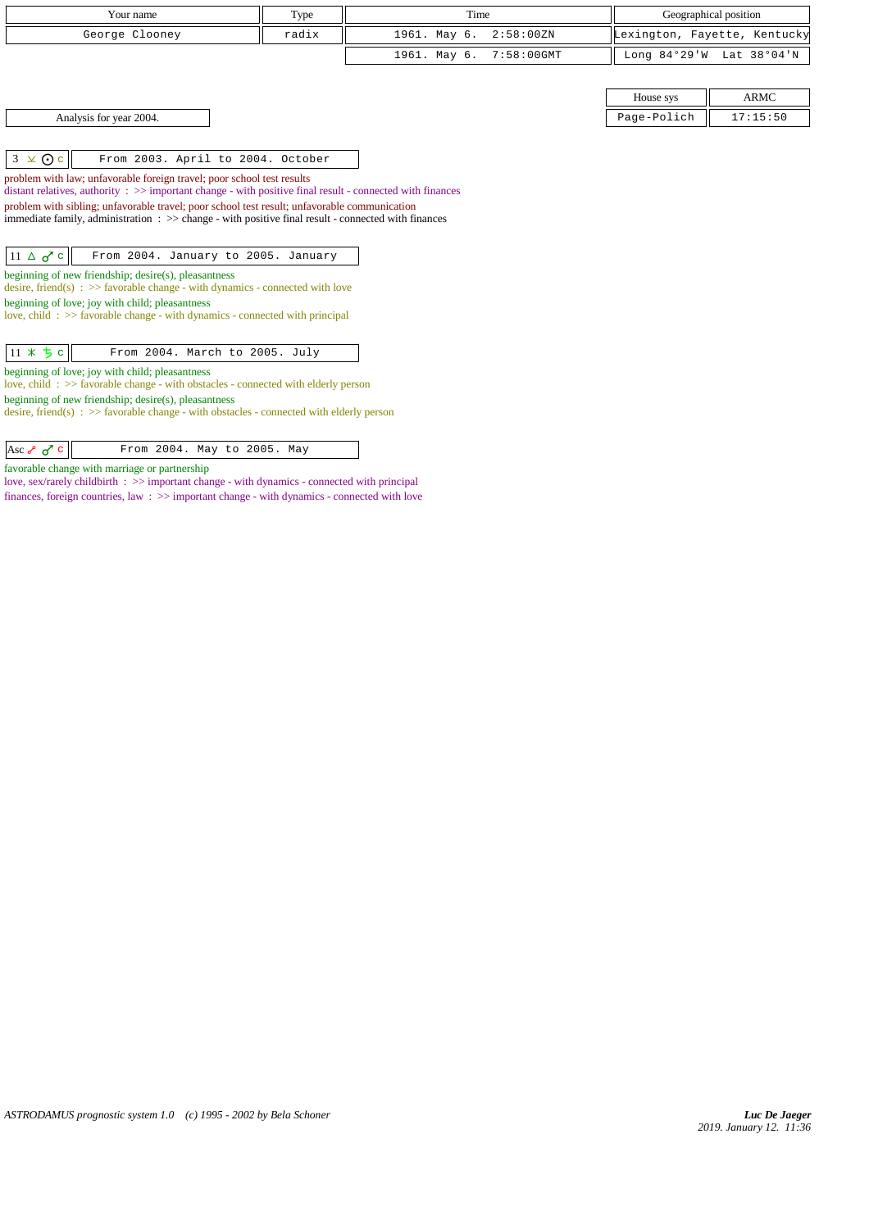| Your name                                                                                                                                                                                                                    | Type  | Time         |            |                              | Geographical position    |
|------------------------------------------------------------------------------------------------------------------------------------------------------------------------------------------------------------------------------|-------|--------------|------------|------------------------------|--------------------------|
| George Clooney                                                                                                                                                                                                               | radix | 1961. May 6. | 2:58:00 ZN | Lexington, Fayette, Kentucky |                          |
|                                                                                                                                                                                                                              |       | 1961. May 6. | 7:58:00GMT |                              | Long 84°29'W Lat 38°04'N |
|                                                                                                                                                                                                                              |       |              |            |                              |                          |
|                                                                                                                                                                                                                              |       |              |            | House sys                    | <b>ARMC</b>              |
| Analysis for year 2004.                                                                                                                                                                                                      |       |              |            | Page-Polich                  | 17:15:50                 |
|                                                                                                                                                                                                                              |       |              |            |                              |                          |
| $3 \times 0c$<br>From 2003. April to 2004. October                                                                                                                                                                           |       |              |            |                              |                          |
| problem with law; unfavorable foreign travel; poor school test results                                                                                                                                                       |       |              |            |                              |                          |
| distant relatives, authority $\Rightarrow$ important change - with positive final result - connected with finances                                                                                                           |       |              |            |                              |                          |
| problem with sibling; unfavorable travel; poor school test result; unfavorable communication<br>immediate family, administration $\Rightarrow$ > $\Rightarrow$ change - with positive final result - connected with finances |       |              |            |                              |                          |
|                                                                                                                                                                                                                              |       |              |            |                              |                          |
| $11 \triangle \sigma$ <sup>c</sup><br>From 2004. January to 2005. January                                                                                                                                                    |       |              |            |                              |                          |
| beginning of new friendship; desire(s), pleasantness                                                                                                                                                                         |       |              |            |                              |                          |
| desire, friend(s) : $\gg$ favorable change - with dynamics - connected with love                                                                                                                                             |       |              |            |                              |                          |
| beginning of love; joy with child; pleasantness<br>love, child: $\gg$ favorable change - with dynamics - connected with principal                                                                                            |       |              |            |                              |                          |
|                                                                                                                                                                                                                              |       |              |            |                              |                          |
| $11 * 5c$<br>From 2004. March to 2005. July                                                                                                                                                                                  |       |              |            |                              |                          |
| beginning of love; joy with child; pleasantness                                                                                                                                                                              |       |              |            |                              |                          |
| love, child: >> favorable change - with obstacles - connected with elderly person                                                                                                                                            |       |              |            |                              |                          |
| beginning of new friendship; desire(s), pleasantness                                                                                                                                                                         |       |              |            |                              |                          |

desire, friend(s) : >> favorable change - with obstacles - connected with elderly person

favorable change with marriage or partnership

love, sex/rarely childbirth : >> important change - with dynamics - connected with principal finances, foreign countries, law : >> important change - with dynamics - connected with love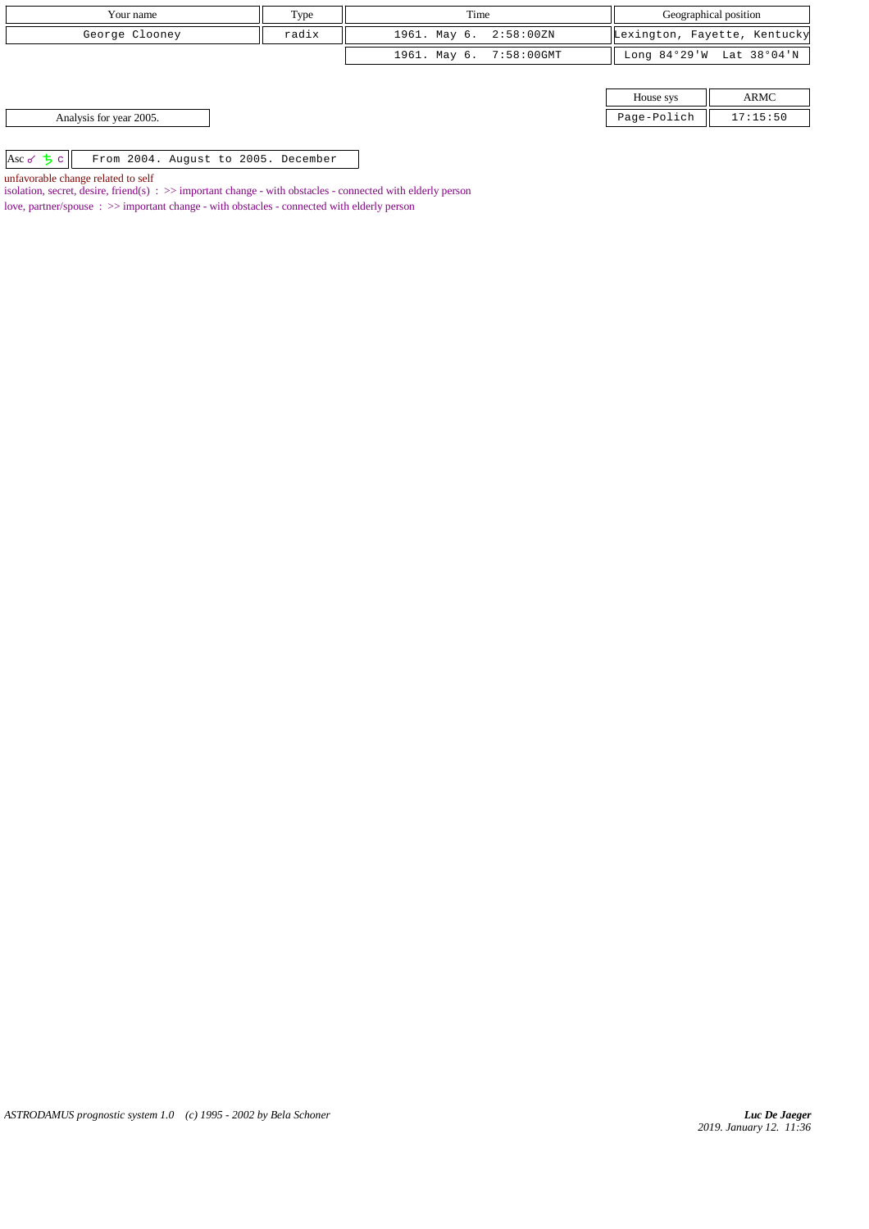| Your name                                          | Type  | Time                    |             | Geographical position        |
|----------------------------------------------------|-------|-------------------------|-------------|------------------------------|
| George Clooney                                     | radix | 1961. May 6. 2:58:00ZN  |             | Lexington, Fayette, Kentucky |
|                                                    |       | 1961. May 6. 7:58:00GMT |             | Long 84°29'W Lat 38°04'N     |
|                                                    |       |                         |             |                              |
|                                                    |       |                         | House sys   | ARMC                         |
| Analysis for year 2005.                            |       |                         | Page-Polich | 17:15:50                     |
|                                                    |       |                         |             |                              |
| Asc of $5c$<br>From 2004. August to 2005. December |       |                         |             |                              |

unfavorable change related to self

isolation, secret, desire, friend(s) : >> important change - with obstacles - connected with elderly person

love, partner/spouse : >> important change - with obstacles - connected with elderly person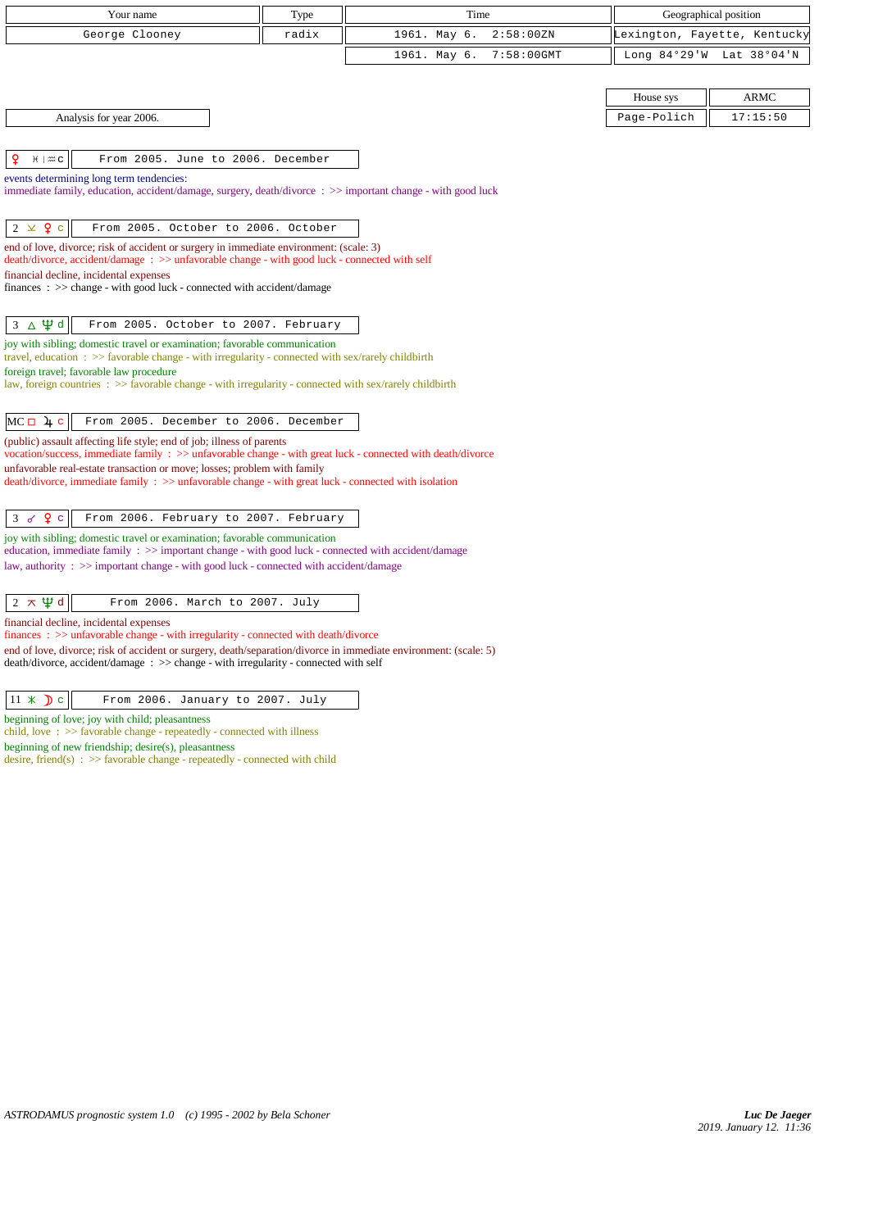| Your name                                                                                                                                                                                                 | Type  | Time         |               | Geographical position        |                          |  |
|-----------------------------------------------------------------------------------------------------------------------------------------------------------------------------------------------------------|-------|--------------|---------------|------------------------------|--------------------------|--|
| George Clooney                                                                                                                                                                                            | radix | 1961. May 6. | 2:58:00 ZN    | Lexington, Fayette, Kentucky |                          |  |
|                                                                                                                                                                                                           |       | 1961. May 6. | $7:58:00$ GMT |                              | Long 84°29'W Lat 38°04'N |  |
|                                                                                                                                                                                                           |       |              |               |                              |                          |  |
|                                                                                                                                                                                                           |       |              |               | House sys                    | <b>ARMC</b>              |  |
| Analysis for year 2006.                                                                                                                                                                                   |       |              |               | Page-Polich                  | 17:15:50                 |  |
| ₽<br>From 2005. June to 2006. December<br>$H \mid \mathfrak{A} \subset$                                                                                                                                   |       |              |               |                              |                          |  |
| events determining long term tendencies:                                                                                                                                                                  |       |              |               |                              |                          |  |
| immediate family, education, accident/damage, surgery, death/divorce: >> important change - with good luck                                                                                                |       |              |               |                              |                          |  |
|                                                                                                                                                                                                           |       |              |               |                              |                          |  |
| $2 \times 9$ c<br>From 2005. October to 2006. October                                                                                                                                                     |       |              |               |                              |                          |  |
| end of love, divorce; risk of accident or surgery in immediate environment: (scale: 3)<br>death/divorce, accident/damage: >> unfavorable change - with good luck - connected with self                    |       |              |               |                              |                          |  |
| financial decline, incidental expenses                                                                                                                                                                    |       |              |               |                              |                          |  |
| $finances : \gg change - with good luck - connected with accident/damage$                                                                                                                                 |       |              |               |                              |                          |  |
|                                                                                                                                                                                                           |       |              |               |                              |                          |  |
| $3 \Delta \Psi d$<br>From 2005. October to 2007. February                                                                                                                                                 |       |              |               |                              |                          |  |
| joy with sibling; domestic travel or examination; favorable communication<br>travel, education $\Rightarrow$ > favorable change - with irregularity - connected with sex/rarely childbirth                |       |              |               |                              |                          |  |
| foreign travel; favorable law procedure                                                                                                                                                                   |       |              |               |                              |                          |  |
| law, foreign countries : >> favorable change - with irregularity - connected with sex/rarely childbirth                                                                                                   |       |              |               |                              |                          |  |
| $MC \Box$ 4 c<br>From 2005. December to 2006. December                                                                                                                                                    |       |              |               |                              |                          |  |
| (public) assault affecting life style; end of job; illness of parents                                                                                                                                     |       |              |               |                              |                          |  |
| vocation/success, immediate family : >> unfavorable change - with great luck - connected with death/divorce                                                                                               |       |              |               |                              |                          |  |
| unfavorable real-estate transaction or move; losses; problem with family<br>death/divorce, immediate family : >> unfavorable change - with great luck - connected with isolation                          |       |              |               |                              |                          |  |
|                                                                                                                                                                                                           |       |              |               |                              |                          |  |
| Q <sub>c</sub><br>3d<br>From 2006. February to 2007. February                                                                                                                                             |       |              |               |                              |                          |  |
| joy with sibling; domestic travel or examination; favorable communication                                                                                                                                 |       |              |               |                              |                          |  |
| education, immediate family $\Rightarrow$ important change - with good luck - connected with accident/damage<br>law, authority : $\gg$ important change - with good luck - connected with accident/damage |       |              |               |                              |                          |  |
|                                                                                                                                                                                                           |       |              |               |                              |                          |  |
| $2 \pi \Psi d$<br>From 2006. March to 2007. July                                                                                                                                                          |       |              |               |                              |                          |  |
| financial decline, incidental expenses                                                                                                                                                                    |       |              |               |                              |                          |  |

finances : >> unfavorable change - with irregularity - connected with death/divorce end of love, divorce; risk of accident or surgery, death/separation/divorce in immediate environment: (scale: 5)

death/divorce, accident/damage : >> change - with irregularity - connected with self

beginning of love; joy with child; pleasantness

child, love : >> favorable change - repeatedly - connected with illness

beginning of new friendship; desire(s), pleasantness

desire, friend(s) :  $\gg$  favorable change - repeatedly - connected with child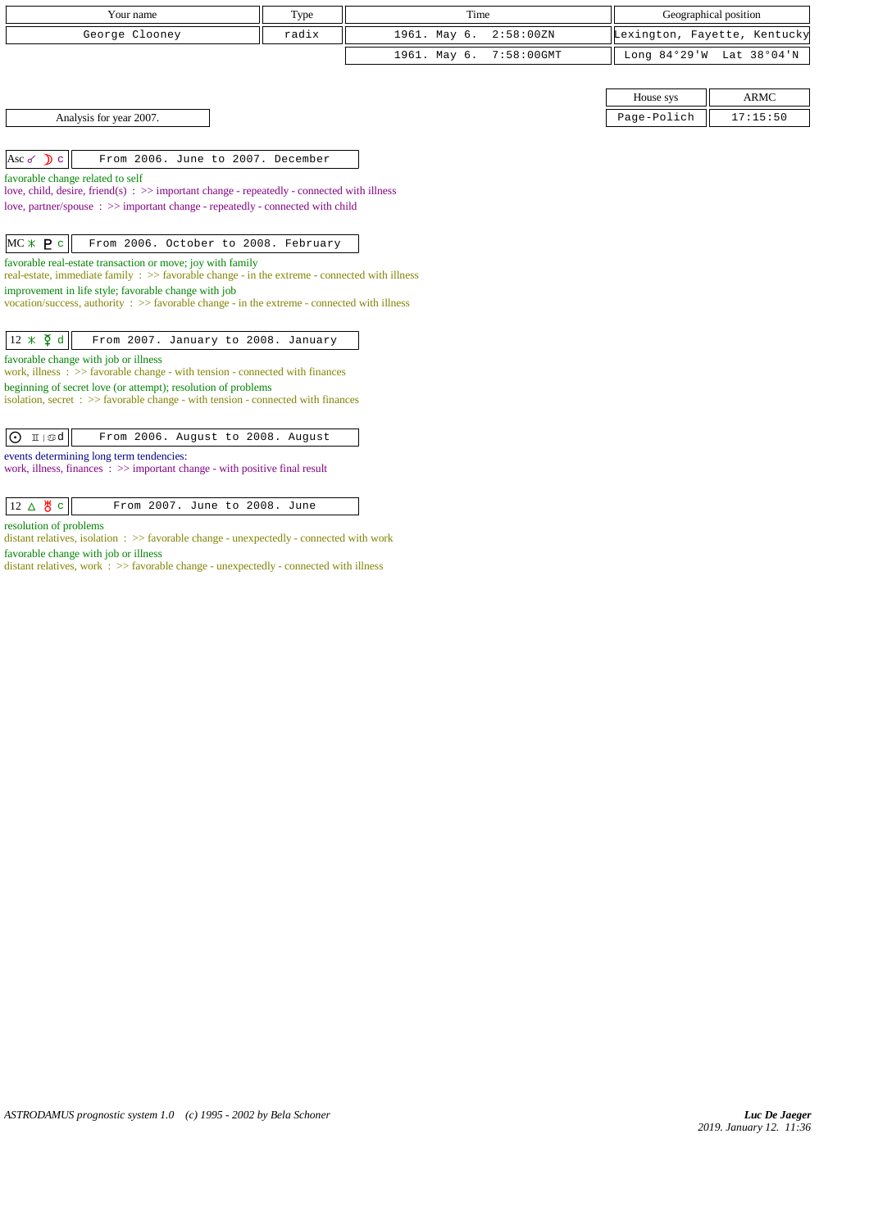| Your name                                                                                                                                                        | Type  | Time                          |             | Geographical position        |
|------------------------------------------------------------------------------------------------------------------------------------------------------------------|-------|-------------------------------|-------------|------------------------------|
| George Clooney                                                                                                                                                   | radix | 1961. May 6.<br>2:58:00 ZN    |             | Lexington, Fayette, Kentucky |
|                                                                                                                                                                  |       | $7:58:00$ GMT<br>1961. May 6. |             | Long 84°29'W Lat 38°04'N     |
|                                                                                                                                                                  |       |                               |             |                              |
|                                                                                                                                                                  |       |                               | House sys   | <b>ARMC</b>                  |
| Analysis for year 2007.                                                                                                                                          |       |                               | Page-Polich | 17:15:50                     |
|                                                                                                                                                                  |       |                               |             |                              |
| Asc $\sigma$ $\sum$ c<br>From 2006. June to 2007. December                                                                                                       |       |                               |             |                              |
| favorable change related to self<br>love, child, desire, friend(s) : $\gg$ important change - repeatedly - connected with illness                                |       |                               |             |                              |
| love, partner/spouse $\Rightarrow$ important change - repeatedly - connected with child                                                                          |       |                               |             |                              |
|                                                                                                                                                                  |       |                               |             |                              |
| $MC * P c$<br>From 2006. October to 2008. February                                                                                                               |       |                               |             |                              |
| favorable real-estate transaction or move; joy with family                                                                                                       |       |                               |             |                              |
| real-estate, immediate family $\Rightarrow$ > favorable change - in the extreme - connected with illness<br>improvement in life style; favorable change with job |       |                               |             |                              |
| vocation/success, authority : $\gg$ favorable change - in the extreme - connected with illness                                                                   |       |                               |             |                              |
|                                                                                                                                                                  |       |                               |             |                              |
| $12 \times \xi$ d<br>From 2007. January to 2008. January                                                                                                         |       |                               |             |                              |
| favorable change with job or illness<br>work, illness $\Rightarrow$ >> favorable change - with tension - connected with finances                                 |       |                               |             |                              |
| beginning of secret love (or attempt); resolution of problems                                                                                                    |       |                               |             |                              |
| isolation, secret $\Rightarrow$ Savorable change - with tension - connected with finances                                                                        |       |                               |             |                              |

| $\boxed{\bigodot$ II $\mathbb{S}d$ From 2006. August to 2008. August |  |
|----------------------------------------------------------------------|--|
|----------------------------------------------------------------------|--|

events determining long term tendencies:

work, illness, finances :  $\gg$  important change - with positive final result

| $ 12\rangle$ | From 2007. June to 2008. June |  |
|--------------|-------------------------------|--|

## resolution of problems

distant relatives, isolation : >> favorable change - unexpectedly - connected with work favorable change with job or illness

distant relatives, work : >> favorable change - unexpectedly - connected with illness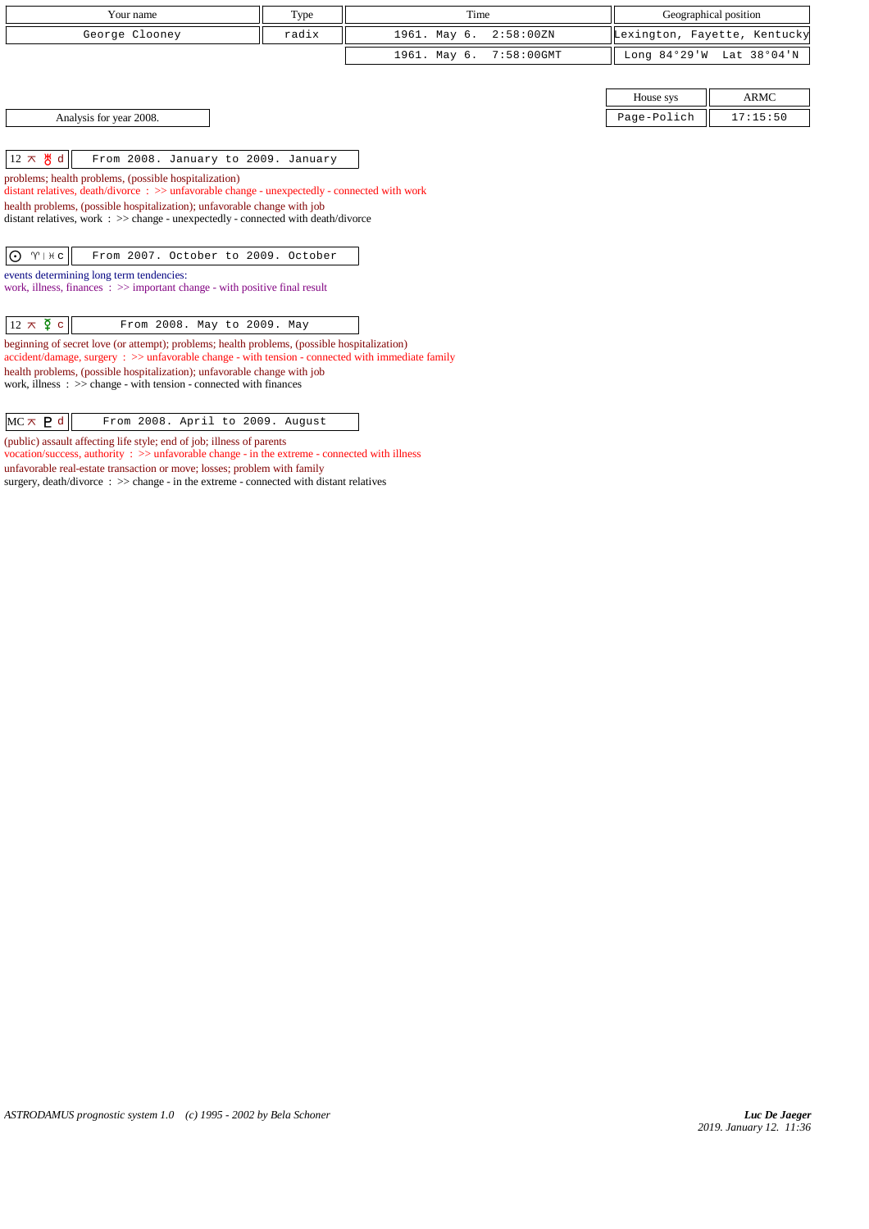| Your name                                                                                                                                                                                               |                                     |       | Time         |            |                | Geographical position        |
|---------------------------------------------------------------------------------------------------------------------------------------------------------------------------------------------------------|-------------------------------------|-------|--------------|------------|----------------|------------------------------|
|                                                                                                                                                                                                         |                                     | Type  |              |            |                |                              |
| George Clooney                                                                                                                                                                                          |                                     | radix | 1961. May 6. | 2:58:00 ZN |                | Lexington, Fayette, Kentucky |
|                                                                                                                                                                                                         |                                     |       | 1961. May 6. | 7:58:00GMT | Long $84°29'W$ | Lat 38°04'N                  |
|                                                                                                                                                                                                         |                                     |       |              |            |                |                              |
|                                                                                                                                                                                                         |                                     |       |              |            | House sys      | <b>ARMC</b>                  |
| Analysis for year 2008.                                                                                                                                                                                 |                                     |       |              |            | Page-Polich    | 17:15:50                     |
|                                                                                                                                                                                                         |                                     |       |              |            |                |                              |
| $12 \times \mathcal{B}$ d                                                                                                                                                                               | From 2008. January to 2009. January |       |              |            |                |                              |
| problems; health problems, (possible hospitalization)<br>distant relatives, death/divorce : >> unfavorable change - unexpectedly - connected with work                                                  |                                     |       |              |            |                |                              |
| health problems, (possible hospitalization); unfavorable change with job<br>distant relatives, work : >> change - unexpectedly - connected with death/divorce                                           |                                     |       |              |            |                |                              |
| ⊙<br>$\gamma$   $\#$ c                                                                                                                                                                                  | From 2007. October to 2009. October |       |              |            |                |                              |
| events determining long term tendencies:<br>work, illness, finances $\Rightarrow$ important change - with positive final result                                                                         |                                     |       |              |            |                |                              |
| $12 \times \overline{9}$ c<br>From 2008. May to 2009. May                                                                                                                                               |                                     |       |              |            |                |                              |
| beginning of secret love (or attempt); problems; health problems, (possible hospitalization)<br>$accident/damage$ , surgery : $\gg$ unfavorable change - with tension - connected with immediate family |                                     |       |              |            |                |                              |
| health problems, (possible hospitalization); unfavorable change with job<br>work, illness $\Rightarrow$ $\Rightarrow$ change - with tension - connected with finances                                   |                                     |       |              |            |                |                              |
| $MC \times P d$                                                                                                                                                                                         | From 2008. April to 2009. August    |       |              |            |                |                              |

(public) assault affecting life style; end of job; illness of parents

vocation/success, authority : >> unfavorable change - in the extreme - connected with illness

unfavorable real-estate transaction or move; losses; problem with family

surgery, death/divorce :  $\gg$  change - in the extreme - connected with distant relatives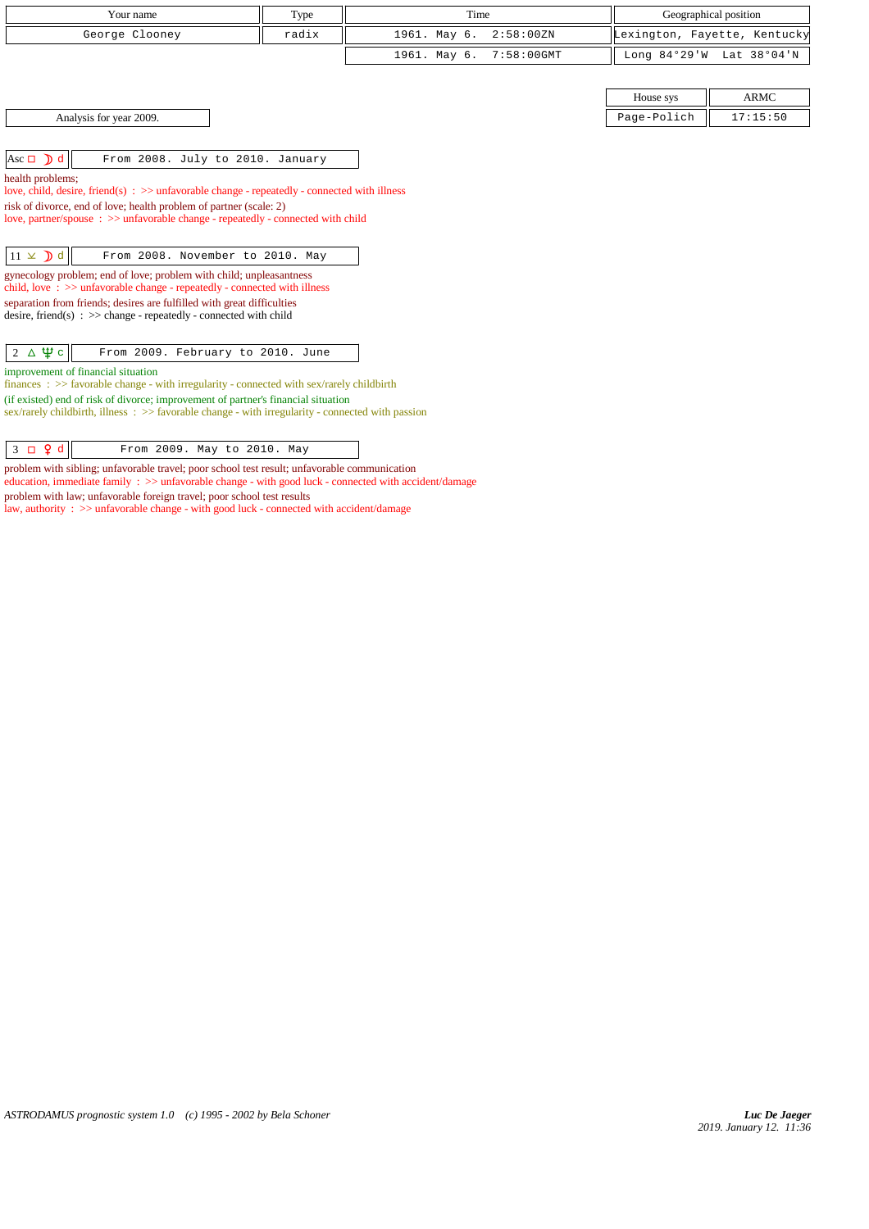| Your name                                                                                                                                                                                                                                                                                                                                                                                                                                                                                                                                                                                                                                                                                                                                                                               | Type  | Time                          |                 | Geographical position        |  |  |
|-----------------------------------------------------------------------------------------------------------------------------------------------------------------------------------------------------------------------------------------------------------------------------------------------------------------------------------------------------------------------------------------------------------------------------------------------------------------------------------------------------------------------------------------------------------------------------------------------------------------------------------------------------------------------------------------------------------------------------------------------------------------------------------------|-------|-------------------------------|-----------------|------------------------------|--|--|
| George Clooney                                                                                                                                                                                                                                                                                                                                                                                                                                                                                                                                                                                                                                                                                                                                                                          | radix | 1961. May 6.<br>2:58:00 ZN    |                 | Lexington, Fayette, Kentucky |  |  |
|                                                                                                                                                                                                                                                                                                                                                                                                                                                                                                                                                                                                                                                                                                                                                                                         |       | 1961. May 6.<br>$7:58:00$ GMT | Long $84°29'$ W | Lat 38°04'N                  |  |  |
|                                                                                                                                                                                                                                                                                                                                                                                                                                                                                                                                                                                                                                                                                                                                                                                         |       |                               |                 |                              |  |  |
|                                                                                                                                                                                                                                                                                                                                                                                                                                                                                                                                                                                                                                                                                                                                                                                         |       |                               | House sys       | <b>ARMC</b>                  |  |  |
| Analysis for year 2009.                                                                                                                                                                                                                                                                                                                                                                                                                                                                                                                                                                                                                                                                                                                                                                 |       |                               | Page-Polich     | 17:15:50                     |  |  |
| Asc $\Box$ $\Box$ d<br>From 2008. July to 2010. January<br>health problems;<br>love, child, desire, friend(s) : $\gg$ unfavorable change - repeatedly - connected with illness<br>risk of divorce, end of love; health problem of partner (scale: 2)<br>love, partner/spouse $\Rightarrow$ >> unfavorable change - repeatedly - connected with child<br>$11 \times D d$<br>From 2008. November to 2010. May<br>gynecology problem; end of love; problem with child; unpleasantness<br>child, love $\Rightarrow$ >> unfavorable change - repeatedly - connected with illness<br>separation from friends; desires are fulfilled with great difficulties<br>desire, friend(s) : $\gg$ change - repeatedly - connected with child<br>$2 \Delta \Psi c$<br>From 2009. February to 2010. June |       |                               |                 |                              |  |  |
| improvement of financial situation<br>finances : $\gg$ favorable change - with irregularity - connected with sex/rarely childbirth<br>(if existed) end of risk of divorce; improvement of partner's financial situation<br>sex/rarely childbirth, illness $\Rightarrow$ Savorable change - with irregularity - connected with passion                                                                                                                                                                                                                                                                                                                                                                                                                                                   |       |                               |                 |                              |  |  |

 $\begin{array}{|c|c|c|c|c|}\n\hline\n3 & \text{Q d} & \text{From 2009. May to 2010. May}\n\hline\n\end{array}$ 

problem with sibling; unfavorable travel; poor school test result; unfavorable communication

education, immediate family :  $\gg$  unfavorable change - with good luck - connected with accident/damage problem with law; unfavorable foreign travel; poor school test results

law, authority :  $\gg$  unfavorable change - with good luck - connected with accident/damage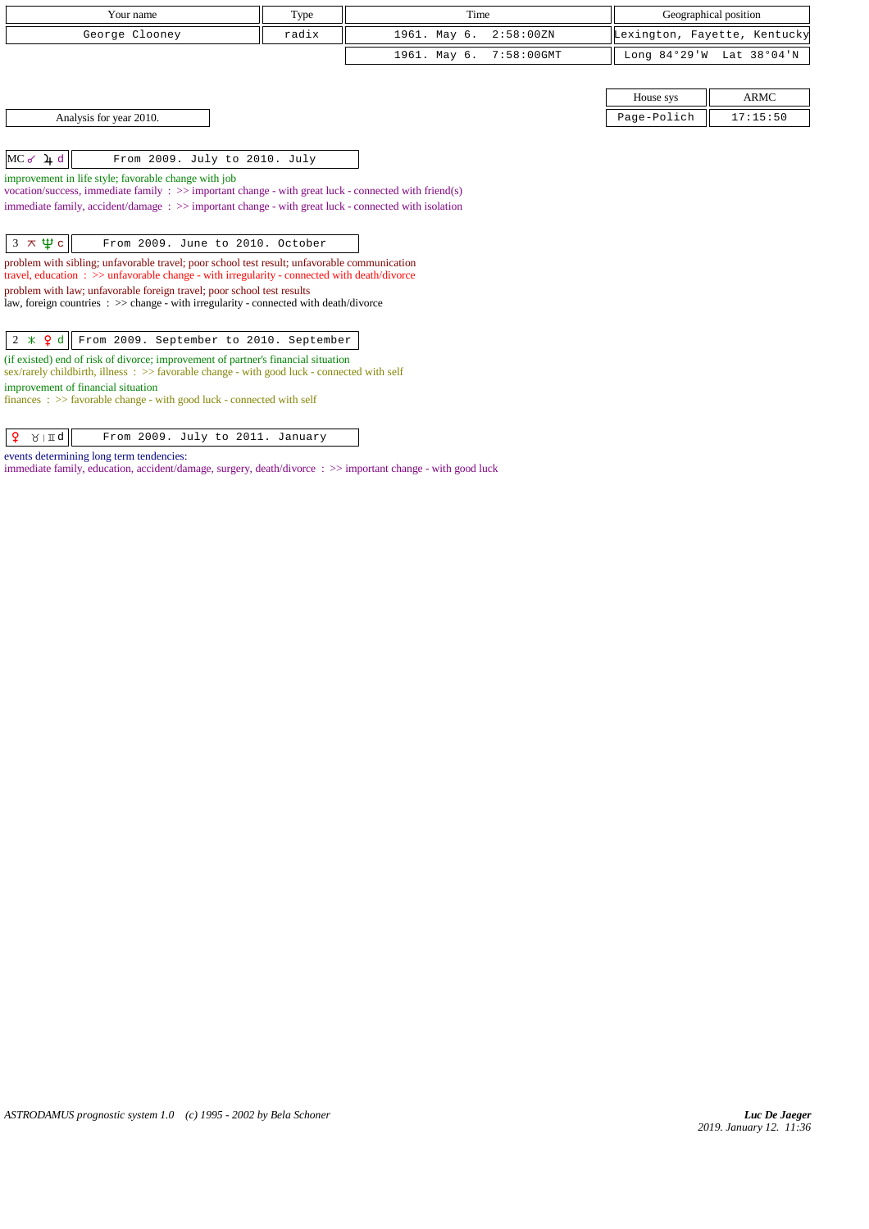| Your name                                                                                                                                                                                    | Type  | Time         |               |                | Geographical position        |
|----------------------------------------------------------------------------------------------------------------------------------------------------------------------------------------------|-------|--------------|---------------|----------------|------------------------------|
| George Clooney                                                                                                                                                                               | radix | 1961. May 6. | 2:58:00 ZN    |                | Lexington, Fayette, Kentucky |
|                                                                                                                                                                                              |       | 1961. May 6. | $7:58:00$ GMT | Long $84°29'W$ | Lat 38°04'N                  |
|                                                                                                                                                                                              |       |              |               |                |                              |
|                                                                                                                                                                                              |       |              |               | House sys      | <b>ARMC</b>                  |
| Analysis for year 2010.                                                                                                                                                                      |       |              |               | Page-Polich    | 17:15:50                     |
|                                                                                                                                                                                              |       |              |               |                |                              |
| $MC$ of $2 + d$<br>From 2009. July to 2010. July                                                                                                                                             |       |              |               |                |                              |
| improvement in life style; favorable change with job                                                                                                                                         |       |              |               |                |                              |
| vocation/success, immediate family $\Rightarrow$ >> important change - with great luck - connected with friend(s)                                                                            |       |              |               |                |                              |
| immediate family, accident/damage: >> important change - with great luck - connected with isolation                                                                                          |       |              |               |                |                              |
| $3 \times \Psi c$<br>From 2009. June to 2010. October                                                                                                                                        |       |              |               |                |                              |
|                                                                                                                                                                                              |       |              |               |                |                              |
| problem with sibling; unfavorable travel; poor school test result; unfavorable communication<br>travel, education : >> unfavorable change - with irregularity - connected with death/divorce |       |              |               |                |                              |
| problem with law; unfavorable foreign travel; poor school test results                                                                                                                       |       |              |               |                |                              |
| law, foreign countries : >> change - with irregularity - connected with death/divorce                                                                                                        |       |              |               |                |                              |
|                                                                                                                                                                                              |       |              |               |                |                              |
| $2 \times 9d$<br>From 2009. September to 2010. September                                                                                                                                     |       |              |               |                |                              |
| (if existed) end of risk of divorce; improvement of partner's financial situation                                                                                                            |       |              |               |                |                              |
| sex/rarely childbirth, illness: >> favorable change - with good luck - connected with self                                                                                                   |       |              |               |                |                              |

*ASTRODAMUS prognostic system 1.0 (c) 1995 - 2002 by Bela Schoner*

improvement of financial situation

events determining long term tendencies:

finances : >> favorable change - with good luck - connected with self

 $\boxed{ \begin{array}{|c|c|} \hline \textbf{Q} & \text{if } \texttt{M} \texttt{d} \end{array} }$  From 2009. July to 2011. January

immediate family, education, accident/damage, surgery, death/divorce : >> important change - with good luck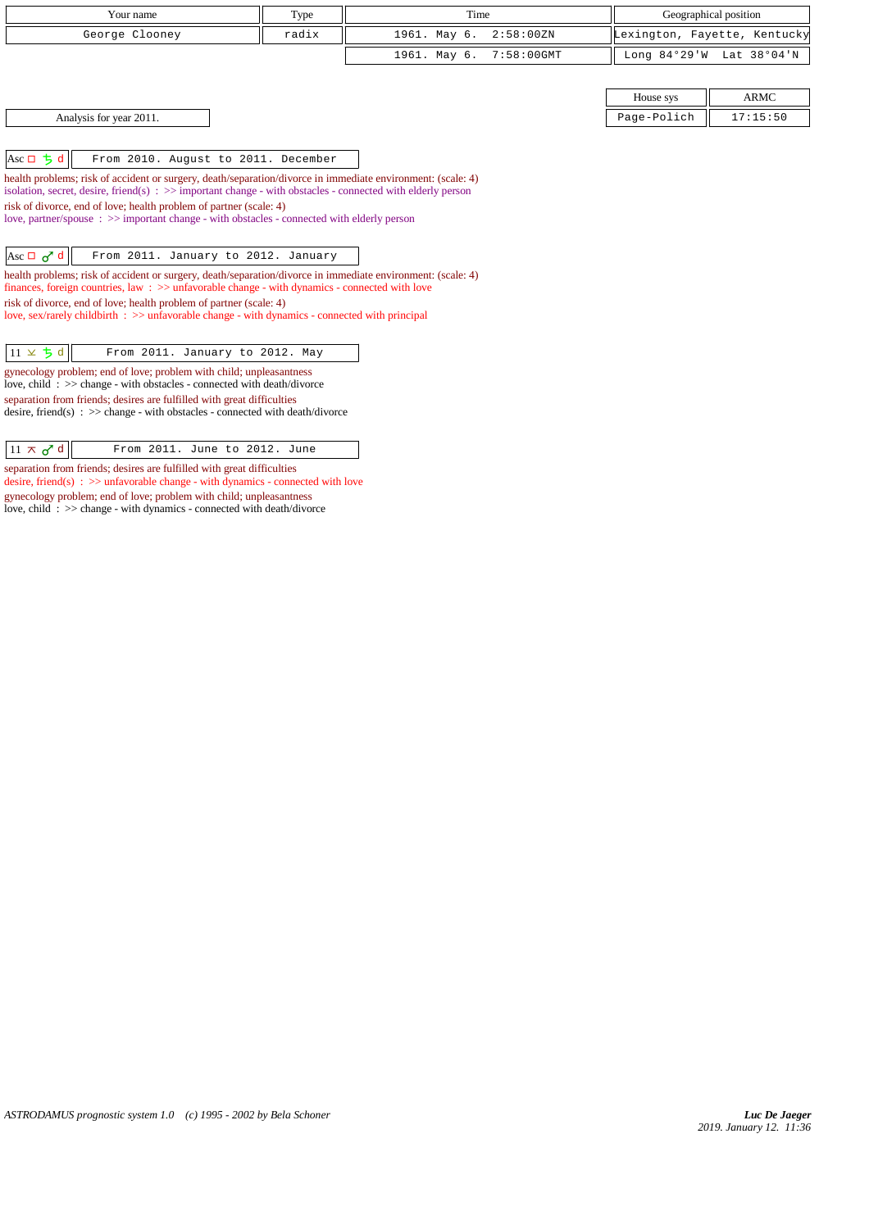| Your name      | Type  | Time                    | Geographical position                                        |
|----------------|-------|-------------------------|--------------------------------------------------------------|
| George Clooney | radix | 1961. May 6. 2:58:00ZN  | Lexington, Fayette, Kentucky                                 |
|                |       | 1961. May 6. 7:58:00GMT | Long $84^{\circ}29^{\prime}$ W Lat $38^{\circ}04^{\prime}$ N |
|                |       |                         |                                                              |

Analysis for year 2011. 17:15:50

Asc  $\Box$   $\frac{1}{2}d$  From 2010. August to 2011. December

health problems; risk of accident or surgery, death/separation/divorce in immediate environment: (scale: 4) isolation, secret, desire, friend(s) : >> important change - with obstacles - connected with elderly person risk of divorce, end of love; health problem of partner (scale: 4) love, partner/spouse : >> important change - with obstacles - connected with elderly person

 $\left|\text{Asc } \Box \text{ of } \text{d} \right|$  From 2011. January to 2012. January

health problems; risk of accident or surgery, death/separation/divorce in immediate environment: (scale: 4) finances, foreign countries, law : >> unfavorable change - with dynamics - connected with love risk of divorce, end of love; health problem of partner (scale: 4) love, sex/rarely childbirth : >> unfavorable change - with dynamics - connected with principal

 $\boxed{11 \times 5 \text{ d}}$  From 2011. January to 2012. May

gynecology problem; end of love; problem with child; unpleasantness love, child : >> change - with obstacles - connected with death/divorce separation from friends; desires are fulfilled with great difficulties desire, friend(s) : >> change - with obstacles - connected with death/divorce

 $\boxed{11 \times \sigma^2}$  d From 2011. June to 2012. June

separation from friends; desires are fulfilled with great difficulties desire, friend(s) : >> unfavorable change - with dynamics - connected with love gynecology problem; end of love; problem with child; unpleasantness love, child : >> change - with dynamics - connected with death/divorce

House sys  $\parallel$  ARMC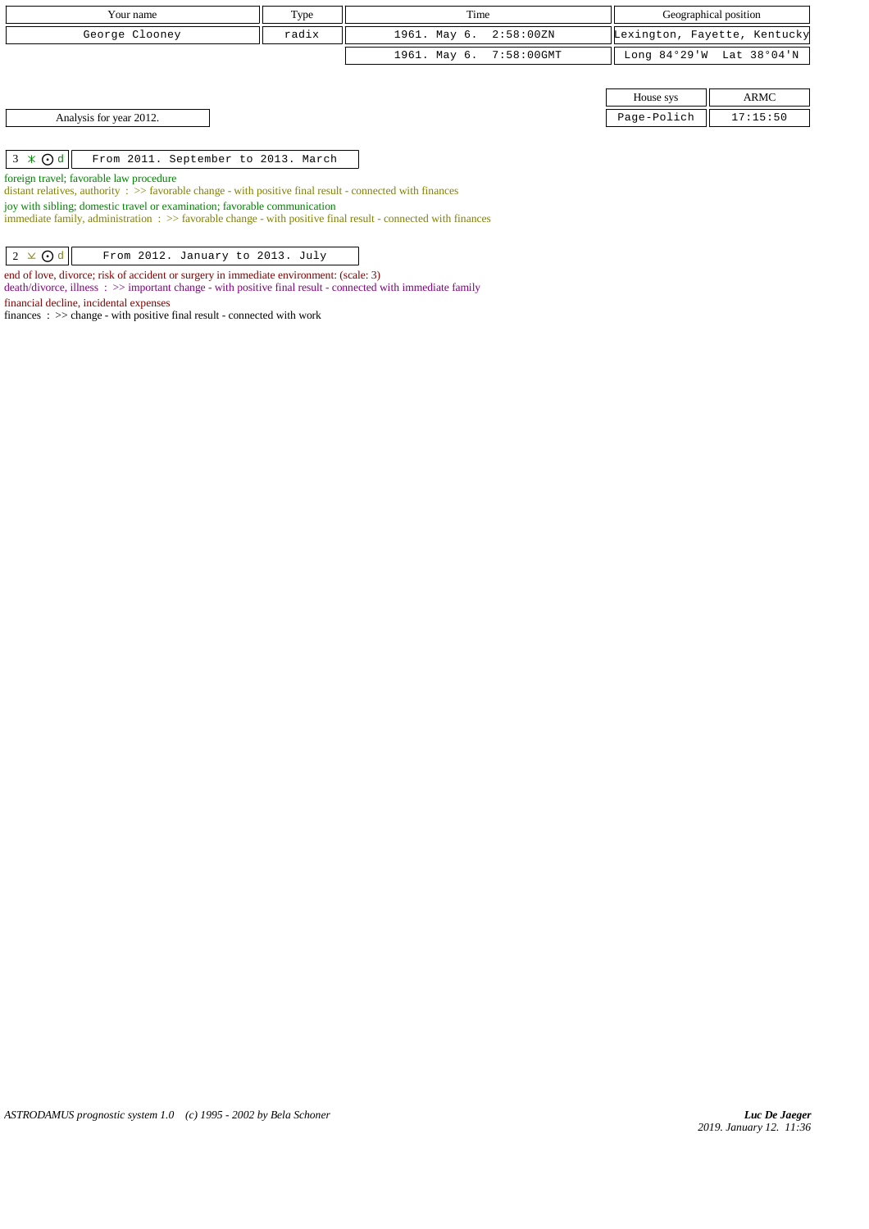| Your name                                            | Type  | Time                    |             | Geographical position        |
|------------------------------------------------------|-------|-------------------------|-------------|------------------------------|
| George Clooney                                       | radix | 1961. May 6. 2:58:00ZN  |             | Lexington, Fayette, Kentucky |
|                                                      |       | 1961. May 6. 7:58:00GMT |             | Long 84°29'W Lat 38°04'N     |
|                                                      |       |                         |             |                              |
|                                                      |       |                         | House sys   | ARMC                         |
| Analysis for year 2012.                              |       |                         | Page-Polich | 17:15:50                     |
|                                                      |       |                         |             |                              |
| $3 \times$ Od<br>From 2011. September to 2013. March |       |                         |             |                              |

foreign travel; favorable law procedure

distant relatives, authority :  $\gg$  favorable change - with positive final result - connected with finances

joy with sibling; domestic travel or examination; favorable communication

immediate family, administration : >> favorable change - with positive final result - connected with finances

 $\boxed{2 \times \text{Od}}$  From 2012. January to 2013. July

end of love, divorce; risk of accident or surgery in immediate environment: (scale: 3)

death/divorce, illness : >> important change - with positive final result - connected with immediate family

financial decline, incidental expenses

finances : >> change - with positive final result - connected with work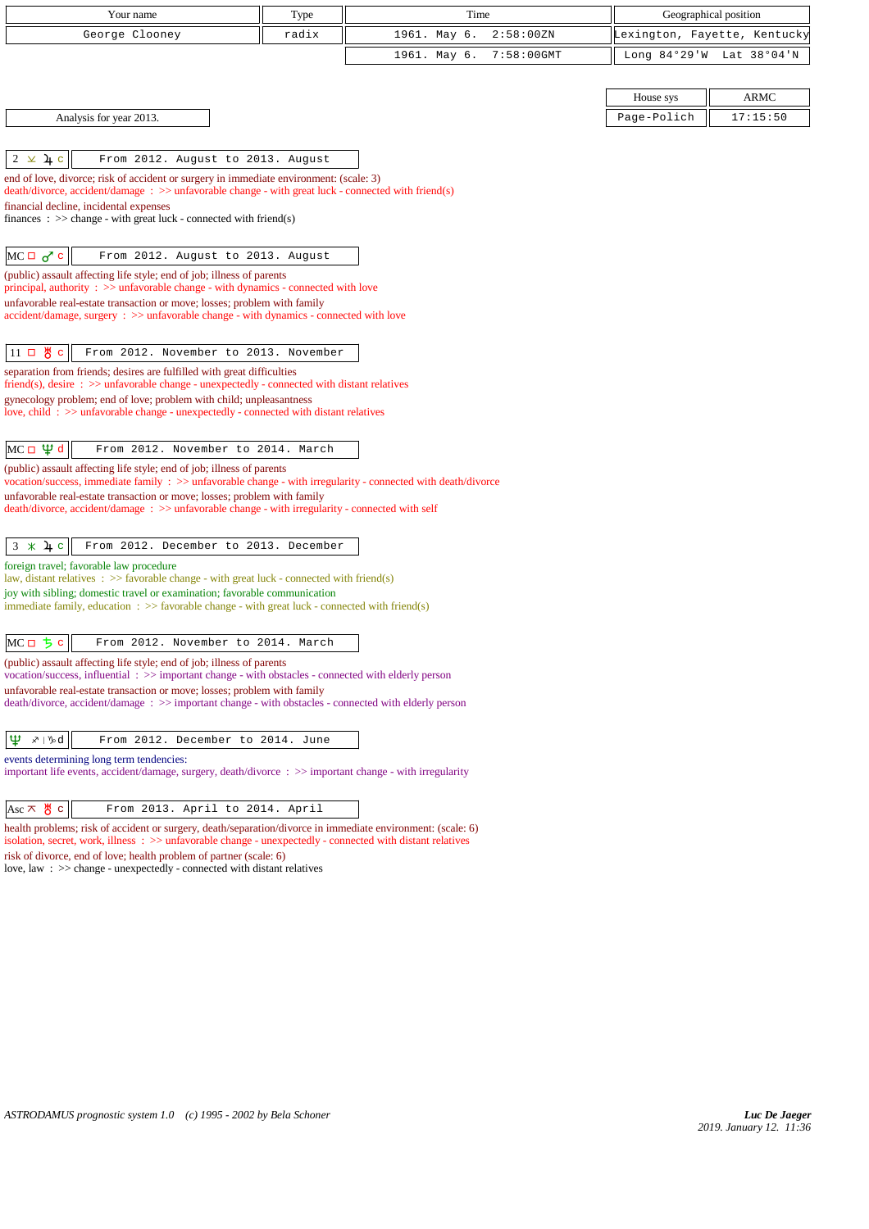| Your name                                                                                                                                                                                                                 | Type  | Time                          | Geographical position    |                              |
|---------------------------------------------------------------------------------------------------------------------------------------------------------------------------------------------------------------------------|-------|-------------------------------|--------------------------|------------------------------|
| George Clooney                                                                                                                                                                                                            | radix | 1961. May 6.<br>2:58:00 ZN    |                          | Lexington, Fayette, Kentucky |
|                                                                                                                                                                                                                           |       | 1961. May 6.<br>$7:58:00$ GMT | Long 84°29'W Lat 38°04'N |                              |
|                                                                                                                                                                                                                           |       |                               |                          |                              |
|                                                                                                                                                                                                                           |       |                               | House sys                | <b>ARMC</b>                  |
| Analysis for year 2013.                                                                                                                                                                                                   |       |                               | Page-Polich              | 17:15:50                     |
|                                                                                                                                                                                                                           |       |                               |                          |                              |
| $2 \times 4c$<br>From 2012. August to 2013. August                                                                                                                                                                        |       |                               |                          |                              |
| end of love, divorce; risk of accident or surgery in immediate environment: (scale: 3)<br>$death/divorce, accident/damage : \gg unfavorable change - with great luck - connected with friend(s)$                          |       |                               |                          |                              |
| financial decline, incidental expenses                                                                                                                                                                                    |       |                               |                          |                              |
| finances : $\gg$ change - with great luck - connected with friend(s)                                                                                                                                                      |       |                               |                          |                              |
|                                                                                                                                                                                                                           |       |                               |                          |                              |
| $MC \Box \sigma^c$ c<br>From 2012. August to 2013. August<br>(public) assault affecting life style; end of job; illness of parents                                                                                        |       |                               |                          |                              |
| principal, authority $\therefore$ $\Rightarrow$ unfavorable change - with dynamics - connected with love                                                                                                                  |       |                               |                          |                              |
| unfavorable real-estate transaction or move; losses; problem with family<br>accident/damage, surgery : >> unfavorable change - with dynamics - connected with love                                                        |       |                               |                          |                              |
|                                                                                                                                                                                                                           |       |                               |                          |                              |
| $11$ 口 め c<br>From 2012. November to 2013. November                                                                                                                                                                       |       |                               |                          |                              |
| separation from friends; desires are fulfilled with great difficulties                                                                                                                                                    |       |                               |                          |                              |
| $friend(s)$ , desire : $\gg$ unfavorable change - unexpectedly - connected with distant relatives<br>gynecology problem; end of love; problem with child; unpleasantness                                                  |       |                               |                          |                              |
| love, child: $\gg$ unfavorable change - unexpectedly - connected with distant relatives                                                                                                                                   |       |                               |                          |                              |
|                                                                                                                                                                                                                           |       |                               |                          |                              |
| MC $\Box$ $\psi$ d<br>From 2012. November to 2014. March                                                                                                                                                                  |       |                               |                          |                              |
| (public) assault affecting life style; end of job; illness of parents<br>vocation/success, immediate family : >> unfavorable change - with irregularity - connected with death/divorce                                    |       |                               |                          |                              |
| unfavorable real-estate transaction or move; losses; problem with family<br>death/divorce, accident/damage: >> unfavorable change - with irregularity - connected with self                                               |       |                               |                          |                              |
|                                                                                                                                                                                                                           |       |                               |                          |                              |
| $3 * 4c$<br>From 2012. December to 2013. December                                                                                                                                                                         |       |                               |                          |                              |
| foreign travel; favorable law procedure                                                                                                                                                                                   |       |                               |                          |                              |
| law, distant relatives : $\gg$ favorable change - with great luck - connected with friend(s)<br>joy with sibling; domestic travel or examination; favorable communication                                                 |       |                               |                          |                              |
| immediate family, education $\therefore$ >> favorable change - with great luck - connected with friend(s)                                                                                                                 |       |                               |                          |                              |
|                                                                                                                                                                                                                           |       |                               |                          |                              |
| $MCII$ $\frac{1}{2}$ $c$<br>From 2012. November to 2014. March                                                                                                                                                            |       |                               |                          |                              |
| (public) assault affecting life style; end of job; illness of parents<br>vocation/success, influential : >> important change - with obstacles - connected with elderly person                                             |       |                               |                          |                              |
| unfavorable real-estate transaction or move; losses; problem with family                                                                                                                                                  |       |                               |                          |                              |
| death/divorce, accident/damage: >> important change - with obstacles - connected with elderly person                                                                                                                      |       |                               |                          |                              |
| Ψ<br>∡≀ ∿d<br>From 2012. December to 2014. June                                                                                                                                                                           |       |                               |                          |                              |
| events determining long term tendencies:                                                                                                                                                                                  |       |                               |                          |                              |
| important life events, accident/damage, surgery, death/divorce : >> important change - with irregularity                                                                                                                  |       |                               |                          |                              |
|                                                                                                                                                                                                                           |       |                               |                          |                              |
| $ Asc \times \mathcal{B}c $<br>From 2013. April to 2014. April                                                                                                                                                            |       |                               |                          |                              |
| health problems; risk of accident or surgery, death/separation/divorce in immediate environment: (scale: 6)<br>isolation, secret, work, illness : >> unfavorable change - unexpectedly - connected with distant relatives |       |                               |                          |                              |

risk of divorce, end of love; health problem of partner (scale: 6) love, law : >> change - unexpectedly - connected with distant relatives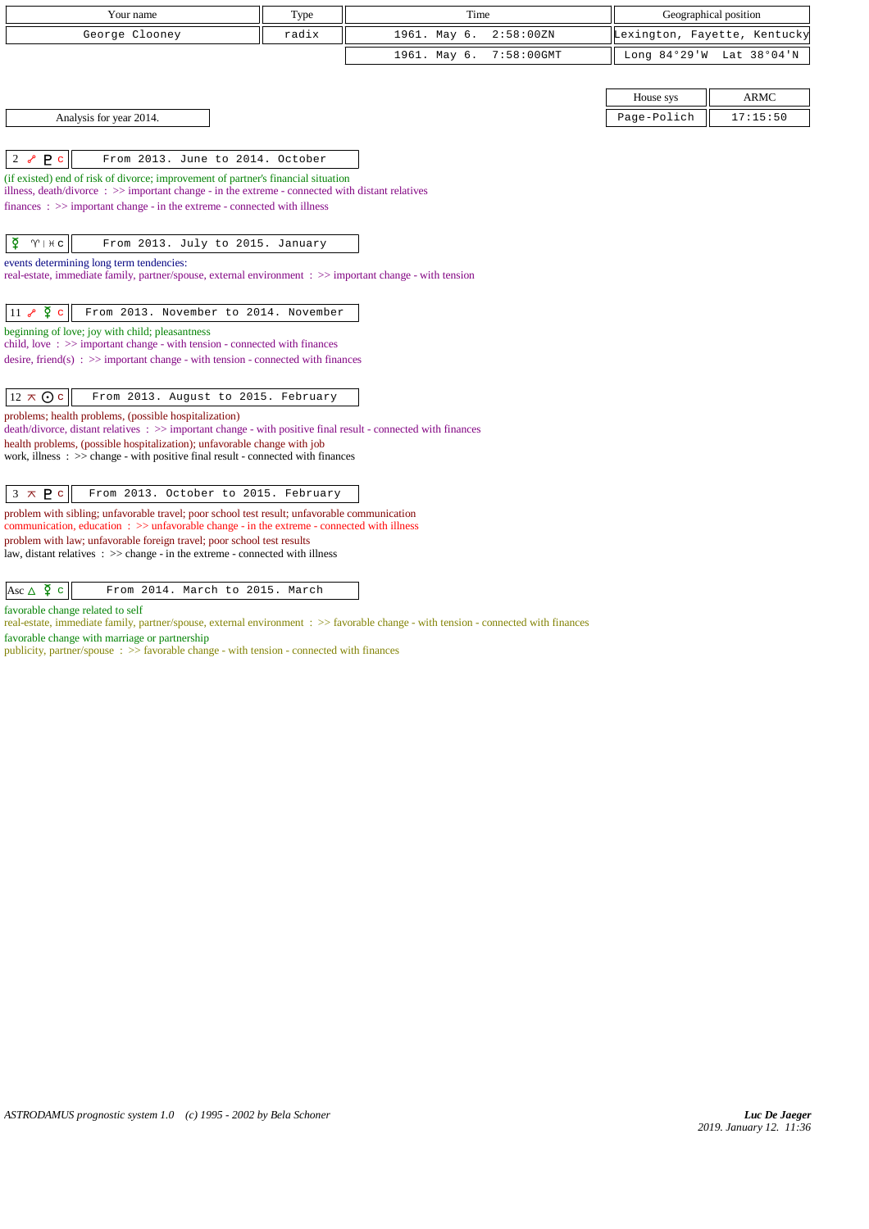| Your name                                                                                                                                                                                        | Type  | Time                          | Geographical position |                              |  |
|--------------------------------------------------------------------------------------------------------------------------------------------------------------------------------------------------|-------|-------------------------------|-----------------------|------------------------------|--|
| George Clooney                                                                                                                                                                                   | radix | 1961. May 6.<br>2:58:00 ZN    |                       | Lexington, Fayette, Kentucky |  |
|                                                                                                                                                                                                  |       | $7:58:00$ GMT<br>1961. May 6. | Long $84°29'W$        | Lat 38°04'N                  |  |
|                                                                                                                                                                                                  |       |                               |                       |                              |  |
|                                                                                                                                                                                                  |       |                               | House sys             | <b>ARMC</b>                  |  |
| Analysis for year 2014.                                                                                                                                                                          |       |                               | Page-Polich           | 17:15:50                     |  |
|                                                                                                                                                                                                  |       |                               |                       |                              |  |
| P <sub>c</sub><br>From 2013. June to 2014. October<br>$2\delta$                                                                                                                                  |       |                               |                       |                              |  |
| (if existed) end of risk of divorce; improvement of partner's financial situation<br>illness, death/divorce $\Rightarrow$ > important change - in the extreme - connected with distant relatives |       |                               |                       |                              |  |
| $finances : \gg important change - in the extreme - connected with illness$                                                                                                                      |       |                               |                       |                              |  |
|                                                                                                                                                                                                  |       |                               |                       |                              |  |
| $\tilde{Q}$<br>$\gamma$   $\#$ c<br>From 2013. July to 2015. January                                                                                                                             |       |                               |                       |                              |  |
| events determining long term tendencies:<br>real-estate, immediate family, partner/spouse, external environment : >> important change - with tension                                             |       |                               |                       |                              |  |
|                                                                                                                                                                                                  |       |                               |                       |                              |  |
| $11$ $\sqrt[3]{2}$ c<br>From 2013. November to 2014. November                                                                                                                                    |       |                               |                       |                              |  |
| beginning of love; joy with child; pleasantness<br>child, love: $\gg$ important change - with tension - connected with finances                                                                  |       |                               |                       |                              |  |
| desire, friend(s) : $\gg$ important change - with tension - connected with finances                                                                                                              |       |                               |                       |                              |  |
|                                                                                                                                                                                                  |       |                               |                       |                              |  |
| $12 \times Qc$<br>From 2013. August to 2015. February                                                                                                                                            |       |                               |                       |                              |  |
| problems; health problems, (possible hospitalization)<br>death/divorce, distant relatives : >> important change - with positive final result - connected with finances                           |       |                               |                       |                              |  |
| health problems, (possible hospitalization); unfavorable change with job<br>work, illness $\Rightarrow$ >> change - with positive final result - connected with finances                         |       |                               |                       |                              |  |
|                                                                                                                                                                                                  |       |                               |                       |                              |  |
| $3 \times P$<br>From 2013. October to 2015. February                                                                                                                                             |       |                               |                       |                              |  |
| problem with sibling; unfavorable travel; poor school test result; unfavorable communication                                                                                                     |       |                               |                       |                              |  |

communication, education : >> unfavorable change - in the extreme - connected with illness problem with law; unfavorable foreign travel; poor school test results

law, distant relatives : >> change - in the extreme - connected with illness

Asc  $\Delta \nvert \nvert$  From 2014. March to 2015. March

favorable change related to self

real-estate, immediate family, partner/spouse, external environment : >> favorable change - with tension - connected with finances

favorable change with marriage or partnership

publicity, partner/spouse : >> favorable change - with tension - connected with finances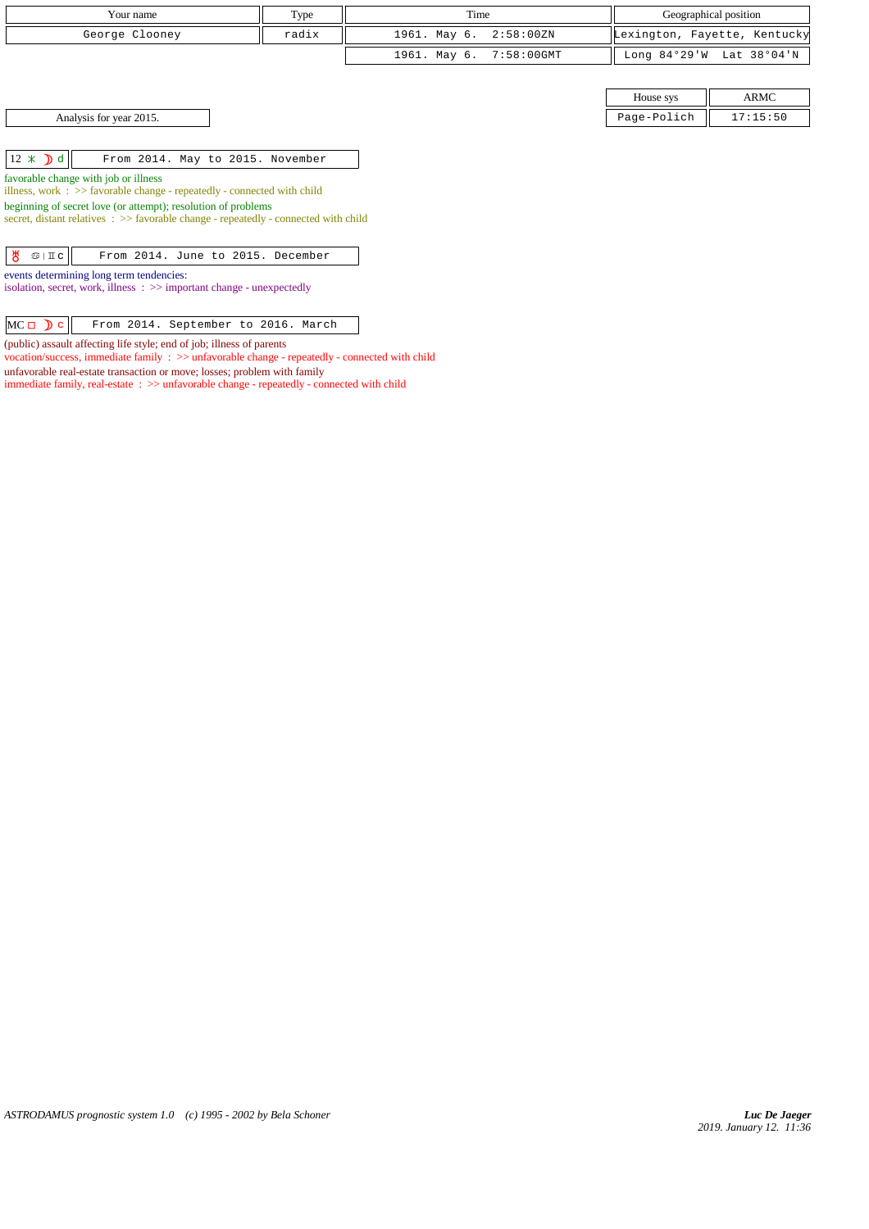| Your name               | Type  | Time                    | Geographical position |                              |  |
|-------------------------|-------|-------------------------|-----------------------|------------------------------|--|
| George Clooney          | radix | 1961. May 6. 2:58:00ZN  |                       | Lexington, Fayette, Kentucky |  |
|                         |       | 1961. May 6. 7:58:00GMT |                       | Long 84°29'W Lat 38°04'N     |  |
|                         |       |                         |                       |                              |  |
|                         |       |                         | House sys             | ARMC                         |  |
| Analysis for year 2015. |       |                         | Page-Polich           | 17:15:50                     |  |

 $\boxed{12 \times \mathbf{d}}$  From 2014. May to 2015. November

favorable change with job or illness

illness, work : >> favorable change - repeatedly - connected with child

beginning of secret love (or attempt); resolution of problems

secret, distant relatives :  $\gg$  favorable change - repeatedly - connected with child

| $\frac{1}{2}$ $\frac{1}{2}$ $\frac{1}{2}$ |  |  | From 2014. June to 2015. December |
|-------------------------------------------|--|--|-----------------------------------|

events determining long term tendencies:

isolation, secret, work, illness : >> important change - unexpectedly

| $MC \Box$ $C$ $\Box$ From 2014. September to 2016. March |  |  |  |
|----------------------------------------------------------|--|--|--|
|----------------------------------------------------------|--|--|--|

(public) assault affecting life style; end of job; illness of parents

vocation/success, immediate family : >> unfavorable change - repeatedly - connected with child unfavorable real-estate transaction or move; losses; problem with family immediate family, real-estate : >> unfavorable change - repeatedly - connected with child

*ASTRODAMUS prognostic system 1.0 (c) 1995 - 2002 by Bela Schoner*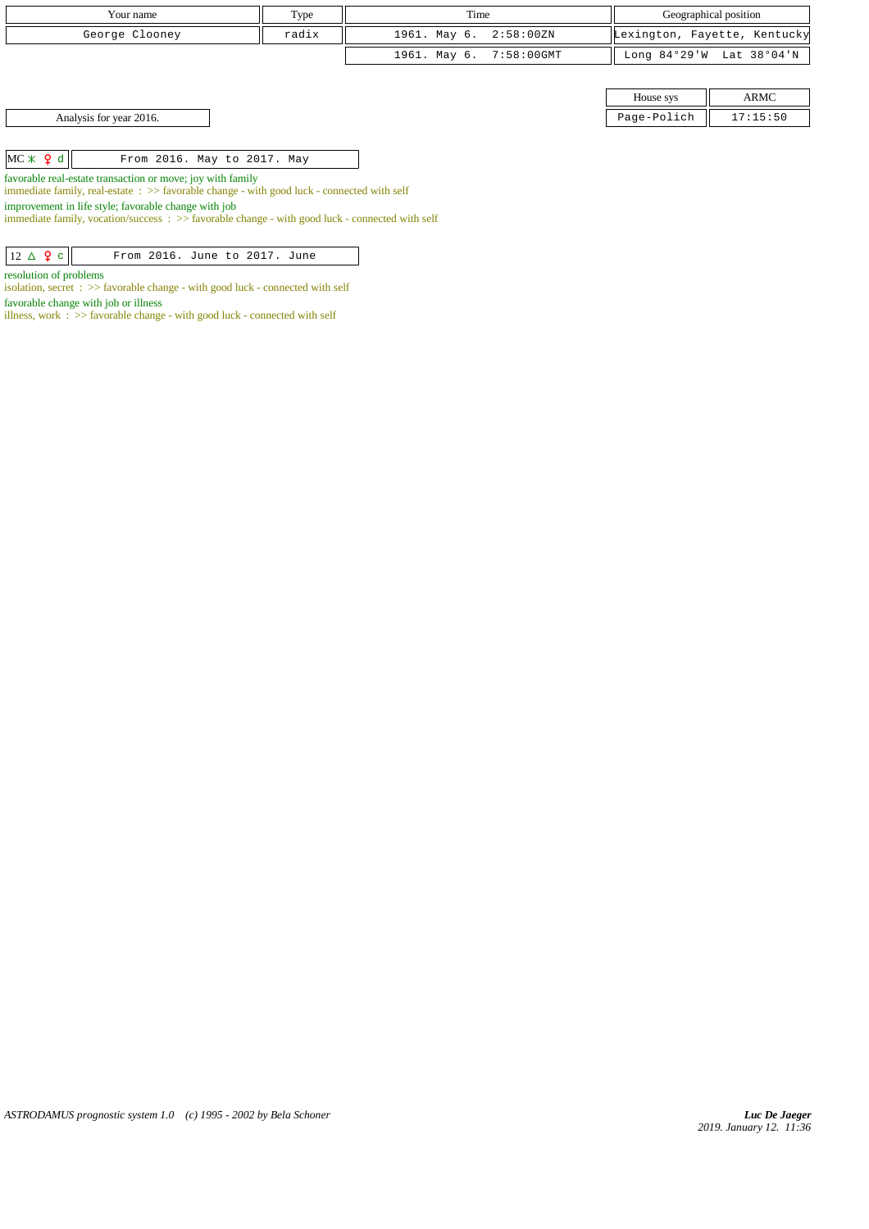| Your name                                                                                                                                                         | Type  | Time                          | Geographical position |                              |
|-------------------------------------------------------------------------------------------------------------------------------------------------------------------|-------|-------------------------------|-----------------------|------------------------------|
| George Clooney                                                                                                                                                    | radix | 1961. May 6.<br>$2:58:00\,2N$ |                       | Lexington, Fayette, Kentucky |
|                                                                                                                                                                   |       | 1961. May 6.<br>7:58:00GMT    |                       | Long 84°29'W Lat 38°04'N     |
|                                                                                                                                                                   |       |                               |                       |                              |
|                                                                                                                                                                   |       |                               | House sys             | ARMC                         |
| Analysis for year 2016.                                                                                                                                           |       |                               | Page-Polich           | 17:15:50                     |
|                                                                                                                                                                   |       |                               |                       |                              |
| $MC \times 9 d$<br>From 2016. May to 2017. May                                                                                                                    |       |                               |                       |                              |
| favorable real-estate transaction or move; joy with family<br>immediate family, real-estate $\Rightarrow$ Savorable change - with good luck - connected with self |       |                               |                       |                              |

improvement in life style; favorable change with job

immediate family, vocation/success : >> favorable change - with good luck - connected with self

 $\boxed{12 \Delta \mathbf{2} \text{ c}}$  From 2016. June to 2017. June

resolution of problems

isolation, secret : >> favorable change - with good luck - connected with self favorable change with job or illness

illness, work  $\therefore$  >> favorable change - with good luck - connected with self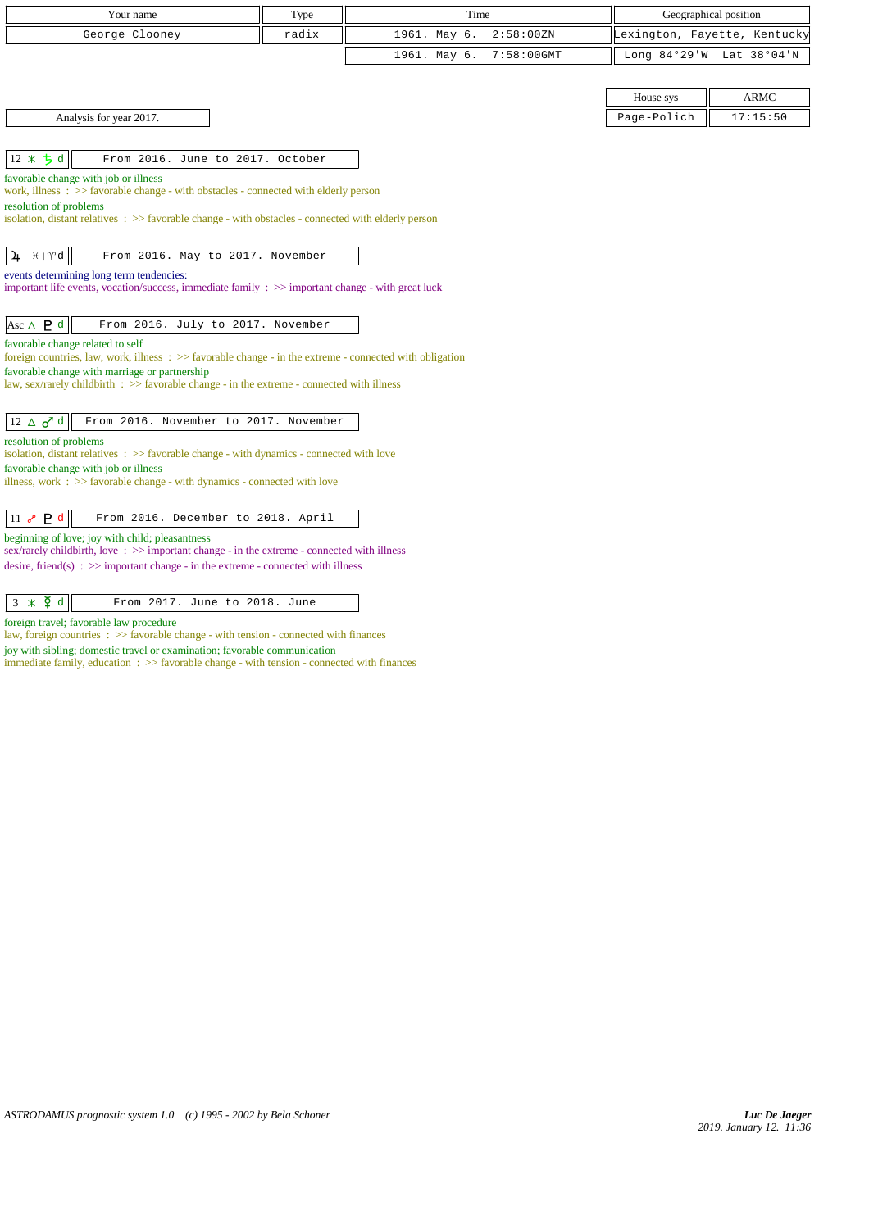|                            | Your name                                                                                                                                              | Type  | Time         |               |             | Geographical position        |
|----------------------------|--------------------------------------------------------------------------------------------------------------------------------------------------------|-------|--------------|---------------|-------------|------------------------------|
|                            | George Clooney                                                                                                                                         | radix | 1961. May 6. | 2:58:00 ZN    |             | Lexington, Fayette, Kentucky |
|                            |                                                                                                                                                        |       | 1961. May 6. | $7:58:00$ GMT |             | Long 84°29'W Lat 38°04'N     |
|                            |                                                                                                                                                        |       |              |               |             |                              |
|                            |                                                                                                                                                        |       |              |               | House sys   | <b>ARMC</b>                  |
|                            | Analysis for year 2017.                                                                                                                                |       |              |               | Page-Polich | 17:15:50                     |
|                            |                                                                                                                                                        |       |              |               |             |                              |
| $12 * 5d$                  | From 2016. June to 2017. October                                                                                                                       |       |              |               |             |                              |
|                            | favorable change with job or illness                                                                                                                   |       |              |               |             |                              |
| resolution of problems     | work, illness: >> favorable change - with obstacles - connected with elderly person                                                                    |       |              |               |             |                              |
|                            | isolation, distant relatives $\Rightarrow$ Savorable change - with obstacles - connected with elderly person                                           |       |              |               |             |                              |
|                            |                                                                                                                                                        |       |              |               |             |                              |
| $H \mid \mathcal{M}$<br>4  | From 2016. May to 2017. November                                                                                                                       |       |              |               |             |                              |
|                            | events determining long term tendencies:<br>important life events, vocation/success, immediate family $\Rightarrow$ important change - with great luck |       |              |               |             |                              |
|                            |                                                                                                                                                        |       |              |               |             |                              |
| Asc $\triangle$ <b>P</b> d | From 2016. July to 2017. November                                                                                                                      |       |              |               |             |                              |
|                            | favorable change related to self                                                                                                                       |       |              |               |             |                              |
|                            | foreign countries, law, work, illness : >> favorable change - in the extreme - connected with obligation                                               |       |              |               |             |                              |
|                            | favorable change with marriage or partnership<br>law, sex/rarely childbirth $\Rightarrow$ S favorable change - in the extreme - connected with illness |       |              |               |             |                              |
|                            |                                                                                                                                                        |       |              |               |             |                              |
| $12 \triangle \sigma^d$ d  | From 2016. November to 2017. November                                                                                                                  |       |              |               |             |                              |
| resolution of problems     |                                                                                                                                                        |       |              |               |             |                              |
|                            | isolation, distant relatives : >> favorable change - with dynamics - connected with love                                                               |       |              |               |             |                              |
|                            | favorable change with job or illness<br>illness, work $\Rightarrow$ Savorable change - with dynamics - connected with love                             |       |              |               |             |                              |
|                            |                                                                                                                                                        |       |              |               |             |                              |
| 11 $\sim$ P d              | From 2016. December to 2018. April                                                                                                                     |       |              |               |             |                              |
|                            | beginning of love; joy with child; pleasantness                                                                                                        |       |              |               |             |                              |
|                            | sex/rarely childbirth, love: >> important change - in the extreme - connected with illness                                                             |       |              |               |             |                              |
|                            | desire, friend(s) : $\gg$ important change - in the extreme - connected with illness                                                                   |       |              |               |             |                              |

| $3 \times \xi d$<br>From 2017. June to 2018. June |  |
|---------------------------------------------------|--|
|---------------------------------------------------|--|

foreign travel; favorable law procedure

law, foreign countries : >> favorable change - with tension - connected with finances

joy with sibling; domestic travel or examination; favorable communication

immediate family, education : >> favorable change - with tension - connected with finances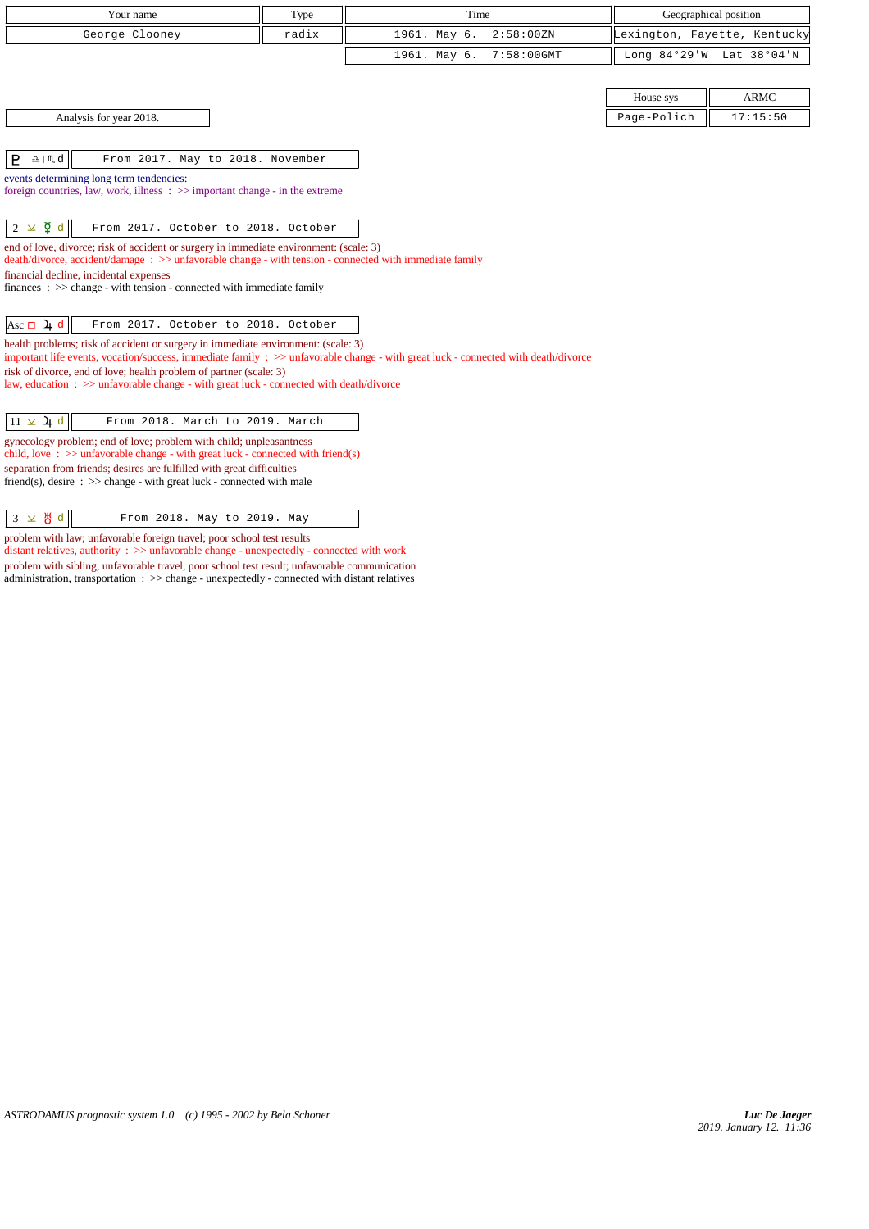| Your name                                                                                                                                                                                                                                                                                                                 | Type  | Time                          | Geographical position |                              |
|---------------------------------------------------------------------------------------------------------------------------------------------------------------------------------------------------------------------------------------------------------------------------------------------------------------------------|-------|-------------------------------|-----------------------|------------------------------|
| George Clooney                                                                                                                                                                                                                                                                                                            | radix | 2:58:00 ZN<br>1961. May 6.    |                       | Lexington, Fayette, Kentucky |
|                                                                                                                                                                                                                                                                                                                           |       | $7:58:00$ GMT<br>1961. May 6. | Long 84°29'W          | Lat 38°04'N                  |
|                                                                                                                                                                                                                                                                                                                           |       |                               |                       |                              |
|                                                                                                                                                                                                                                                                                                                           |       |                               | House sys             | <b>ARMC</b>                  |
| Analysis for year 2018.                                                                                                                                                                                                                                                                                                   |       |                               | Page-Polich           | 17:15:50                     |
|                                                                                                                                                                                                                                                                                                                           |       |                               |                       |                              |
| $\underline{\mathbf{a}}$   $\mathbf{M}$ d<br>P<br>From 2017. May to 2018. November                                                                                                                                                                                                                                        |       |                               |                       |                              |
| events determining long term tendencies:<br>foreign countries, law, work, illness $\Rightarrow$ important change - in the extreme                                                                                                                                                                                         |       |                               |                       |                              |
|                                                                                                                                                                                                                                                                                                                           |       |                               |                       |                              |
| $2 \times \xi d$<br>From 2017. October to 2018. October                                                                                                                                                                                                                                                                   |       |                               |                       |                              |
| end of love, divorce; risk of accident or surgery in immediate environment: (scale: 3)<br>$death/divorce, accident/damage : >> unfavorable change - with tension - connected with immediate family$<br>financial decline, incidental expenses<br>finances : $\gg$ change - with tension - connected with immediate family |       |                               |                       |                              |
| Asc $\Box$ 4 d<br>From 2017. October to 2018. October                                                                                                                                                                                                                                                                     |       |                               |                       |                              |
| health problems; risk of accident or surgery in immediate environment: (scale: 3)<br>important life events, vocation/success, immediate family : >> unfavorable change - with great luck - connected with death/divorce                                                                                                   |       |                               |                       |                              |
| risk of divorce, end of love; health problem of partner (scale: 3)<br>law, education : >> unfavorable change - with great luck - connected with death/divorce                                                                                                                                                             |       |                               |                       |                              |
| $11 \times 4d$<br>From 2018. March to 2019. March                                                                                                                                                                                                                                                                         |       |                               |                       |                              |
| gynecology problem; end of love; problem with child; unpleasantness<br>child, love: $\gg$ unfavorable change - with great luck - connected with friend(s)                                                                                                                                                                 |       |                               |                       |                              |
| separation from friends; desires are fulfilled with great difficulties<br>friend(s), desire $\Rightarrow$ > change - with great luck - connected with male                                                                                                                                                                |       |                               |                       |                              |

 $3 \times 8 d$  From 2018. May to 2019. May

problem with law; unfavorable foreign travel; poor school test results

distant relatives, authority : >> unfavorable change - unexpectedly - connected with work problem with sibling; unfavorable travel; poor school test result; unfavorable communication administration, transportation : >> change - unexpectedly - connected with distant relatives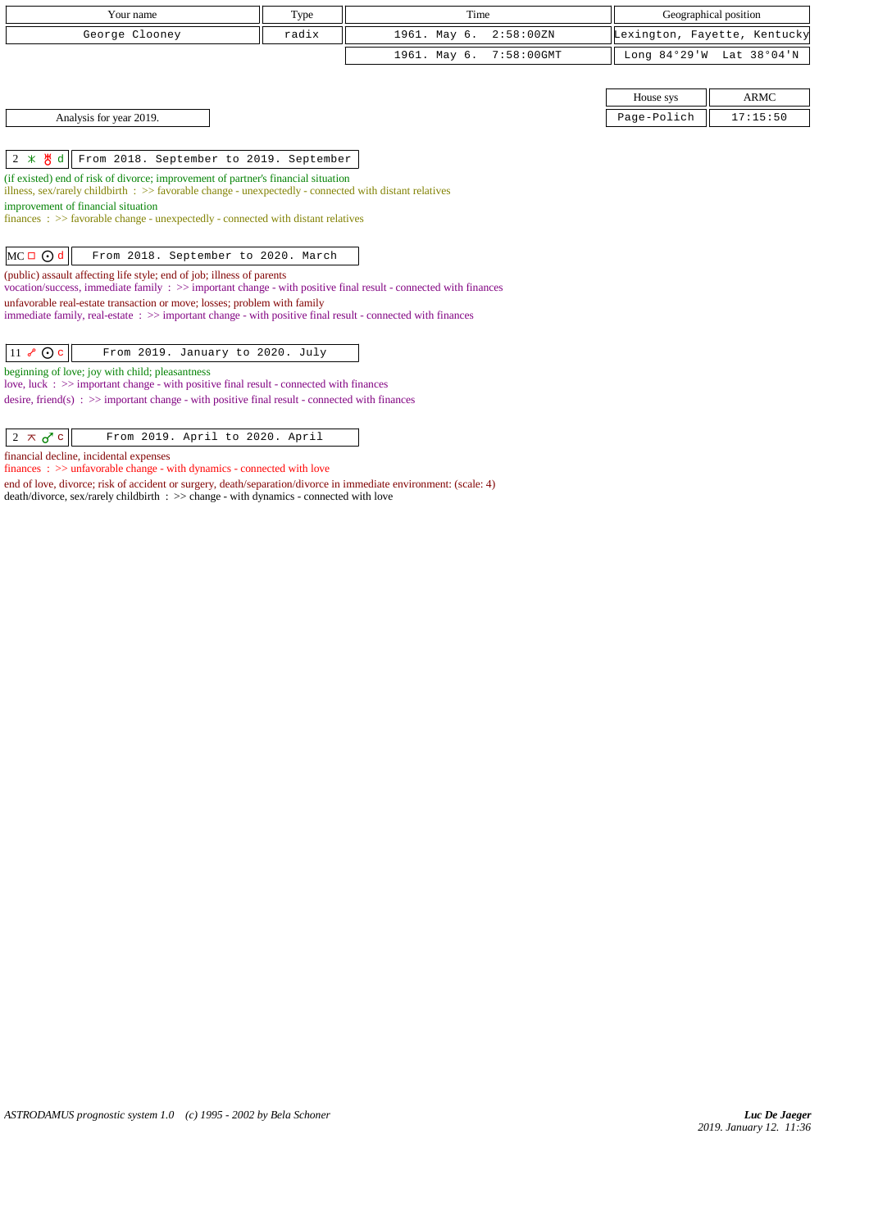| Your name                                                                                                      | Time<br>Type |                         | Geographical position |                              |
|----------------------------------------------------------------------------------------------------------------|--------------|-------------------------|-----------------------|------------------------------|
| radix<br>George Clooney                                                                                        |              | 1961. May 6. 2:58:00ZN  |                       | Lexington, Fayette, Kentucky |
|                                                                                                                |              | 1961. May 6. 7:58:00GMT |                       | Long 84°29'W Lat 38°04'N     |
|                                                                                                                |              |                         |                       |                              |
|                                                                                                                |              |                         | House sys             | ARMC                         |
| Analysis for year 2019.                                                                                        |              |                         | Page-Polich           | 17:15:50                     |
|                                                                                                                |              |                         |                       |                              |
| $2 \times \frac{1}{6}$ d   From 2018. September to 2019. September                                             |              |                         |                       |                              |
| . The contracted being the first distance in the concentration of a company financial status than the contract |              |                         |                       |                              |

(if existed) end of risk of divorce; improvement of partner's financial situation

illness, sex/rarely childbirth : >> favorable change - unexpectedly - connected with distant relatives

improvement of financial situation

finances : >> favorable change - unexpectedly - connected with distant relatives

## $MC \Box \bigodot d$  From 2018. September to 2020. March

(public) assault affecting life style; end of job; illness of parents vocation/success, immediate family : >> important change - with positive final result - connected with finances unfavorable real-estate transaction or move; losses; problem with family

immediate family, real-estate : >> important change - with positive final result - connected with finances

|  | $\boxed{11$ $\sqrt[3]{\text{O}}$ c From 2019. January to 2020. July |
|--|---------------------------------------------------------------------|
|--|---------------------------------------------------------------------|

beginning of love; joy with child; pleasantness

love, luck :  $\gg$  important change - with positive final result - connected with finances desire, friend(s) : >> important change - with positive final result - connected with finances

financial decline, incidental expenses

finances : >> unfavorable change - with dynamics - connected with love end of love, divorce; risk of accident or surgery, death/separation/divorce in immediate environment: (scale: 4)

death/divorce, sex/rarely childbirth : >> change - with dynamics - connected with love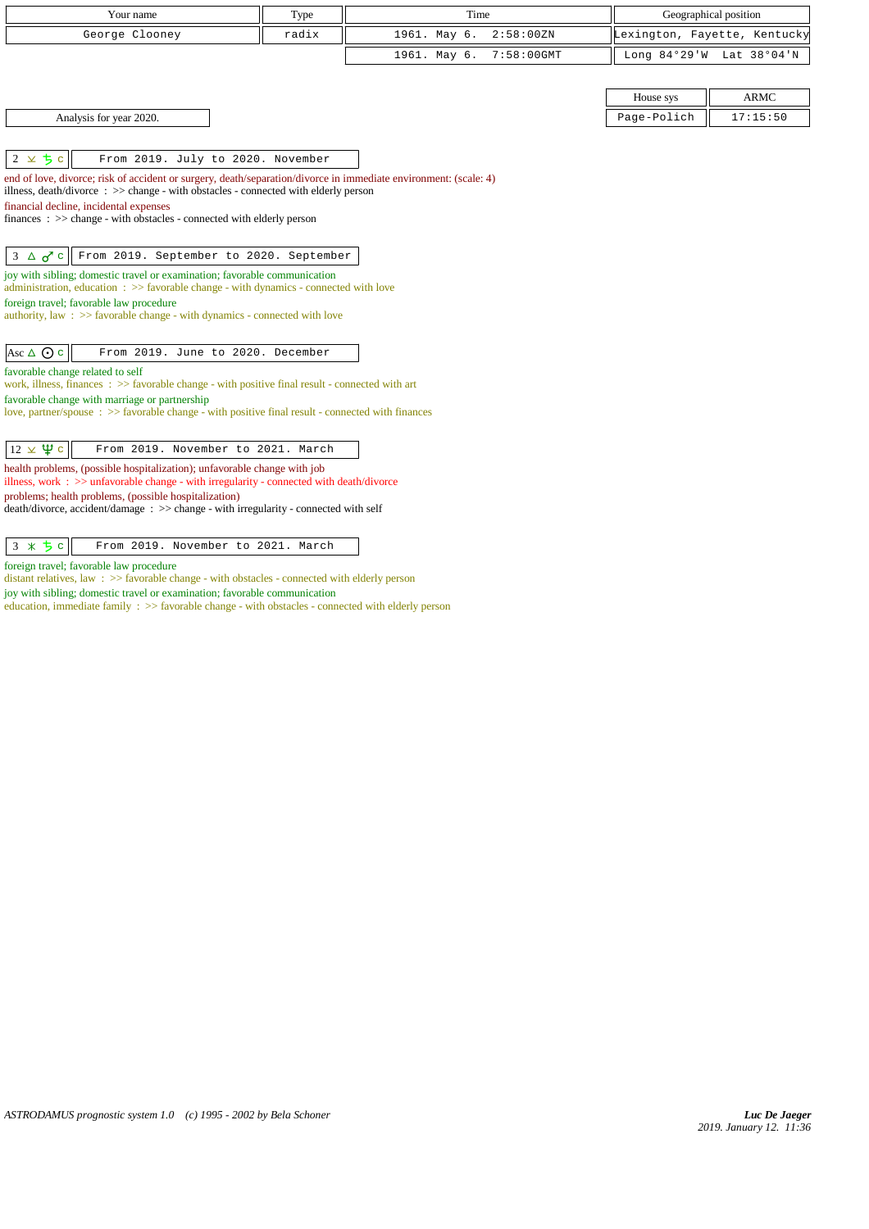| Your name                                                                                                                                     | Type  | Time                          | Geographical position |                              |
|-----------------------------------------------------------------------------------------------------------------------------------------------|-------|-------------------------------|-----------------------|------------------------------|
| George Clooney                                                                                                                                | radix | 1961. May 6.<br>2:58:00ZN     |                       | Lexington, Fayette, Kentucky |
|                                                                                                                                               |       | 1961. May 6.<br>$7:58:00$ GMT |                       | Long 84°29'W Lat 38°04'N     |
|                                                                                                                                               |       |                               |                       |                              |
|                                                                                                                                               |       |                               | House sys             | <b>ARMC</b>                  |
|                                                                                                                                               |       |                               | Page-Polich           | 17:15:50                     |
| Analysis for year 2020.                                                                                                                       |       |                               |                       |                              |
|                                                                                                                                               |       |                               |                       |                              |
| $2 \times 5c$<br>From 2019. July to 2020. November                                                                                            |       |                               |                       |                              |
| end of love, divorce; risk of accident or surgery, death/separation/divorce in immediate environment: (scale: 4)                              |       |                               |                       |                              |
| illness, death/divorce: >> change - with obstacles - connected with elderly person<br>financial decline, incidental expenses                  |       |                               |                       |                              |
| finances: >> change - with obstacles - connected with elderly person                                                                          |       |                               |                       |                              |
|                                                                                                                                               |       |                               |                       |                              |
| From 2019. September to 2020. September<br>$3 \Delta \sigma^2$ c                                                                              |       |                               |                       |                              |
| joy with sibling; domestic travel or examination; favorable communication                                                                     |       |                               |                       |                              |
| administration, education $\Rightarrow$ Savorable change - with dynamics - connected with love                                                |       |                               |                       |                              |
| foreign travel; favorable law procedure                                                                                                       |       |                               |                       |                              |
| authority, law : $\gg$ favorable change - with dynamics - connected with love                                                                 |       |                               |                       |                              |
| From 2019. June to 2020. December                                                                                                             |       |                               |                       |                              |
| Asc $\triangle$ $\odot$ c                                                                                                                     |       |                               |                       |                              |
| favorable change related to self<br>work, illness, finances $\Rightarrow$ Savorable change - with positive final result - connected with art  |       |                               |                       |                              |
| favorable change with marriage or partnership                                                                                                 |       |                               |                       |                              |
| love, partner/spouse $\Rightarrow$ favorable change - with positive final result - connected with finances                                    |       |                               |                       |                              |
|                                                                                                                                               |       |                               |                       |                              |
| $12 \times \Psi$ c<br>From 2019. November to 2021. March                                                                                      |       |                               |                       |                              |
| health problems, (possible hospitalization); unfavorable change with job                                                                      |       |                               |                       |                              |
| illness, work : $\gg$ unfavorable change - with irregularity - connected with death/divorce                                                   |       |                               |                       |                              |
| problems; health problems, (possible hospitalization)<br>death/divorce, accident/damage : >> change - with irregularity - connected with self |       |                               |                       |                              |
|                                                                                                                                               |       |                               |                       |                              |
| From 2019. November to 2021. March                                                                                                            |       |                               |                       |                              |
| $3 * 5c$                                                                                                                                      |       |                               |                       |                              |

foreign travel; favorable law procedure

distant relatives, law : >> favorable change - with obstacles - connected with elderly person joy with sibling; domestic travel or examination; favorable communication

education, immediate family :  $>$  favorable change - with obstacles - connected with elderly person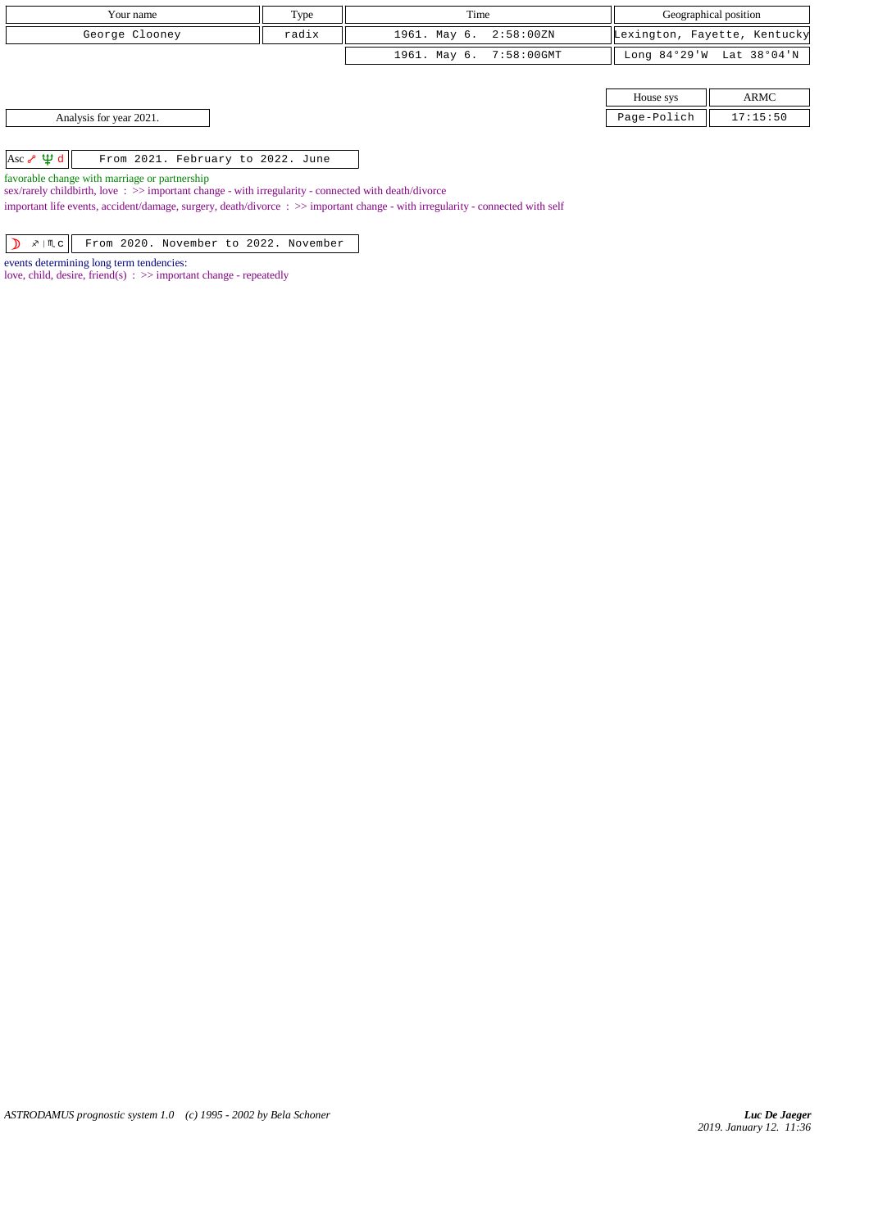| Your name                                                                                                                                                                                                                                                                       | Type                                              | Time                    | Geographical position        |                          |
|---------------------------------------------------------------------------------------------------------------------------------------------------------------------------------------------------------------------------------------------------------------------------------|---------------------------------------------------|-------------------------|------------------------------|--------------------------|
| George Clooney                                                                                                                                                                                                                                                                  | radix                                             | 1961. May 6. 2:58:00ZN  | Lexington, Fayette, Kentucky |                          |
|                                                                                                                                                                                                                                                                                 |                                                   | 1961. May 6. 7:58:00GMT |                              | Long 84°29'W Lat 38°04'N |
|                                                                                                                                                                                                                                                                                 |                                                   |                         |                              |                          |
|                                                                                                                                                                                                                                                                                 |                                                   |                         | House sys                    | <b>ARMC</b>              |
| Analysis for year 2021.                                                                                                                                                                                                                                                         |                                                   |                         | Page-Polich                  | 17:15:50                 |
|                                                                                                                                                                                                                                                                                 |                                                   |                         |                              |                          |
| Asc $\sqrt{4} d$<br>From 2021. February to 2022. June                                                                                                                                                                                                                           |                                                   |                         |                              |                          |
| favorable change with marriage or partnership<br>the contract of the second contract of the contract of the contract of the contract of the contract of the contract of the contract of the contract of the contract of the contract of the contract of the contract of the con | 医无神经 医无心包 医心脏 医心脏病 医心脏病 医心脏病 医心脏 医心脏 医心脏 医心脏 医单位性 |                         |                              |                          |

sex/rarely childbirth, love : >> important change - with irregularity - connected with death/divorce

important life events, accident/damage, surgery, death/divorce : >> important change - with irregularity - connected with self

1 x | m c From 2020. November to 2022. November

events determining long term tendencies:

love, child, desire, friend(s) : >> important change - repeatedly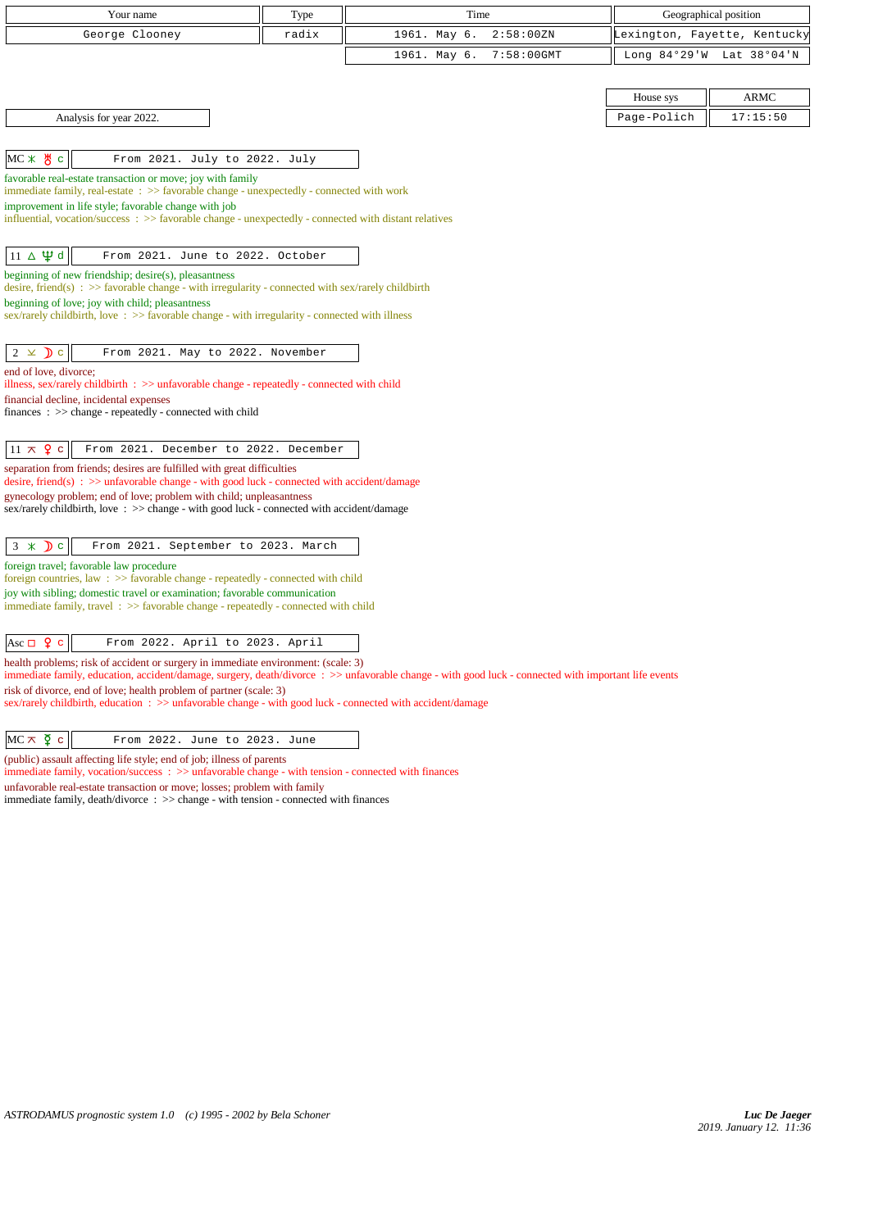| Your name                                                                                                                                                             | Type  | Time                                                                                                                                                |             | Geographical position        |
|-----------------------------------------------------------------------------------------------------------------------------------------------------------------------|-------|-----------------------------------------------------------------------------------------------------------------------------------------------------|-------------|------------------------------|
| George Clooney                                                                                                                                                        | radix | 1961. May 6.<br>2:58:00 ZN                                                                                                                          |             | Lexington, Fayette, Kentucky |
|                                                                                                                                                                       |       | 1961. May 6.<br>$7:58:00$ GMT                                                                                                                       |             | Long 84°29'W Lat 38°04'N     |
|                                                                                                                                                                       |       |                                                                                                                                                     |             |                              |
|                                                                                                                                                                       |       |                                                                                                                                                     | House sys   | <b>ARMC</b>                  |
| Analysis for year 2022.                                                                                                                                               |       |                                                                                                                                                     | Page-Polich | 17:15:50                     |
|                                                                                                                                                                       |       |                                                                                                                                                     |             |                              |
| 쁑<br>$MC \times$<br>$\mathbf C$<br>From 2021. July to 2022. July                                                                                                      |       |                                                                                                                                                     |             |                              |
| favorable real-estate transaction or move; joy with family                                                                                                            |       |                                                                                                                                                     |             |                              |
| immediate family, real-estate : >> favorable change - unexpectedly - connected with work<br>improvement in life style; favorable change with job                      |       |                                                                                                                                                     |             |                              |
| influential, vocation/success $\therefore$ >> favorable change - unexpectedly - connected with distant relatives                                                      |       |                                                                                                                                                     |             |                              |
|                                                                                                                                                                       |       |                                                                                                                                                     |             |                              |
| $11 \Delta \Psi d$<br>From 2021. June to 2022. October                                                                                                                |       |                                                                                                                                                     |             |                              |
| beginning of new friendship; desire(s), pleasantness<br>desire, friend(s) : $\gg$ favorable change - with irregularity - connected with sex/rarely childbirth         |       |                                                                                                                                                     |             |                              |
| beginning of love; joy with child; pleasantness                                                                                                                       |       |                                                                                                                                                     |             |                              |
| sex/rarely childbirth, love: $\gg$ favorable change - with irregularity - connected with illness                                                                      |       |                                                                                                                                                     |             |                              |
| $2 \times D$ c<br>From 2021. May to 2022. November                                                                                                                    |       |                                                                                                                                                     |             |                              |
| end of love, divorce;                                                                                                                                                 |       |                                                                                                                                                     |             |                              |
| illness, sex/rarely childbirth : >> unfavorable change - repeatedly - connected with child                                                                            |       |                                                                                                                                                     |             |                              |
| financial decline, incidental expenses<br>finances : $\gg$ change - repeatedly - connected with child                                                                 |       |                                                                                                                                                     |             |                              |
|                                                                                                                                                                       |       |                                                                                                                                                     |             |                              |
| $11 \times 9$ c<br>From 2021. December to 2022. December                                                                                                              |       |                                                                                                                                                     |             |                              |
| separation from friends; desires are fulfilled with great difficulties                                                                                                |       |                                                                                                                                                     |             |                              |
| desire, friend(s) : $\gg$ unfavorable change - with good luck - connected with accident/damage<br>gynecology problem; end of love; problem with child; unpleasantness |       |                                                                                                                                                     |             |                              |
| sex/rarely childbirth, love: >> change - with good luck - connected with accident/damage                                                                              |       |                                                                                                                                                     |             |                              |
|                                                                                                                                                                       |       |                                                                                                                                                     |             |                              |
| $3 \times Dc$<br>From 2021. September to 2023. March                                                                                                                  |       |                                                                                                                                                     |             |                              |
| foreign travel; favorable law procedure<br>foreign countries, law $\Rightarrow$ favorable change - repeatedly - connected with child                                  |       |                                                                                                                                                     |             |                              |
| joy with sibling; domestic travel or examination; favorable communication                                                                                             |       |                                                                                                                                                     |             |                              |
| immediate family, travel: >> favorable change - repeatedly - connected with child                                                                                     |       |                                                                                                                                                     |             |                              |
| Asc $\Box$ 9 c<br>From 2022. April to 2023. April                                                                                                                     |       |                                                                                                                                                     |             |                              |
| health problems; risk of accident or surgery in immediate environment: (scale: 3)                                                                                     |       |                                                                                                                                                     |             |                              |
| risk of divorce, end of love; health problem of partner (scale: 3)                                                                                                    |       | immediate family, education, accident/damage, surgery, death/divorce: >> unfavorable change - with good luck - connected with important life events |             |                              |
| sex/rarely childbirth, education : >> unfavorable change - with good luck - connected with accident/damage                                                            |       |                                                                                                                                                     |             |                              |

| $MC \times \Sigma$ c | From 2022. June to 2023. June |  |  |  |
|----------------------|-------------------------------|--|--|--|
|----------------------|-------------------------------|--|--|--|

(public) assault affecting life style; end of job; illness of parents

immediate family, vocation/success : >> unfavorable change - with tension - connected with finances unfavorable real-estate transaction or move; losses; problem with family immediate family, death/divorce : >> change - with tension - connected with finances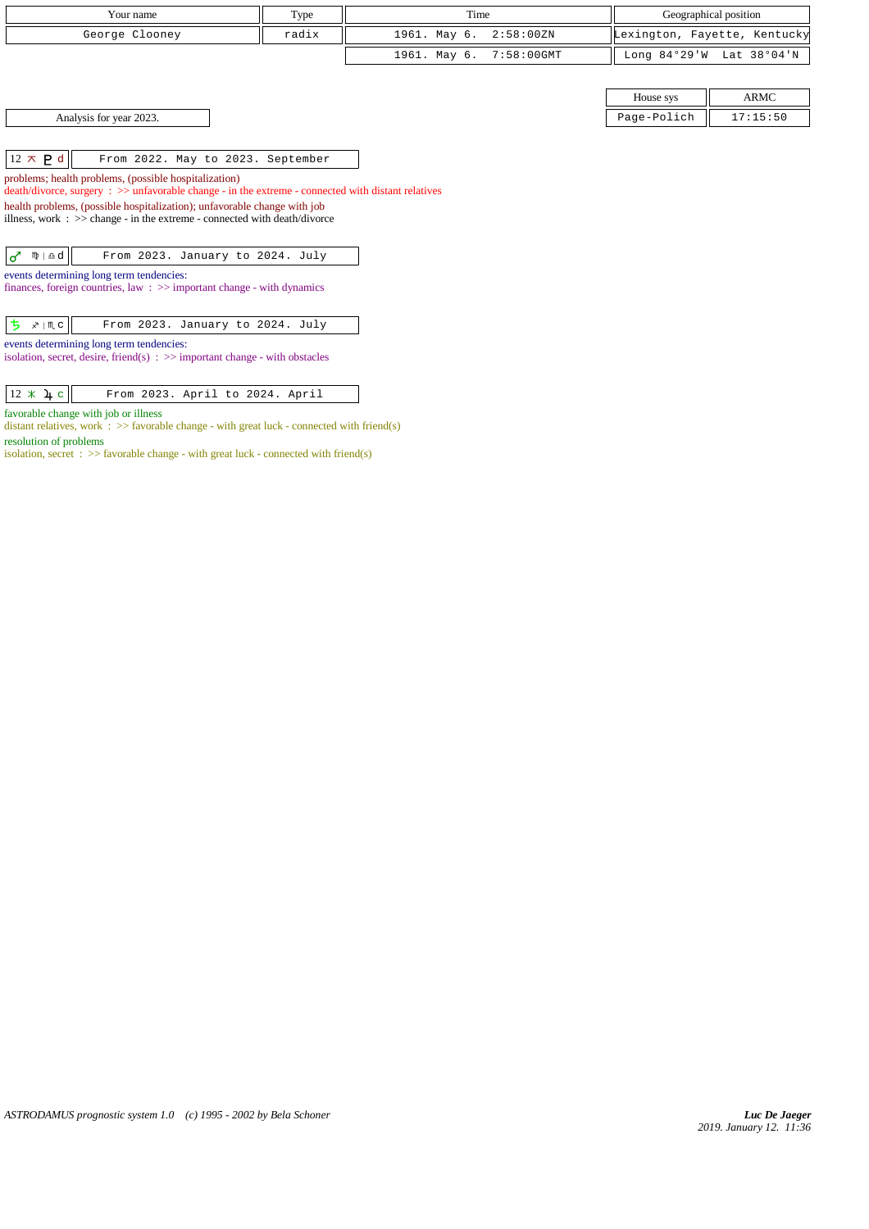| Your name                                                                                                                                                     | Type  | Time                       | Geographical position |                              |
|---------------------------------------------------------------------------------------------------------------------------------------------------------------|-------|----------------------------|-----------------------|------------------------------|
| George Clooney                                                                                                                                                | radix | 2:58:00 ZN<br>1961. May 6. |                       | Lexington, Fayette, Kentucky |
|                                                                                                                                                               |       | 1961. May 6.<br>7:58:00GMT |                       | Long 84°29'W Lat 38°04'N     |
|                                                                                                                                                               |       |                            |                       |                              |
|                                                                                                                                                               |       |                            | House sys             | <b>ARMC</b>                  |
| Analysis for year 2023.                                                                                                                                       |       |                            | Page-Polich           | 17:15:50                     |
|                                                                                                                                                               |       |                            |                       |                              |
| $12 \times P d$<br>From 2022. May to 2023. September                                                                                                          |       |                            |                       |                              |
| problems; health problems, (possible hospitalization)<br>$death/divorce, surgery : >> unfavorable change - in the extreme - connected with distant relatives$ |       |                            |                       |                              |
| health problems, (possible hospitalization); unfavorable change with job                                                                                      |       |                            |                       |                              |
| illness, work : $\gg$ change - in the extreme - connected with death/divorce                                                                                  |       |                            |                       |                              |
|                                                                                                                                                               |       |                            |                       |                              |
| $\sigma$<br>From 2023. January to 2024. July<br>$m \nvert \Delta d$                                                                                           |       |                            |                       |                              |
| events determining long term tendencies:<br>finances, foreign countries, law $\Rightarrow$ important change - with dynamics                                   |       |                            |                       |                              |
|                                                                                                                                                               |       |                            |                       |                              |
| ち<br>҂ ∣Щ с<br>From 2023. January to 2024. July                                                                                                               |       |                            |                       |                              |
| events determining long term tendencies:<br>isolation, secret, desire, friend(s) $\Rightarrow$ important change - with obstacles                              |       |                            |                       |                              |

 $\boxed{12 \times \mathbf{\lambda} \cdot \mathbf{c}}$  From 2023. April to 2024. April

favorable change with job or illness

distant relatives, work :  $\gg$  favorable change - with great luck - connected with friend(s) resolution of problems

isolation, secret :  $\gg$  favorable change - with great luck - connected with friend(s)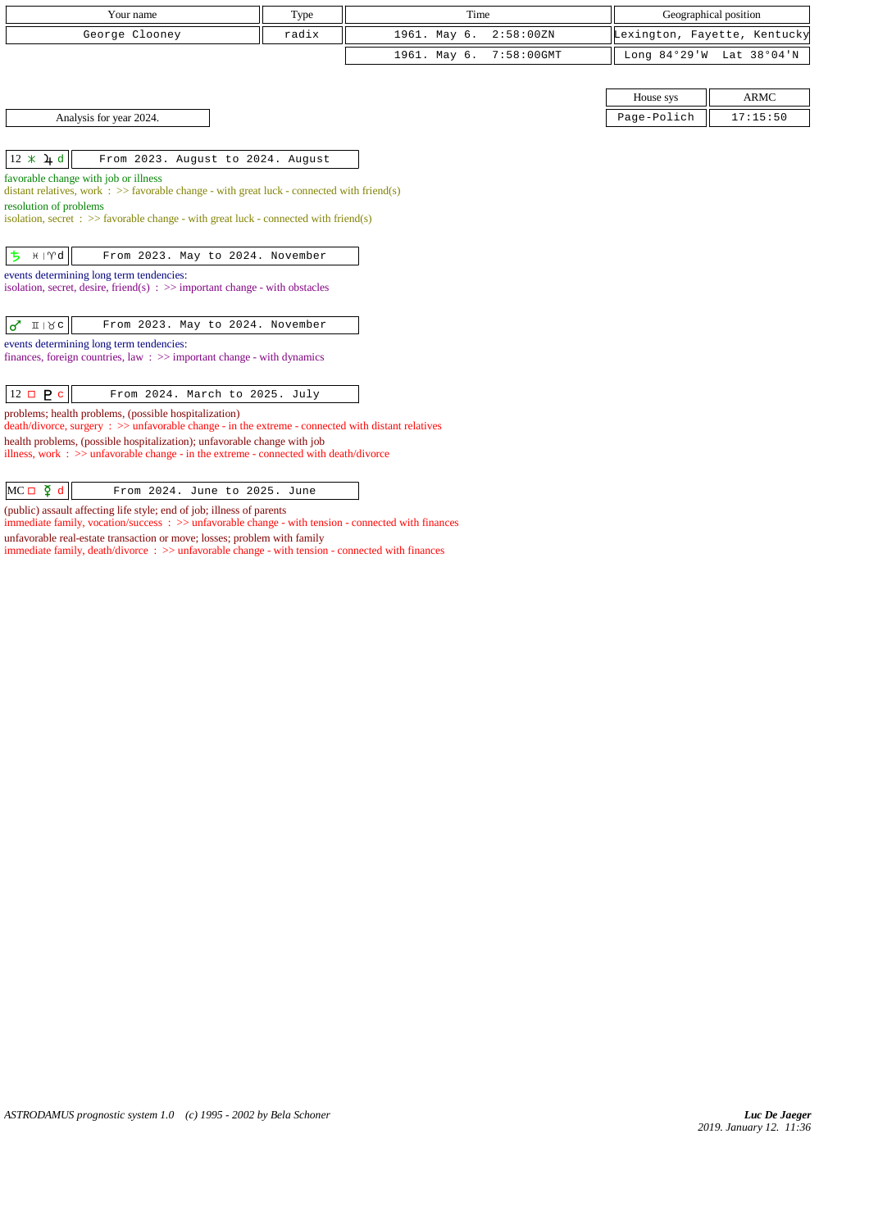| Your name                                                                                                                                                                                                                                                                                                                             | Type  | Time                          |                | Geographical position        |
|---------------------------------------------------------------------------------------------------------------------------------------------------------------------------------------------------------------------------------------------------------------------------------------------------------------------------------------|-------|-------------------------------|----------------|------------------------------|
| George Clooney                                                                                                                                                                                                                                                                                                                        | radix | 1961. May 6.<br>2:58:00 ZN    |                | Lexington, Fayette, Kentucky |
|                                                                                                                                                                                                                                                                                                                                       |       | 1961. May 6.<br>$7:58:00$ GMT | Long $84°29'W$ | Lat 38°04'N                  |
|                                                                                                                                                                                                                                                                                                                                       |       |                               |                |                              |
|                                                                                                                                                                                                                                                                                                                                       |       |                               | House sys      | <b>ARMC</b>                  |
| Analysis for year 2024.                                                                                                                                                                                                                                                                                                               |       |                               | Page-Polich    | 17:15:50                     |
|                                                                                                                                                                                                                                                                                                                                       |       |                               |                |                              |
| $12 * 4d$<br>From 2023. August to 2024. August                                                                                                                                                                                                                                                                                        |       |                               |                |                              |
| favorable change with job or illness<br>distant relatives, work $\Rightarrow$ Savorable change - with great luck - connected with friend(s)<br>resolution of problems<br>isolation, secret : $\gg$ favorable change - with great luck - connected with friend(s)                                                                      |       |                               |                |                              |
| ち<br>$H \upharpoonright \mathcal{M}$<br>From 2023. May to 2024. November<br>events determining long term tendencies:<br>isolation, secret, desire, friend(s) $\Rightarrow$ important change - with obstacles                                                                                                                          |       |                               |                |                              |
| $\sigma$ $\pi$   $\alpha$  <br>From 2023. May to 2024. November                                                                                                                                                                                                                                                                       |       |                               |                |                              |
| events determining long term tendencies:<br>finances, foreign countries, law $\Rightarrow$ important change - with dynamics                                                                                                                                                                                                           |       |                               |                |                              |
| $12 \Box P c$<br>From 2024. March to 2025. July                                                                                                                                                                                                                                                                                       |       |                               |                |                              |
| problems; health problems, (possible hospitalization)<br>$death/divorce, surgery : >> unfavorable change - in the extreme - connected with distant relatives$<br>health problems, (possible hospitalization); unfavorable change with job<br>illness, work : $\gg$ unfavorable change - in the extreme - connected with death/divorce |       |                               |                |                              |

| $MC \Box$<br>ll 6 ŏ |  |  | From 2024. June to 2025. June |  |
|---------------------|--|--|-------------------------------|--|

(public) assault affecting life style; end of job; illness of parents

immediate family, vocation/success : >> unfavorable change - with tension - connected with finances

unfavorable real-estate transaction or move; losses; problem with family

immediate family, death/divorce :  $\gg$  unfavorable change - with tension - connected with finances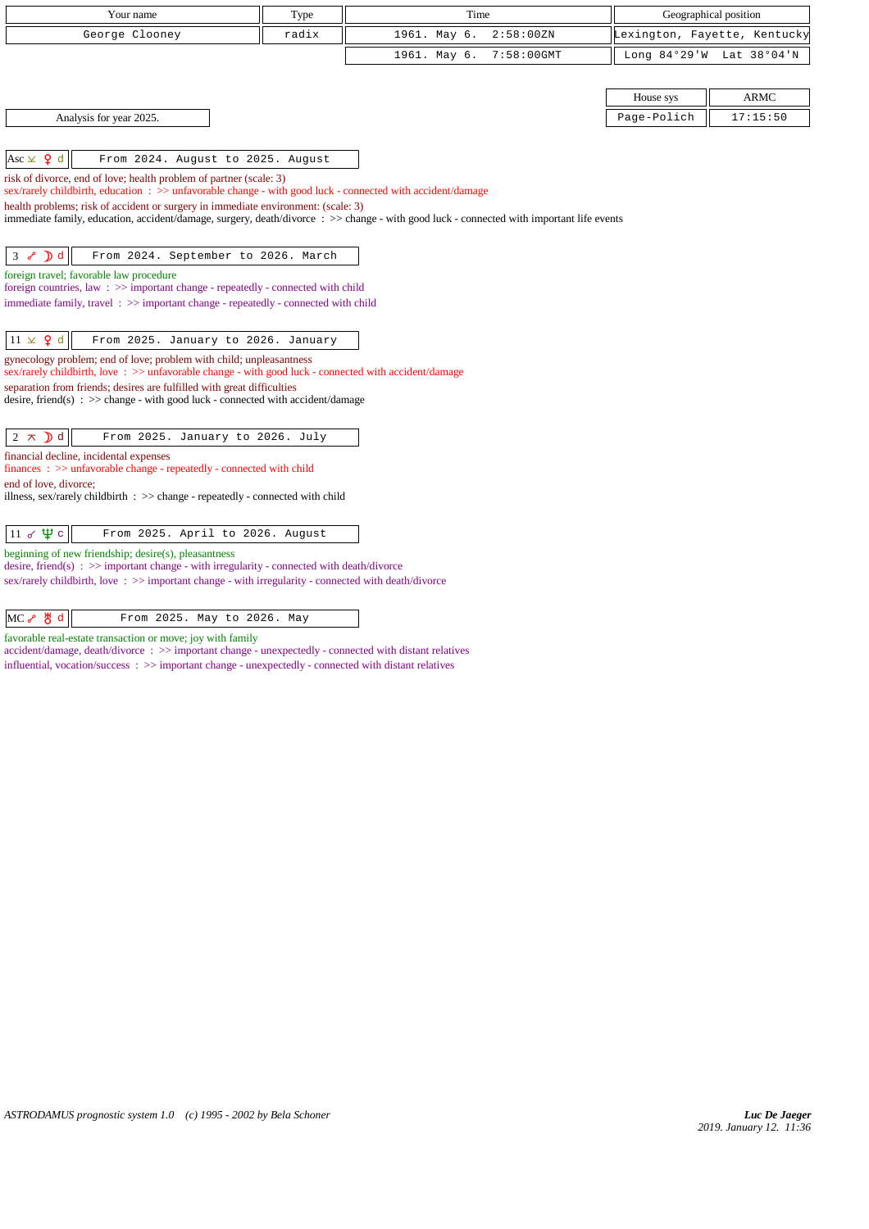| Your name                                                                                                                                                                                               | Type  | Time         |            | Geographical position |                              |
|---------------------------------------------------------------------------------------------------------------------------------------------------------------------------------------------------------|-------|--------------|------------|-----------------------|------------------------------|
| George Clooney                                                                                                                                                                                          | radix | 1961. May 6. | 2:58:00 ZN |                       | Lexington, Fayette, Kentucky |
|                                                                                                                                                                                                         |       | 1961. May 6. | 7:58:00GMT |                       | Long 84°29'W Lat 38°04'N     |
|                                                                                                                                                                                                         |       |              |            |                       |                              |
|                                                                                                                                                                                                         |       |              |            | House sys             | <b>ARMC</b>                  |
| Analysis for year 2025.                                                                                                                                                                                 |       |              |            | Page-Polich           | 17:15:50                     |
|                                                                                                                                                                                                         |       |              |            |                       |                              |
| Asc $\times$ 9 d<br>From 2024. August to 2025. August                                                                                                                                                   |       |              |            |                       |                              |
| risk of divorce, end of love; health problem of partner (scale: 3)<br>sex/rarely childbirth, education : >> unfavorable change - with good luck - connected with accident/damage                        |       |              |            |                       |                              |
| health problems; risk of accident or surgery in immediate environment: (scale: 3)                                                                                                                       |       |              |            |                       |                              |
| immediate family, education, accident/damage, surgery, death/divorce : >> change - with good luck - connected with important life events                                                                |       |              |            |                       |                              |
|                                                                                                                                                                                                         |       |              |            |                       |                              |
| $3 \times D d$<br>From 2024. September to 2026. March                                                                                                                                                   |       |              |            |                       |                              |
| foreign travel; favorable law procedure<br>foreign countries, law $\Rightarrow$ important change - repeatedly - connected with child                                                                    |       |              |            |                       |                              |
| immediate family, travel: >> important change - repeatedly - connected with child                                                                                                                       |       |              |            |                       |                              |
|                                                                                                                                                                                                         |       |              |            |                       |                              |
| $11 \times 9$ d<br>From 2025. January to 2026. January                                                                                                                                                  |       |              |            |                       |                              |
| gynecology problem; end of love; problem with child; unpleasantness<br>sex/rarely childbirth, love: >> unfavorable change - with good luck - connected with accident/damage                             |       |              |            |                       |                              |
| separation from friends; desires are fulfilled with great difficulties                                                                                                                                  |       |              |            |                       |                              |
| desire, friend(s) : $\gg$ change - with good luck - connected with accident/damage                                                                                                                      |       |              |            |                       |                              |
| $2 \times D d$<br>From 2025. January to 2026. July                                                                                                                                                      |       |              |            |                       |                              |
| financial decline, incidental expenses                                                                                                                                                                  |       |              |            |                       |                              |
| $finances : \gg$ unfavorable change - repeatedly - connected with child                                                                                                                                 |       |              |            |                       |                              |
| end of love, divorce;<br>illness, sex/rarely childbirth $\Rightarrow$ >> change - repeatedly - connected with child                                                                                     |       |              |            |                       |                              |
|                                                                                                                                                                                                         |       |              |            |                       |                              |
| 11 $\sigma \Psi c$<br>From 2025. April to 2026. August                                                                                                                                                  |       |              |            |                       |                              |
| beginning of new friendship; desire(s), pleasantness                                                                                                                                                    |       |              |            |                       |                              |
| desire, friend(s) : $\gg$ important change - with irregularity - connected with death/divorce<br>sex/rarely childbirth, love: $\gg$ important change - with irregularity - connected with death/divorce |       |              |            |                       |                              |

 $MC \rightarrow \forall d$  d From 2025. May to 2026. May

favorable real-estate transaction or move; joy with family

accident/damage, death/divorce : >> important change - unexpectedly - connected with distant relatives influential, vocation/success  $\Rightarrow$   $\Rightarrow$  important change - unexpectedly - connected with distant relatives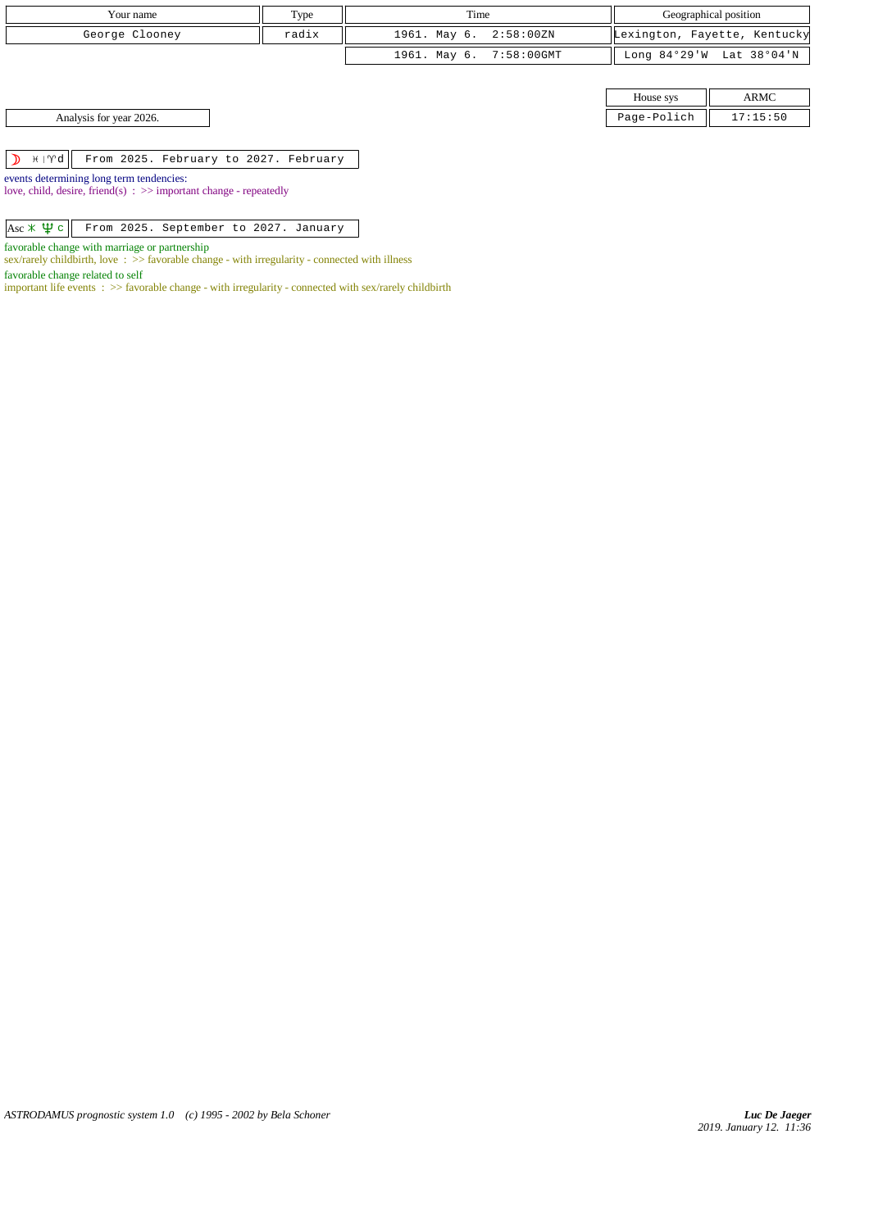| Your name               | Type  | Time                    | Geographical position |                              |
|-------------------------|-------|-------------------------|-----------------------|------------------------------|
| George Clooney          | radix | 1961. May 6. 2:58:00ZN  |                       | Lexington, Fayette, Kentucky |
|                         |       | 1961. May 6. 7:58:00GMT |                       | Long 84°29'W Lat 38°04'N     |
|                         |       |                         |                       |                              |
|                         |       |                         | House sys             | ARMC                         |
| Analysis for year 2026. |       |                         | Page-Polich           | 17:15:50                     |

 $\boxed{\mathcal{D}$   $\mathcal{H}$  |  $\mathcal{V}$   $\mathcal{D}$  |  $\mathcal{F}$  From 2025. February to 2027. February

events determining long term tendencies: love, child, desire, friend(s) : >> important change - repeatedly

Asc  $\angle$   $\Psi$  c From 2025. September to 2027. January

favorable change with marriage or partnership

sex/rarely childbirth, love : >> favorable change - with irregularity - connected with illness

favorable change related to self

important life events : >> favorable change - with irregularity - connected with sex/rarely childbirth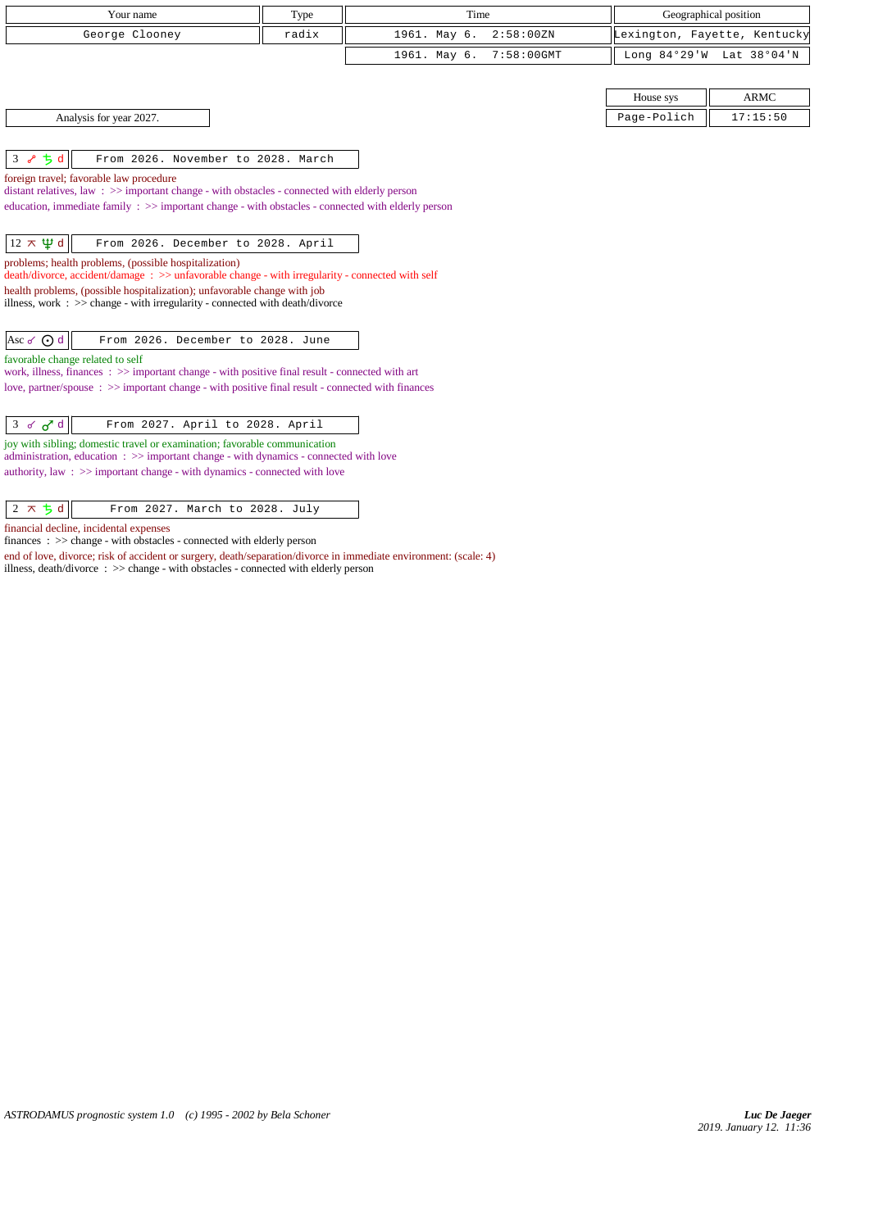| Your name                                                                                                                                                                                                                                                                                                                                                                              | Type  | Time                          | Geographical position        |                          |  |  |
|----------------------------------------------------------------------------------------------------------------------------------------------------------------------------------------------------------------------------------------------------------------------------------------------------------------------------------------------------------------------------------------|-------|-------------------------------|------------------------------|--------------------------|--|--|
| George Clooney                                                                                                                                                                                                                                                                                                                                                                         | radix | 1961. May 6.<br>2:58:00 ZN    | Lexington, Fayette, Kentucky |                          |  |  |
|                                                                                                                                                                                                                                                                                                                                                                                        |       | 1961. May 6.<br>$7:58:00$ GMT |                              | Long 84°29'W Lat 38°04'N |  |  |
|                                                                                                                                                                                                                                                                                                                                                                                        |       |                               | House sys                    | <b>ARMC</b>              |  |  |
| Analysis for year 2027.                                                                                                                                                                                                                                                                                                                                                                |       |                               | Page-Polich                  | 17:15:50                 |  |  |
| 3 $85d$<br>From 2026. November to 2028. March                                                                                                                                                                                                                                                                                                                                          |       |                               |                              |                          |  |  |
| foreign travel; favorable law procedure<br>distant relatives, law $\Rightarrow$ important change - with obstacles - connected with elderly person<br>education, immediate family : >> important change - with obstacles - connected with elderly person                                                                                                                                |       |                               |                              |                          |  |  |
| $12 \times \Psi d$<br>From 2026. December to 2028. April<br>problems; health problems, (possible hospitalization)<br>$death/divorce, accident/damage : >> unfavorable change - with irregularity - connected with self$<br>health problems, (possible hospitalization); unfavorable change with job<br>illness, work : $\gg$ change - with irregularity - connected with death/divorce |       |                               |                              |                          |  |  |
| Asc $\sigma$ $\Theta$ d<br>From 2026. December to 2028. June                                                                                                                                                                                                                                                                                                                           |       |                               |                              |                          |  |  |
| favorable change related to self<br>work, illness, finances $\Rightarrow$ important change - with positive final result - connected with art<br>love, partner/spouse $\Rightarrow$ >> important change - with positive final result - connected with finances                                                                                                                          |       |                               |                              |                          |  |  |
| From 2027. April to 2028. April<br>$3 \times d$<br>joy with sibling; domestic travel or examination; favorable communication<br>administration, education: >> important change - with dynamics - connected with love<br>authority, law $\Rightarrow$ important change - with dynamics - connected with love                                                                            |       |                               |                              |                          |  |  |

 $\boxed{2 \times 5 \text{ d}}$  From 2027. March to 2028. July

financial decline, incidental expenses

finances :  $>>$  change - with obstacles - connected with elderly person

end of love, divorce; risk of accident or surgery, death/separation/divorce in immediate environment: (scale: 4) illness, death/divorce : >> change - with obstacles - connected with elderly person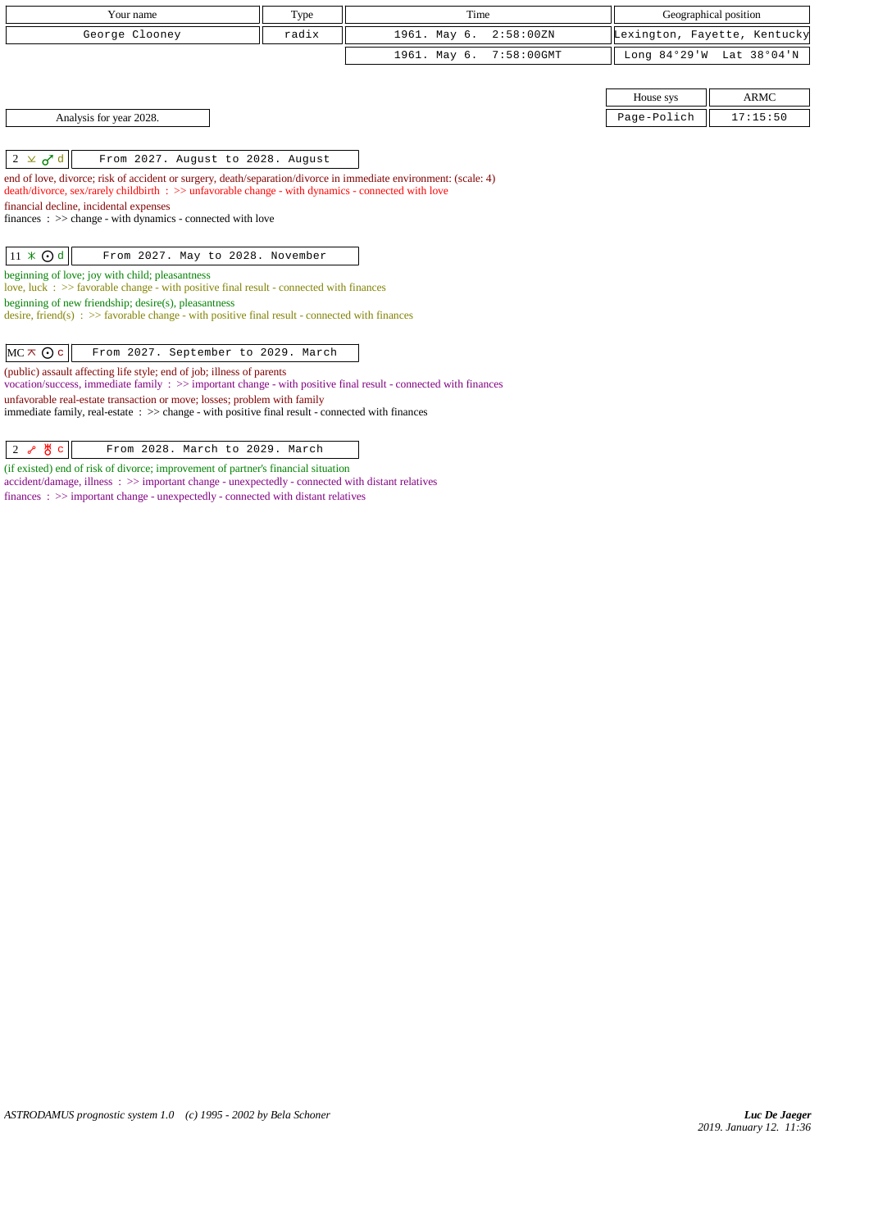| Your name                                                                                                                                                                                                                                                           | Type  | Time                          |                | Geographical position        |
|---------------------------------------------------------------------------------------------------------------------------------------------------------------------------------------------------------------------------------------------------------------------|-------|-------------------------------|----------------|------------------------------|
| George Clooney                                                                                                                                                                                                                                                      | radix | 1961. May 6.<br>2:58:00 ZN    |                | Lexington, Fayette, Kentucky |
|                                                                                                                                                                                                                                                                     |       | 1961. May 6.<br>$7:58:00$ GMT | Long $84°29'W$ | Lat 38°04'N                  |
|                                                                                                                                                                                                                                                                     |       |                               |                |                              |
|                                                                                                                                                                                                                                                                     |       |                               | House sys      | <b>ARMC</b>                  |
| Analysis for year 2028.                                                                                                                                                                                                                                             |       |                               | Page-Polich    | 17:15:50                     |
|                                                                                                                                                                                                                                                                     |       |                               |                |                              |
| $2 \times d$<br>From 2027. August to 2028. August                                                                                                                                                                                                                   |       |                               |                |                              |
| death/divorce, sex/rarely childbirth : >> unfavorable change - with dynamics - connected with love<br>financial decline, incidental expenses<br>finances : $\gg$ change - with dynamics - connected with love<br>$11 \times 0d$<br>From 2027. May to 2028. November |       |                               |                |                              |
| beginning of love; joy with child; pleasantness                                                                                                                                                                                                                     |       |                               |                |                              |
| love, luck $\Rightarrow$ 5 favorable change - with positive final result - connected with finances                                                                                                                                                                  |       |                               |                |                              |
| beginning of new friendship; desire(s), pleasantness                                                                                                                                                                                                                |       |                               |                |                              |
| desire, friend(s) : $\gg$ favorable change - with positive final result - connected with finances                                                                                                                                                                   |       |                               |                |                              |
| $MC \times Q$ c<br>From 2027. September to 2029. March<br>(public) assault affecting life style; end of job; illness of parents<br>vocation/success, immediate family : >> important change - with positive final result - connected with finances                  |       |                               |                |                              |
| unfavorable real-estate transaction or move; losses; problem with family<br>immediate family, real-estate $\Rightarrow$ > change - with positive final result - connected with finances                                                                             |       |                               |                |                              |

 $2 \frac{8}{6}$   $\frac{8}{6}$  From 2028. March to 2029. March

(if existed) end of risk of divorce; improvement of partner's financial situation accident/damage, illness : >> important change - unexpectedly - connected with distant relatives finances :  $\gg$  important change - unexpectedly - connected with distant relatives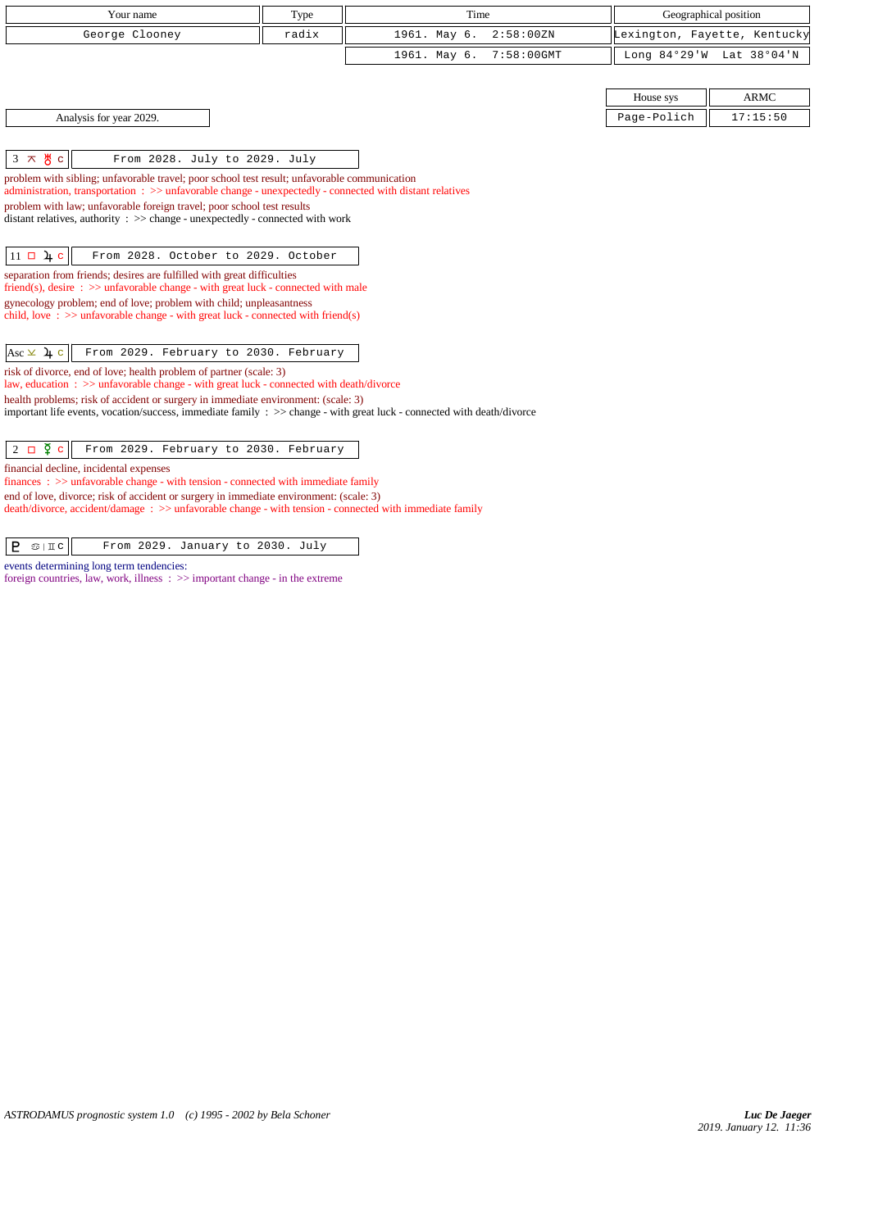| Your name                                                                                                                                                                                               | Type  | Time                          | Geographical position        |             |  |
|---------------------------------------------------------------------------------------------------------------------------------------------------------------------------------------------------------|-------|-------------------------------|------------------------------|-------------|--|
| George Clooney                                                                                                                                                                                          | radix | 1961. May 6.<br>2:58:00 ZN    | Lexington, Fayette, Kentucky |             |  |
|                                                                                                                                                                                                         |       | 1961. May 6.<br>$7:58:00$ GMT | Long $84°29'W$               | Lat 38°04'N |  |
|                                                                                                                                                                                                         |       |                               |                              |             |  |
|                                                                                                                                                                                                         |       |                               | House sys                    | <b>ARMC</b> |  |
| Analysis for year 2029.                                                                                                                                                                                 |       |                               | Page-Polich                  | 17:15:50    |  |
|                                                                                                                                                                                                         |       |                               |                              |             |  |
| $3 \times \frac{14}{0}$ c<br>From 2028. July to 2029. July                                                                                                                                              |       |                               |                              |             |  |
| problem with sibling; unfavorable travel; poor school test result; unfavorable communication<br>administration, transportation: >> unfavorable change - unexpectedly - connected with distant relatives |       |                               |                              |             |  |
| problem with law; unfavorable foreign travel; poor school test results                                                                                                                                  |       |                               |                              |             |  |
| distant relatives, authority : $\gg$ change - unexpectedly - connected with work                                                                                                                        |       |                               |                              |             |  |
|                                                                                                                                                                                                         |       |                               |                              |             |  |
| $11 \Box 4c$<br>From 2028. October to 2029. October                                                                                                                                                     |       |                               |                              |             |  |
| separation from friends; desires are fulfilled with great difficulties<br>friend(s), desire $\Rightarrow$ >> unfavorable change - with great luck - connected with male                                 |       |                               |                              |             |  |
| gynecology problem; end of love; problem with child; unpleasantness                                                                                                                                     |       |                               |                              |             |  |
| child, love : $\gg$ unfavorable change - with great luck - connected with friend(s)                                                                                                                     |       |                               |                              |             |  |
| Asc $\times$ 4 c<br>From 2029. February to 2030. February                                                                                                                                               |       |                               |                              |             |  |
| risk of divorce, end of love; health problem of partner (scale: 3)<br>law, education : >> unfavorable change - with great luck - connected with death/divorce                                           |       |                               |                              |             |  |
| health problems; risk of accident or surgery in immediate environment: (scale: 3)                                                                                                                       |       |                               |                              |             |  |
| important life events, vocation/success, immediate family : $\gg$ change - with great luck - connected with death/divorce                                                                               |       |                               |                              |             |  |
|                                                                                                                                                                                                         |       |                               |                              |             |  |
| $2 \Box \Phi c$<br>From 2029. February to 2030. February                                                                                                                                                |       |                               |                              |             |  |
| financial decline, incidental expenses<br>$finances: \gg$ unfavorable change - with tension - connected with immediate family                                                                           |       |                               |                              |             |  |
| end of love, divorce; risk of accident or surgery in immediate environment: (scale: 3)                                                                                                                  |       |                               |                              |             |  |
| $death/divorce, accident/damage : >> unfavorable change - with tension - connected with immediate family$                                                                                               |       |                               |                              |             |  |
| P<br>From 2029. January to 2030. July<br>$\mathfrak{S} \mid \mathbb{I} \subset \mathbb{C}$                                                                                                              |       |                               |                              |             |  |

events determining long term tendencies:

foreign countries, law, work, illness :  $\gg$  important change - in the extreme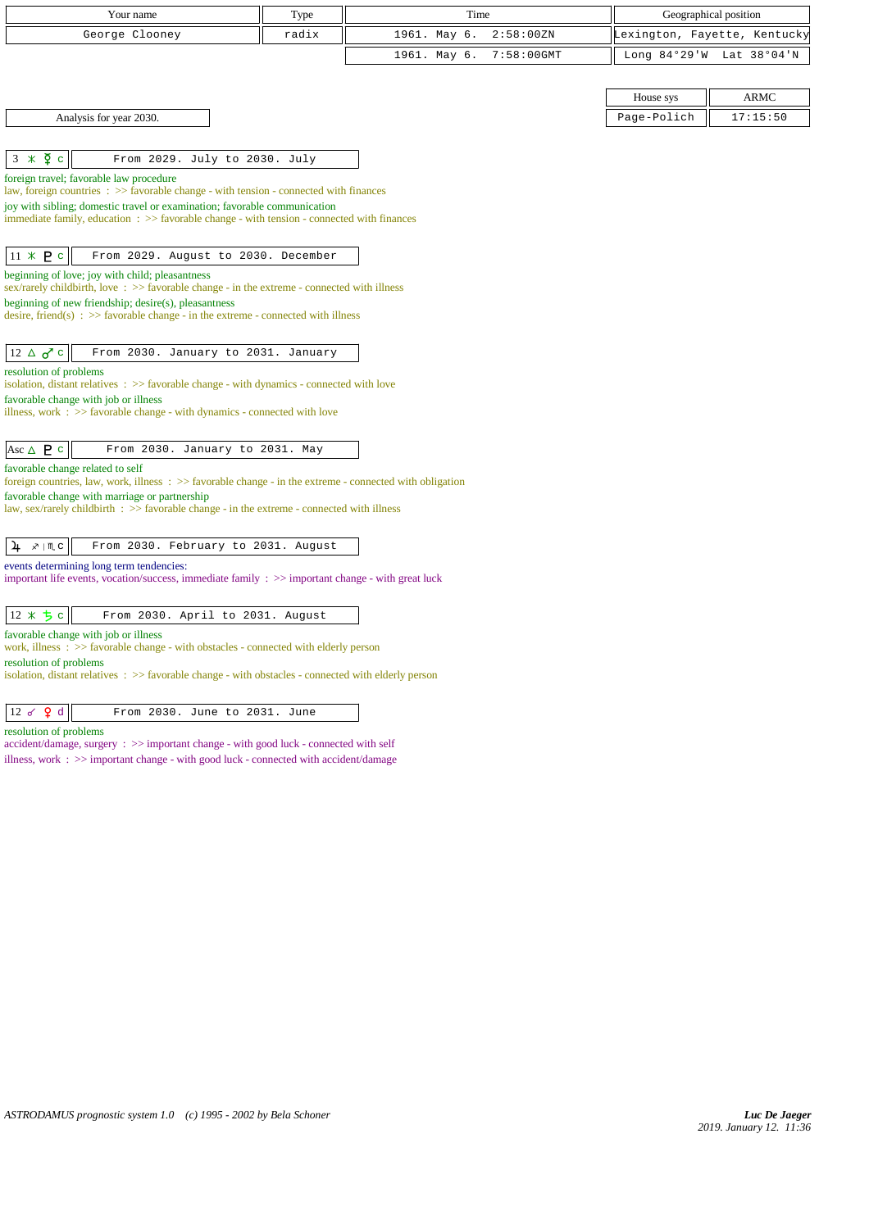| Your name                                                                                                                                        | Type  | Time         |               |             | Geographical position        |
|--------------------------------------------------------------------------------------------------------------------------------------------------|-------|--------------|---------------|-------------|------------------------------|
| George Clooney                                                                                                                                   | radix | 1961. May 6. | 2:58:00 ZN    |             | Lexington, Fayette, Kentucky |
|                                                                                                                                                  |       | 1961. May 6. | $7:58:00$ GMT |             | Long 84°29'W Lat 38°04'N     |
|                                                                                                                                                  |       |              |               |             |                              |
|                                                                                                                                                  |       |              |               | House sys   | ARMC                         |
| Analysis for year 2030.                                                                                                                          |       |              |               | Page-Polich | 17:15:50                     |
|                                                                                                                                                  |       |              |               |             |                              |
| $3 \times \overline{2}$ c<br>From 2029. July to 2030. July                                                                                       |       |              |               |             |                              |
| foreign travel; favorable law procedure<br>law, foreign countries : >> favorable change - with tension - connected with finances                 |       |              |               |             |                              |
| joy with sibling; domestic travel or examination; favorable communication                                                                        |       |              |               |             |                              |
| immediate family, education : >> favorable change - with tension - connected with finances                                                       |       |              |               |             |                              |
| $11 \times P$ c<br>From 2029. August to 2030. December                                                                                           |       |              |               |             |                              |
| beginning of love; joy with child; pleasantness<br>sex/rarely childbirth, love: $\gg$ favorable change - in the extreme - connected with illness |       |              |               |             |                              |
| beginning of new friendship; desire(s), pleasantness                                                                                             |       |              |               |             |                              |
| desire, friend(s) : $\gg$ favorable change - in the extreme - connected with illness                                                             |       |              |               |             |                              |
| $12 \triangle \sigma$ <sup>c</sup><br>From 2030. January to 2031. January                                                                        |       |              |               |             |                              |
| resolution of problems                                                                                                                           |       |              |               |             |                              |
| isolation, distant relatives : >> favorable change - with dynamics - connected with love<br>favorable change with job or illness                 |       |              |               |             |                              |
| illness, work $\Rightarrow$ Savorable change - with dynamics - connected with love                                                               |       |              |               |             |                              |
|                                                                                                                                                  |       |              |               |             |                              |
| Asc $\triangle$ <b>P</b> c<br>From 2030. January to 2031. May                                                                                    |       |              |               |             |                              |
| favorable change related to self<br>foreign countries, law, work, illness: $\gg$ favorable change - in the extreme - connected with obligation   |       |              |               |             |                              |
| favorable change with marriage or partnership                                                                                                    |       |              |               |             |                              |
| law, sex/rarely childbirth $\Rightarrow$ Savorable change - in the extreme - connected with illness                                              |       |              |               |             |                              |
| From 2030. February to 2031. August<br>$x \mid \mathbb{M}$ C<br>4                                                                                |       |              |               |             |                              |
| events determining long term tendencies:                                                                                                         |       |              |               |             |                              |
| important life events, vocation/success, immediate family : >> important change - with great luck                                                |       |              |               |             |                              |
|                                                                                                                                                  |       |              |               |             |                              |
| 12 * ち c<br>From 2030. April to 2031. August                                                                                                     |       |              |               |             |                              |
| favorable change with job or illness<br>work, illness $\Rightarrow$ Savorable change - with obstacles - connected with elderly person            |       |              |               |             |                              |
| resolution of problems<br>isolation, distant relatives $\therefore$ >> favorable change - with obstacles - connected with elderly person         |       |              |               |             |                              |
| 12 $\sigma$ $\theta$ d<br>From 2030. June to 2031. June                                                                                          |       |              |               |             |                              |
| resolution of problems                                                                                                                           |       |              |               |             |                              |
| accident/damage, surgery : >> important change - with good luck - connected with self                                                            |       |              |               |             |                              |
| illness, work $\therefore$ $\Rightarrow$ important change - with good luck - connected with accident/damage                                      |       |              |               |             |                              |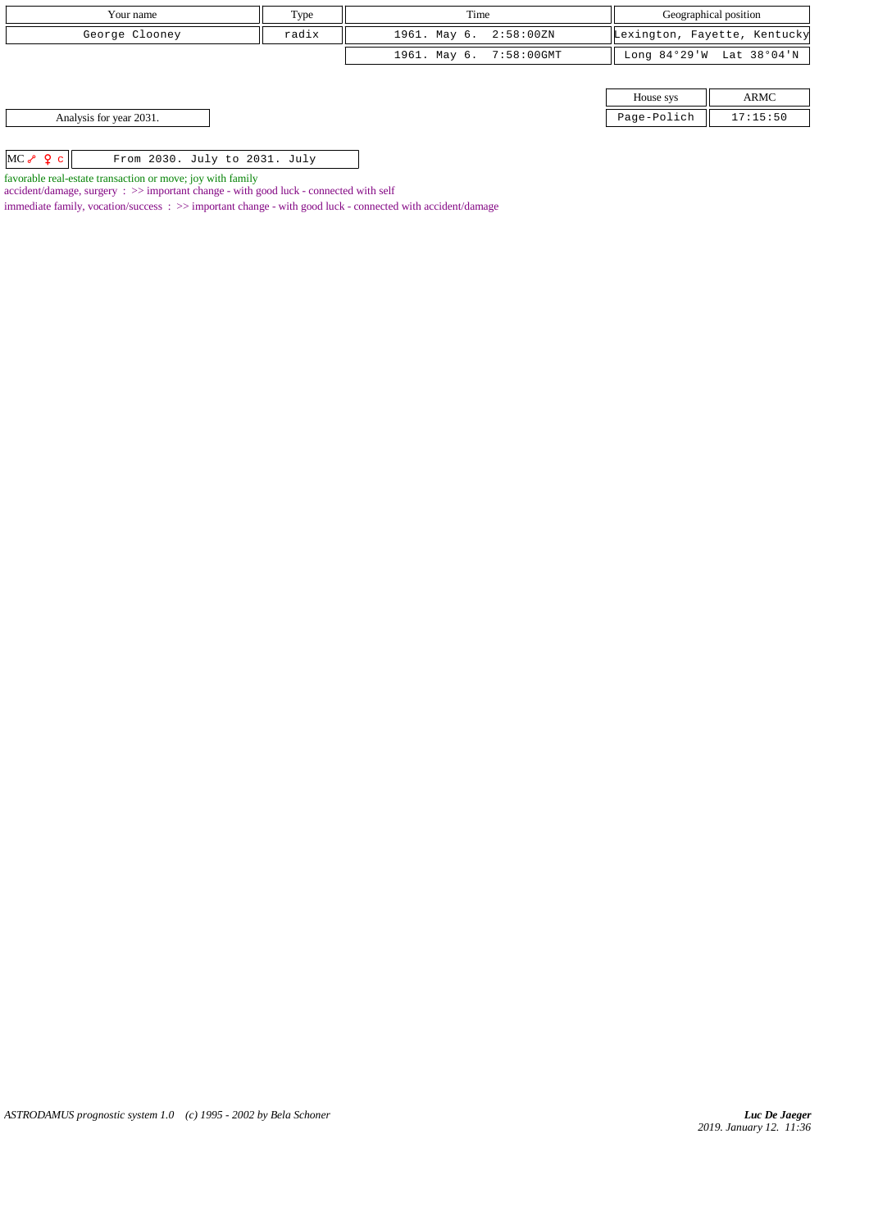| Your name                                            | Type  | Time                    | Geographical position |                              |
|------------------------------------------------------|-------|-------------------------|-----------------------|------------------------------|
| George Clooney                                       | radix | 1961. May 6. 2:58:00ZN  |                       | Lexington, Fayette, Kentucky |
|                                                      |       | 1961. May 6. 7:58:00GMT |                       | Long 84°29'W Lat 38°04'N     |
|                                                      |       |                         |                       |                              |
|                                                      |       |                         | House sys             | ARMC                         |
| Analysis for year 2031.                              |       |                         | Page-Polich           | 17:15:50                     |
|                                                      |       |                         |                       |                              |
| $MC \sim Q \subset$<br>From 2030. July to 2031. July |       |                         |                       |                              |

favorable real-estate transaction or move; joy with family

accident/damage, surgery : >> important change - with good luck - connected with self

immediate family, vocation/success : >> important change - with good luck - connected with accident/damage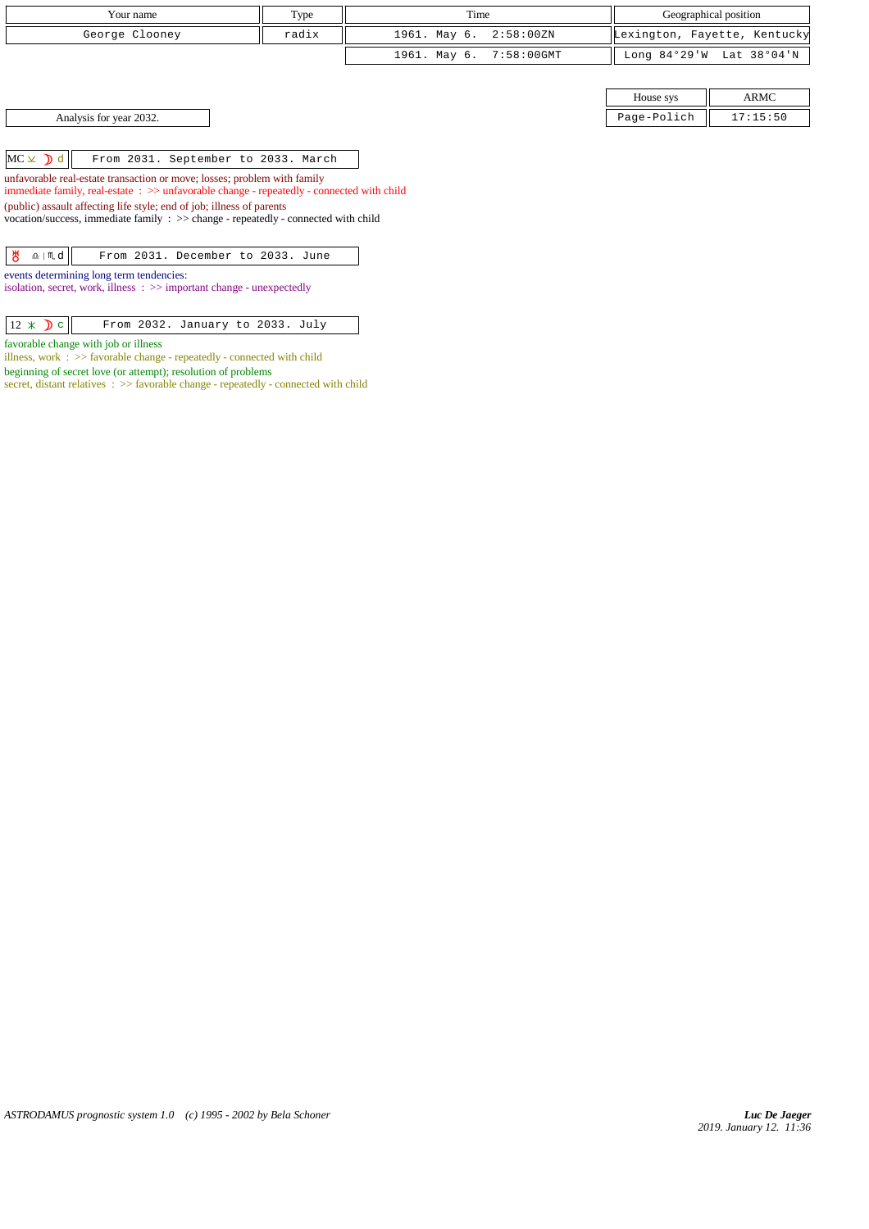| Your name                                                                                                                                                             | Type  |              | Time          |                 | Geographical position        |
|-----------------------------------------------------------------------------------------------------------------------------------------------------------------------|-------|--------------|---------------|-----------------|------------------------------|
| George Clooney                                                                                                                                                        | radix | 1961. May 6. | 2:58:00 ZN    |                 | Lexington, Fayette, Kentucky |
|                                                                                                                                                                       |       | 1961. May 6. | $7:58:00$ GMT | Long $84°29'$ W | Lat 38°04'N                  |
|                                                                                                                                                                       |       |              |               |                 |                              |
|                                                                                                                                                                       |       |              |               | House sys       | <b>ARMC</b>                  |
| Analysis for year 2032.                                                                                                                                               |       |              |               | Page-Polich     | 17:15:50                     |
|                                                                                                                                                                       |       |              |               |                 |                              |
| $MC \times$ d<br>From 2031. September to 2033. March                                                                                                                  |       |              |               |                 |                              |
| unfavorable real-estate transaction or move; losses; problem with family<br>immediate family, real-estate : >> unfavorable change - repeatedly - connected with child |       |              |               |                 |                              |
| (public) assault affecting life style; end of job; illness of parents<br>vocation/success, immediate family $\Rightarrow$ change - repeatedly - connected with child  |       |              |               |                 |                              |
|                                                                                                                                                                       |       |              |               |                 |                              |
| ზ<br>$\underline{\mathbf{a}}$   $\mathbf{m}$ d<br>From 2031. December to 2033. June                                                                                   |       |              |               |                 |                              |
| events determining long term tendencies:                                                                                                                              |       |              |               |                 |                              |
| isolation, secret, work, illness $\Rightarrow$ important change - unexpectedly                                                                                        |       |              |               |                 |                              |
| $12 \times D$ c<br>From 2032. January to 2033. July                                                                                                                   |       |              |               |                 |                              |

favorable change with job or illness

illness, work : >> favorable change - repeatedly - connected with child

beginning of secret love (or attempt); resolution of problems secret, distant relatives :  $\gg$  favorable change - repeatedly - connected with child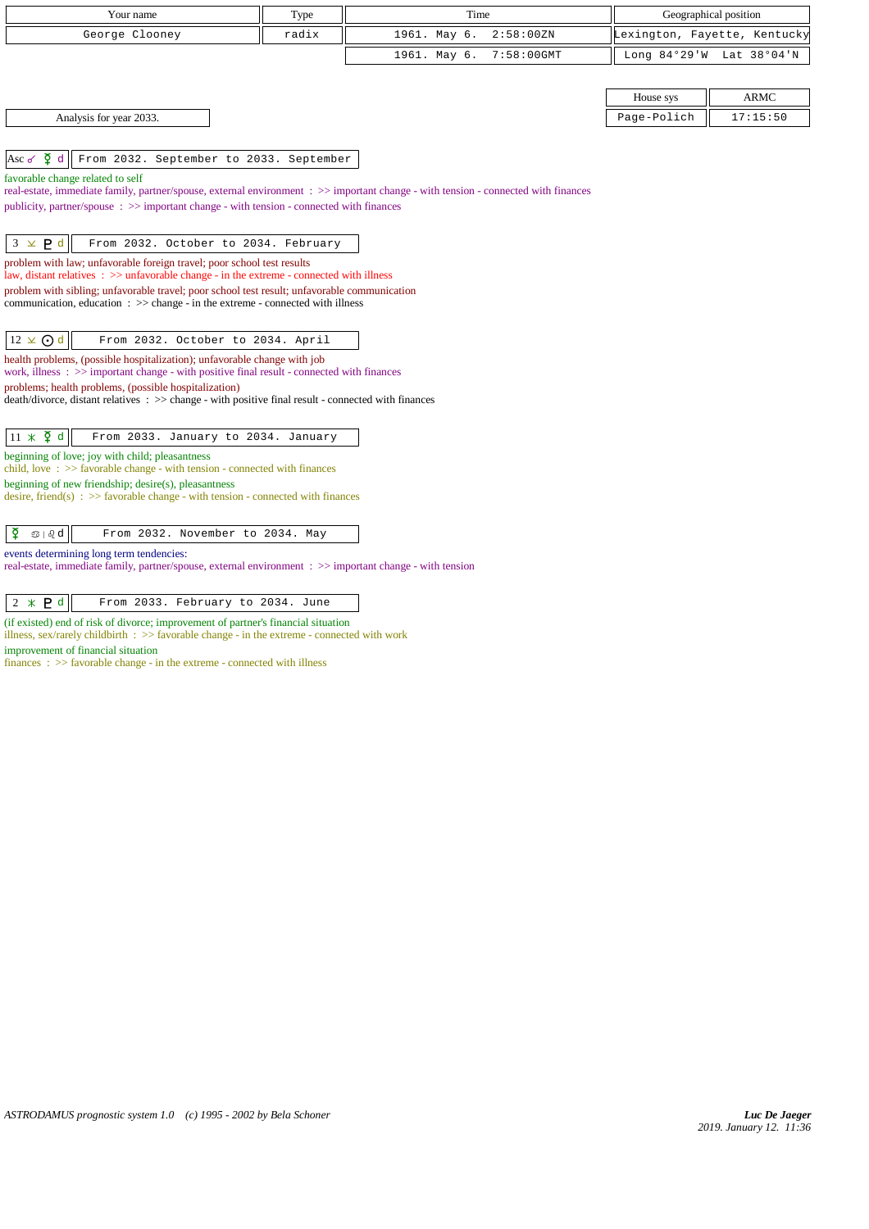| Your name                                                                                                                                                                                 | Type  | Time                          | Geographical position        |                |  |  |
|-------------------------------------------------------------------------------------------------------------------------------------------------------------------------------------------|-------|-------------------------------|------------------------------|----------------|--|--|
| George Clooney                                                                                                                                                                            | radix | 1961. May 6.<br>2:58:00 ZN    | Lexington, Fayette, Kentucky |                |  |  |
|                                                                                                                                                                                           |       | 1961. May 6.<br>$7:58:00$ GMT | Long $84°29'W$               | Lat $38°04'$ N |  |  |
|                                                                                                                                                                                           |       |                               | House sys                    | <b>ARMC</b>    |  |  |
| Analysis for year 2033.                                                                                                                                                                   |       |                               | Page-Polich                  | 17:15:50       |  |  |
| $\sum d$<br>From 2032. September to 2033. September<br>Asc $\sigma$                                                                                                                       |       |                               |                              |                |  |  |
| favorable change related to self<br>real-estate, immediate family, partner/spouse, external environment : >> important change - with tension - connected with finances                    |       |                               |                              |                |  |  |
| publicity, partner/spouse: >> important change - with tension - connected with finances                                                                                                   |       |                               |                              |                |  |  |
| $3 \times P d$<br>From 2032. October to 2034. February                                                                                                                                    |       |                               |                              |                |  |  |
| problem with law; unfavorable foreign travel; poor school test results<br>law, distant relatives $\therefore$ > unfavorable change - in the extreme - connected with illness              |       |                               |                              |                |  |  |
| problem with sibling; unfavorable travel; poor school test result; unfavorable communication<br>communication, education $\Rightarrow$ > change - in the extreme - connected with illness |       |                               |                              |                |  |  |
| $12 \times$ O d<br>From 2032. October to 2034. April                                                                                                                                      |       |                               |                              |                |  |  |
| health problems, (possible hospitalization); unfavorable change with job<br>work, illness : $\gg$ important change - with positive final result - connected with finances                 |       |                               |                              |                |  |  |
| problems; health problems, (possible hospitalization)<br>death/divorce, distant relatives : >> change - with positive final result - connected with finances                              |       |                               |                              |                |  |  |
| $11 \times \xi$ d<br>From 2033. January to 2034. January                                                                                                                                  |       |                               |                              |                |  |  |
| beginning of love; joy with child; pleasantness<br>child, love $\Rightarrow$ Savorable change - with tension - connected with finances                                                    |       |                               |                              |                |  |  |
| beginning of new friendship; desire(s), pleasantness<br>desire, friend(s) : $\gg$ favorable change - with tension - connected with finances                                               |       |                               |                              |                |  |  |
| ₫<br>$\mathfrak{D} \mid \partial_{\mathcal{C}} d$<br>From 2032. November to 2034. May                                                                                                     |       |                               |                              |                |  |  |
| events determining long term tendencies:<br>real-estate, immediate family, partner/spouse, external environment : >> important change - with tension                                      |       |                               |                              |                |  |  |
| $2 * P d$<br>From 2033. February to 2034. June                                                                                                                                            |       |                               |                              |                |  |  |
| (if existed) end of risk of divorce; improvement of partner's financial situation<br>illness, sex/rarely childbirth $\Rightarrow$ Savorable change - in the extreme - connected with work |       |                               |                              |                |  |  |
| improvement of financial situation<br>$finances : \gg$ favorable change - in the extreme - connected with illness                                                                         |       |                               |                              |                |  |  |
|                                                                                                                                                                                           |       |                               |                              |                |  |  |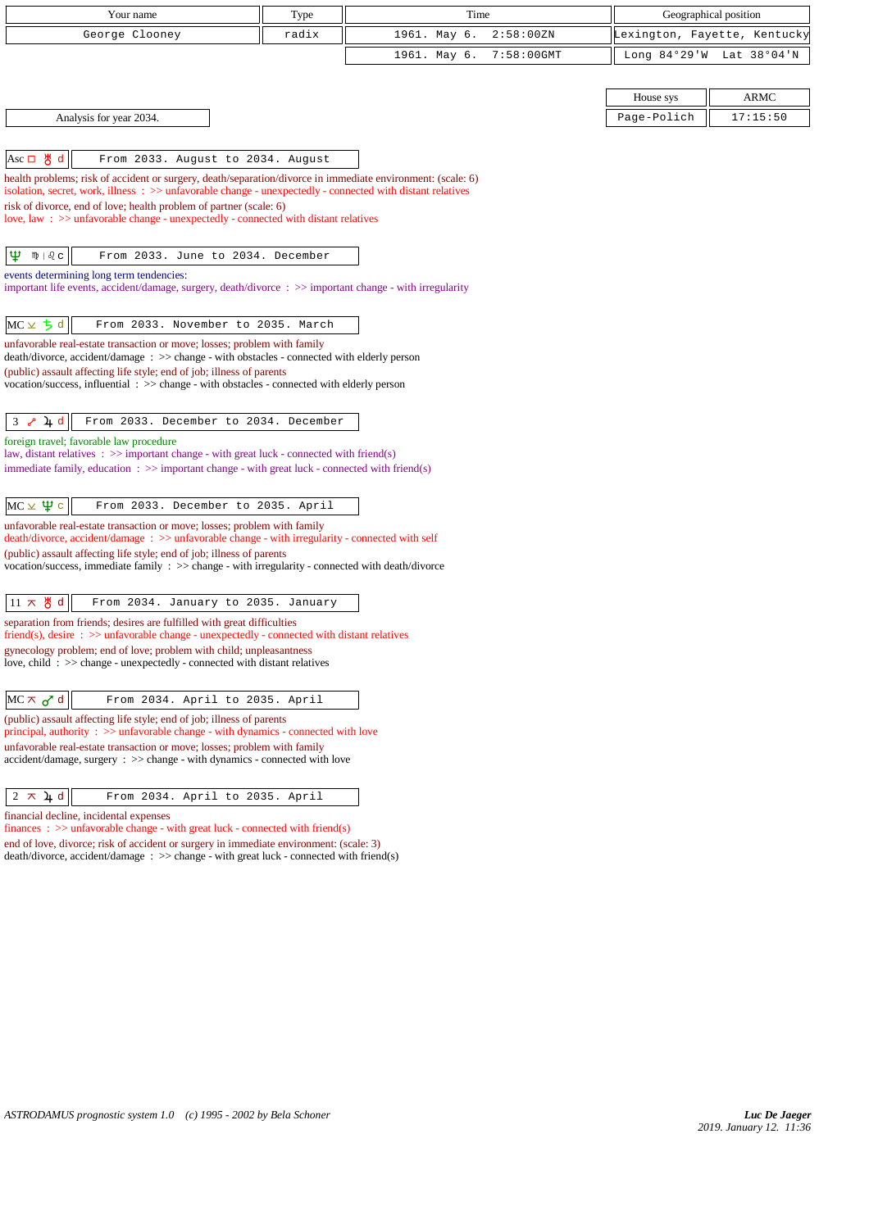| Your name                                                                                                                                                                        | Type  | Time                          |             | Geographical position        |
|----------------------------------------------------------------------------------------------------------------------------------------------------------------------------------|-------|-------------------------------|-------------|------------------------------|
| George Clooney                                                                                                                                                                   | radix | 1961. May 6.<br>2:58:00 ZN    |             | Lexington, Fayette, Kentucky |
|                                                                                                                                                                                  |       | 1961. May 6.<br>$7:58:00$ GMT |             | Long 84°29'W Lat 38°04'N     |
|                                                                                                                                                                                  |       |                               |             |                              |
|                                                                                                                                                                                  |       |                               | House sys   | <b>ARMC</b>                  |
| Analysis for year 2034.                                                                                                                                                          |       |                               | Page-Polich | 17:15:50                     |
|                                                                                                                                                                                  |       |                               |             |                              |
| $ Asc \Box \mathcal{B} d $<br>From 2033. August to 2034. August                                                                                                                  |       |                               |             |                              |
| health problems; risk of accident or surgery, death/separation/divorce in immediate environment: (scale: 6)                                                                      |       |                               |             |                              |
| isolation, secret, work, illness : >> unfavorable change - unexpectedly - connected with distant relatives<br>risk of divorce, end of love; health problem of partner (scale: 6) |       |                               |             |                              |
| love, law: >> unfavorable change - unexpectedly - connected with distant relatives                                                                                               |       |                               |             |                              |
|                                                                                                                                                                                  |       |                               |             |                              |
| Ψ<br>$m \mid \partial_c c$<br>From 2033. June to 2034. December                                                                                                                  |       |                               |             |                              |
| events determining long term tendencies:<br>important life events, accident/damage, surgery, death/divorce : >> important change - with irregularity                             |       |                               |             |                              |
|                                                                                                                                                                                  |       |                               |             |                              |
| $MC \times 5d$<br>From 2033. November to 2035. March                                                                                                                             |       |                               |             |                              |
| unfavorable real-estate transaction or move; losses; problem with family                                                                                                         |       |                               |             |                              |
| death/divorce, accident/damage : >> change - with obstacles - connected with elderly person                                                                                      |       |                               |             |                              |
| (public) assault affecting life style; end of job; illness of parents<br>vocation/success, influential : >> change - with obstacles - connected with elderly person              |       |                               |             |                              |
|                                                                                                                                                                                  |       |                               |             |                              |
| $3 \sim 4d$<br>From 2033. December to 2034. December                                                                                                                             |       |                               |             |                              |
| foreign travel; favorable law procedure<br>law, distant relatives $\therefore$ > important change - with great luck - connected with friend(s)                                   |       |                               |             |                              |
| immediate family, education $\therefore$ >> important change - with great luck - connected with friend(s)                                                                        |       |                               |             |                              |
|                                                                                                                                                                                  |       |                               |             |                              |
| $MC \times \Psi$ c<br>From 2033. December to 2035. April                                                                                                                         |       |                               |             |                              |
| unfavorable real-estate transaction or move; losses; problem with family<br>death/divorce, accident/damage: >> unfavorable change - with irregularity - connected with self      |       |                               |             |                              |
| (public) assault affecting life style; end of job; illness of parents                                                                                                            |       |                               |             |                              |
| vocation/success, immediate family : >> change - with irregularity - connected with death/divorce                                                                                |       |                               |             |                              |
| $11 \times \frac{11}{9}$ d<br>From 2034. January to 2035. January                                                                                                                |       |                               |             |                              |
| separation from friends; desires are fulfilled with great difficulties<br>friend(s), desire : >> unfavorable change - unexpectedly - connected with distant relatives            |       |                               |             |                              |
| gynecology problem; end of love; problem with child; unpleasantness                                                                                                              |       |                               |             |                              |
| love, child: >> change - unexpectedly - connected with distant relatives                                                                                                         |       |                               |             |                              |
|                                                                                                                                                                                  |       |                               |             |                              |
| $MC \times \sigma^d$ d<br>From 2034. April to 2035. April<br>(public) assault affecting life style; end of job; illness of parents                                               |       |                               |             |                              |
| principal, authority : >> unfavorable change - with dynamics - connected with love                                                                                               |       |                               |             |                              |
| unfavorable real-estate transaction or move; losses; problem with family<br>$accident/damage$ , surgery : $\gg$ change - with dynamics - connected with love                     |       |                               |             |                              |
|                                                                                                                                                                                  |       |                               |             |                              |
| $2 \times 4d$<br>From 2034. April to 2035. April                                                                                                                                 |       |                               |             |                              |
| financial decline, incidental expenses                                                                                                                                           |       |                               |             |                              |
| finances : $\gg$ unfavorable change - with great luck - connected with friend(s)<br>end of love, divorce; risk of accident or surgery in immediate environment: (scale: 3)       |       |                               |             |                              |
| $death/divorce, accident/damage : >> change - with great luck - connected with friend(s)$                                                                                        |       |                               |             |                              |
|                                                                                                                                                                                  |       |                               |             |                              |
|                                                                                                                                                                                  |       |                               |             |                              |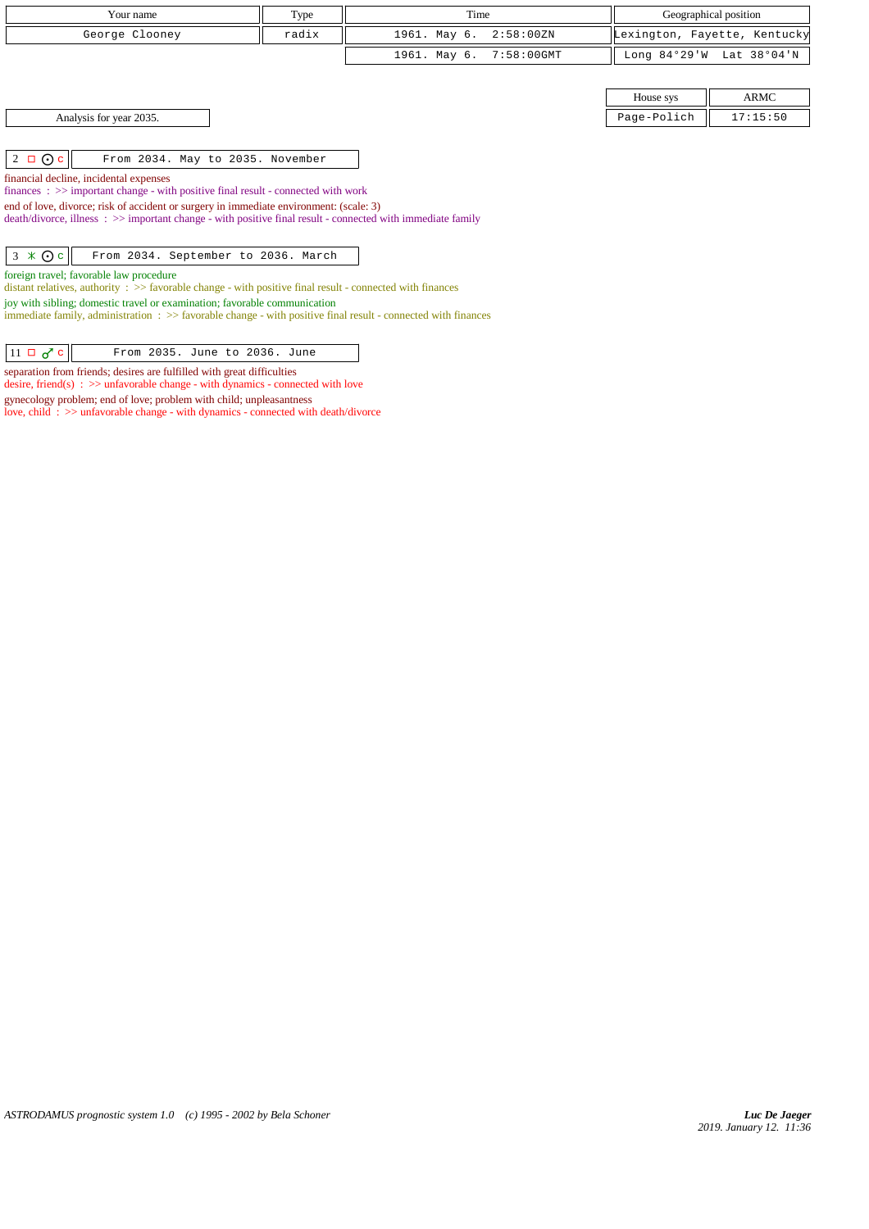| Your name                                                                                                                                                                                                | Type  | Time                       |             | Geographical position        |
|----------------------------------------------------------------------------------------------------------------------------------------------------------------------------------------------------------|-------|----------------------------|-------------|------------------------------|
| George Clooney                                                                                                                                                                                           | radix | 1961. May 6.<br>2:58:00 ZN |             | Lexington, Fayette, Kentucky |
|                                                                                                                                                                                                          |       | 7:58:00GMT<br>1961. May 6. |             | Long 84°29'W Lat 38°04'N     |
|                                                                                                                                                                                                          |       |                            |             |                              |
|                                                                                                                                                                                                          |       |                            | House sys   | ARMC                         |
| Analysis for year 2035.                                                                                                                                                                                  |       |                            | Page-Polich | 17:15:50                     |
|                                                                                                                                                                                                          |       |                            |             |                              |
| $2 \Box$ O c<br>From 2034. May to 2035. November                                                                                                                                                         |       |                            |             |                              |
| financial decline, incidental expenses                                                                                                                                                                   |       |                            |             |                              |
| finances : $\gg$ important change - with positive final result - connected with work                                                                                                                     |       |                            |             |                              |
| end of love, divorce; risk of accident or surgery in immediate environment: (scale: 3)<br>$death/divorce, illness : \gg important change - with positive final result - connected with immediate family$ |       |                            |             |                              |
|                                                                                                                                                                                                          |       |                            |             |                              |
| $3 \times 0c$<br>From 2034. September to 2036. March                                                                                                                                                     |       |                            |             |                              |
| foreign travel; favorable law procedure                                                                                                                                                                  |       |                            |             |                              |
| distant relatives, authority $\Rightarrow$ > favorable change - with positive final result - connected with finances                                                                                     |       |                            |             |                              |
| joy with sibling; domestic travel or examination; favorable communication                                                                                                                                |       |                            |             |                              |
| immediate family, administration : >> favorable change - with positive final result - connected with finances                                                                                            |       |                            |             |                              |
|                                                                                                                                                                                                          |       |                            |             |                              |
| $11 \Box \sigma$ <sup><math>c</math></sup><br>From 2035. June to 2036. June                                                                                                                              |       |                            |             |                              |

separation from friends; desires are fulfilled with great difficulties

gynecology problem; end of love; problem with child; unpleasantness

desire, friend(s) : >> unfavorable change - with dynamics - connected with love

love, child : >> unfavorable change - with dynamics - connected with death/divorce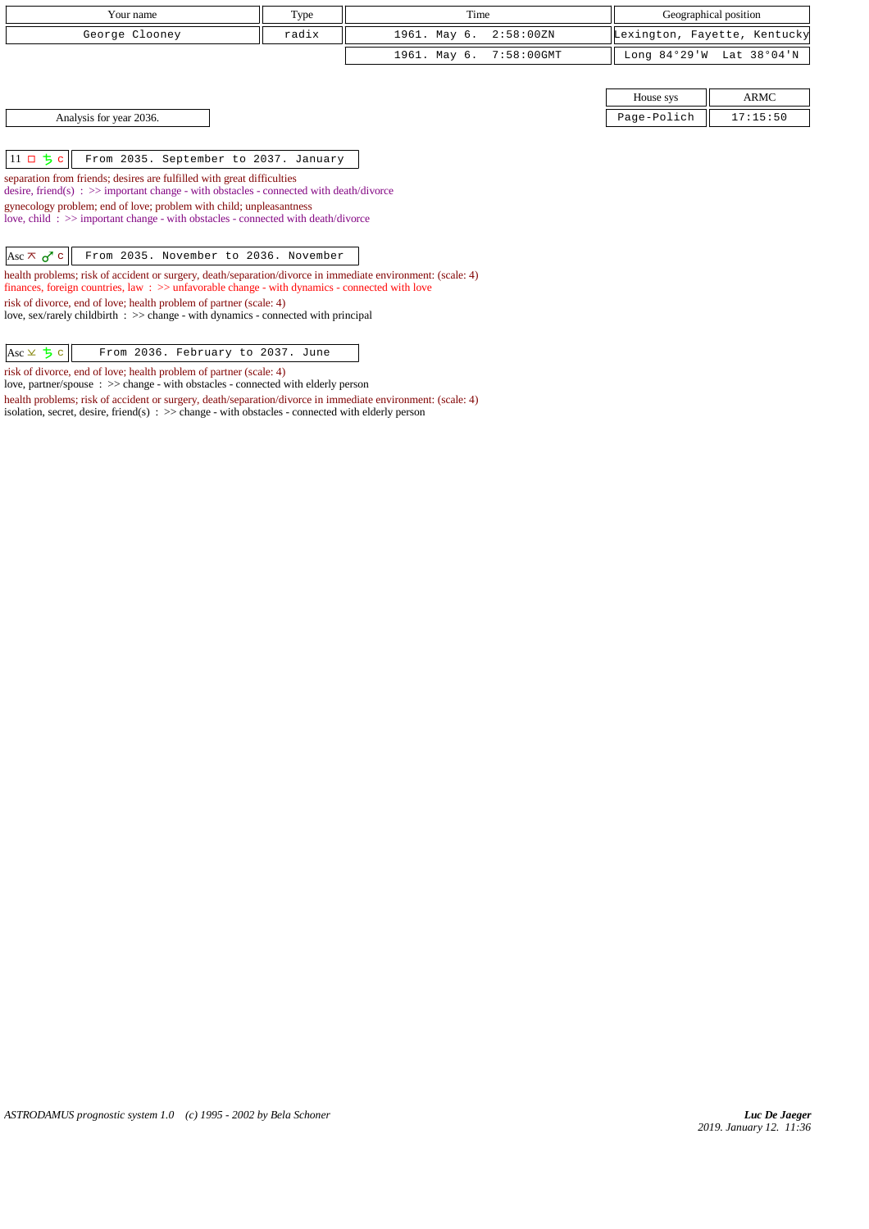| Your name                                                                                                                                                                                                                  | Type  | Time                       |                | Geographical position        |  |
|----------------------------------------------------------------------------------------------------------------------------------------------------------------------------------------------------------------------------|-------|----------------------------|----------------|------------------------------|--|
| George Clooney                                                                                                                                                                                                             | radix | 1961. May 6.<br>2:58:00 ZN |                | Lexington, Fayette, Kentucky |  |
|                                                                                                                                                                                                                            |       | 7:58:00GMT<br>1961. May 6. | Long $84°29'W$ | Lat 38°04'N                  |  |
|                                                                                                                                                                                                                            |       |                            |                |                              |  |
|                                                                                                                                                                                                                            |       |                            | House sys      | <b>ARMC</b>                  |  |
| Analysis for year 2036.                                                                                                                                                                                                    |       |                            | Page-Polich    | 17:15:50                     |  |
|                                                                                                                                                                                                                            |       |                            |                |                              |  |
| $11$ ロ ち c<br>From 2035. September to 2037. January                                                                                                                                                                        |       |                            |                |                              |  |
| separation from friends; desires are fulfilled with great difficulties<br>desire, friend(s) : $\gg$ important change - with obstacles - connected with death/divorce                                                       |       |                            |                |                              |  |
| gynecology problem; end of love; problem with child; unpleasantness<br>love, child: >> important change - with obstacles - connected with death/divorce                                                                    |       |                            |                |                              |  |
| From 2035. November to 2036. November<br>Asc $\pi$ $\sigma$ c                                                                                                                                                              |       |                            |                |                              |  |
| health problems; risk of accident or surgery, death/separation/divorce in immediate environment: (scale: 4)<br>finances, foreign countries, law $\Rightarrow$ > > unfavorable change - with dynamics - connected with love |       |                            |                |                              |  |
| risk of divorce, end of love; health problem of partner (scale: 4)<br>love, sex/rarely childbirth $\therefore$ $\Rightarrow$ change - with dynamics - connected with principal                                             |       |                            |                |                              |  |
| $Asc \times 5c$<br>From 2036. February to 2037. June                                                                                                                                                                       |       |                            |                |                              |  |

risk of divorce, end of love; health problem of partner (scale: 4)

love, partner/spouse : >> change - with obstacles - connected with elderly person health problems; risk of accident or surgery, death/separation/divorce in immediate environment: (scale: 4)

isolation, secret, desire, friend(s) : >> change - with obstacles - connected with elderly person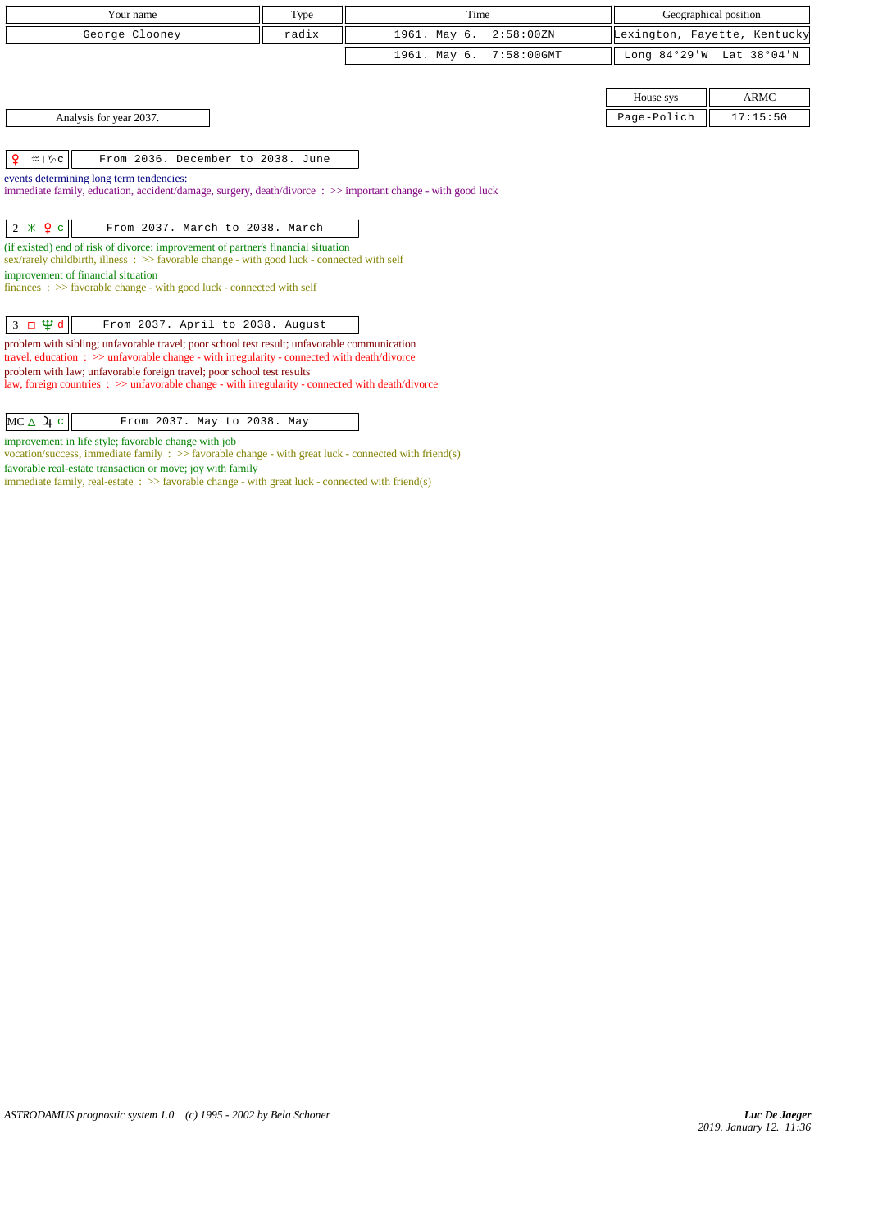| Your name                                                                                                                                                                                                                                                                                                                                                                                                                                                | Type  | Time                          |             | Geographical position        |
|----------------------------------------------------------------------------------------------------------------------------------------------------------------------------------------------------------------------------------------------------------------------------------------------------------------------------------------------------------------------------------------------------------------------------------------------------------|-------|-------------------------------|-------------|------------------------------|
| George Clooney                                                                                                                                                                                                                                                                                                                                                                                                                                           | radix | 1961. May 6.<br>2:58:00 ZN    |             | Lexington, Fayette, Kentucky |
|                                                                                                                                                                                                                                                                                                                                                                                                                                                          |       | $7:58:00$ GMT<br>1961. May 6. |             | Long 84°29'W Lat 38°04'N     |
|                                                                                                                                                                                                                                                                                                                                                                                                                                                          |       |                               |             |                              |
|                                                                                                                                                                                                                                                                                                                                                                                                                                                          |       |                               | House sys   | <b>ARMC</b>                  |
| Analysis for year 2037.                                                                                                                                                                                                                                                                                                                                                                                                                                  |       |                               | Page-Polich | 17:15:50                     |
| ¥.<br>$m \mid \mathcal{V}_P C$<br>From 2036. December to 2038. June<br>events determining long term tendencies:<br>immediate family, education, accident/damage, surgery, death/divorce: >> important change - with good luck                                                                                                                                                                                                                            |       |                               |             |                              |
| $2 * 9c$<br>From 2037. March to 2038. March<br>(if existed) end of risk of divorce; improvement of partner's financial situation<br>sex/rarely childbirth, illness $\Rightarrow$ favorable change - with good luck - connected with self<br>improvement of financial situation<br>finances : $\gg$ favorable change - with good luck - connected with self                                                                                               |       |                               |             |                              |
| $3 \Box \Psi d$<br>From 2037. April to 2038. August<br>problem with sibling; unfavorable travel; poor school test result; unfavorable communication<br>travel, education $\Rightarrow$ > unfavorable change - with irregularity - connected with death/divorce<br>problem with law; unfavorable foreign travel; poor school test results<br>law, foreign countries $\Rightarrow$ > unfavorable change - with irregularity - connected with death/divorce |       |                               |             |                              |
| $MC \triangle 4c$<br>From 2037. May to 2038. May                                                                                                                                                                                                                                                                                                                                                                                                         |       |                               |             |                              |

improvement in life style; favorable change with job

favorable real-estate transaction or move; joy with family

vocation/success, immediate family : >> favorable change - with great luck - connected with friend(s)

immediate family, real-estate : >> favorable change - with great luck - connected with friend(s)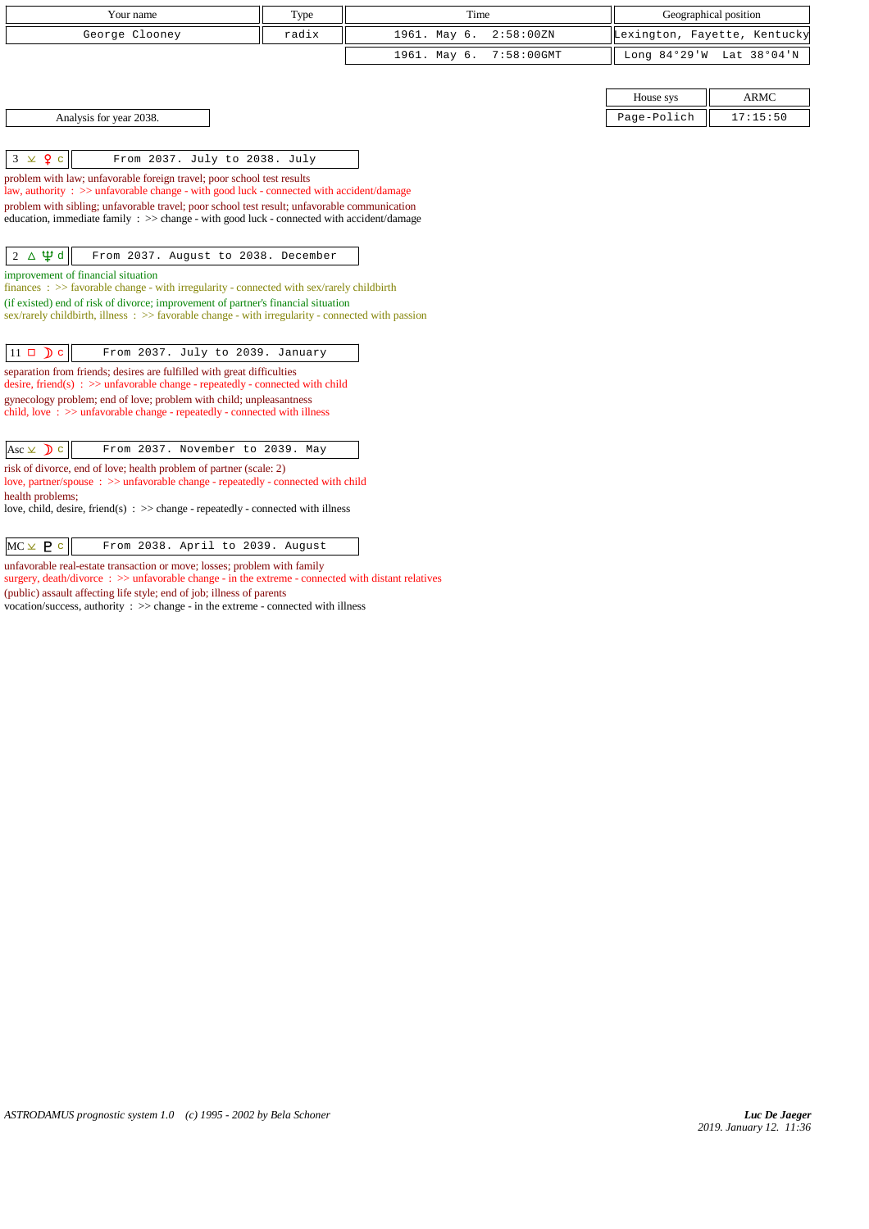| Your name                                                                                                                                                                                | Type  | Time         |               |             | Geographical position        |
|------------------------------------------------------------------------------------------------------------------------------------------------------------------------------------------|-------|--------------|---------------|-------------|------------------------------|
| George Clooney                                                                                                                                                                           | radix | 1961. May 6. | 2:58:00 ZN    |             | Lexington, Fayette, Kentucky |
|                                                                                                                                                                                          |       | 1961. May 6. | $7:58:00$ GMT |             | Long 84°29'W Lat 38°04'N     |
|                                                                                                                                                                                          |       |              |               |             |                              |
|                                                                                                                                                                                          |       |              |               | House sys   | <b>ARMC</b>                  |
| Analysis for year 2038.                                                                                                                                                                  |       |              |               | Page-Polich | 17:15:50                     |
|                                                                                                                                                                                          |       |              |               |             |                              |
| $3 \times 9$ c<br>From 2037. July to 2038. July                                                                                                                                          |       |              |               |             |                              |
| problem with law; unfavorable foreign travel; poor school test results                                                                                                                   |       |              |               |             |                              |
| law, authority : >> unfavorable change - with good luck - connected with accident/damage<br>problem with sibling; unfavorable travel; poor school test result; unfavorable communication |       |              |               |             |                              |
| education, immediate family : >> change - with good luck - connected with accident/damage                                                                                                |       |              |               |             |                              |
|                                                                                                                                                                                          |       |              |               |             |                              |
| $2 \Delta \Psi d$<br>From 2037. August to 2038. December                                                                                                                                 |       |              |               |             |                              |
| improvement of financial situation                                                                                                                                                       |       |              |               |             |                              |
| finances : $\gg$ favorable change - with irregularity - connected with sex/rarely childbirth                                                                                             |       |              |               |             |                              |
| (if existed) end of risk of divorce; improvement of partner's financial situation                                                                                                        |       |              |               |             |                              |
| sex/rarely childbirth, illness $\therefore$ >> favorable change - with irregularity - connected with passion                                                                             |       |              |               |             |                              |
| $11 \Box$ $\Box$ c<br>From 2037. July to 2039. January                                                                                                                                   |       |              |               |             |                              |
| separation from friends; desires are fulfilled with great difficulties                                                                                                                   |       |              |               |             |                              |
| desire, friend(s) : $\gg$ unfavorable change - repeatedly - connected with child                                                                                                         |       |              |               |             |                              |
| gynecology problem; end of love; problem with child; unpleasantness                                                                                                                      |       |              |               |             |                              |
| child, love $\therefore$ >> unfavorable change - repeatedly - connected with illness                                                                                                     |       |              |               |             |                              |
| From 2037. November to 2039. May<br>$\text{Asc} \times \text{D}$ c                                                                                                                       |       |              |               |             |                              |
|                                                                                                                                                                                          |       |              |               |             |                              |
| risk of divorce, end of love; health problem of partner (scale: 2)<br>love, partner/spouse : >> unfavorable change - repeatedly - connected with child                                   |       |              |               |             |                              |
| health problems;                                                                                                                                                                         |       |              |               |             |                              |
| love, child, desire, friend(s) : $\gg$ change - repeatedly - connected with illness                                                                                                      |       |              |               |             |                              |
|                                                                                                                                                                                          |       |              |               |             |                              |
| $MC \times P$ c<br>From 2038. April to 2039. August                                                                                                                                      |       |              |               |             |                              |
| unfavorable real-estate transaction or move; losses; problem with family                                                                                                                 |       |              |               |             |                              |

surgery, death/divorce :  $\gg$  unfavorable change - in the extreme - connected with distant relatives (public) assault affecting life style; end of job; illness of parents

vocation/success, authority : >> change - in the extreme - connected with illness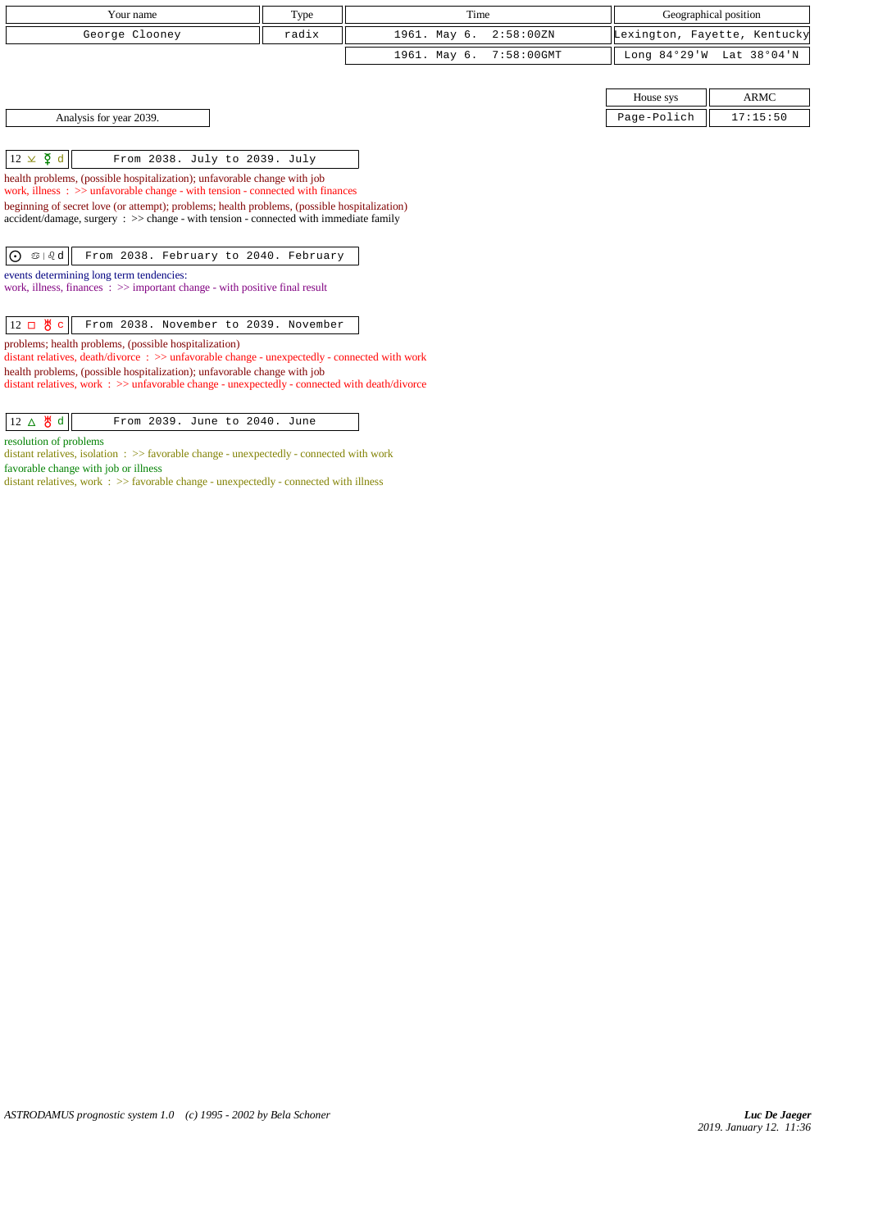| Your name                                                                                                                                                                             | Type  | Time         |               |                | Geographical position        |
|---------------------------------------------------------------------------------------------------------------------------------------------------------------------------------------|-------|--------------|---------------|----------------|------------------------------|
| George Clooney                                                                                                                                                                        | radix | 1961. May 6. | 2:58:00 ZN    |                | Lexington, Fayette, Kentucky |
|                                                                                                                                                                                       |       | 1961. May 6. | $7:58:00$ GMT | Long $84°29'W$ | Lat 38°04'N                  |
|                                                                                                                                                                                       |       |              |               |                |                              |
|                                                                                                                                                                                       |       |              |               | House sys      | <b>ARMC</b>                  |
| Analysis for year 2039.                                                                                                                                                               |       |              |               | Page-Polich    | 17:15:50                     |
|                                                                                                                                                                                       |       |              |               |                |                              |
| $12 \times \xi$ d<br>From 2038. July to 2039. July                                                                                                                                    |       |              |               |                |                              |
| health problems, (possible hospitalization); unfavorable change with job<br>work, illness $\Rightarrow$ >> unfavorable change - with tension - connected with finances                |       |              |               |                |                              |
| beginning of secret love (or attempt); problems; health problems, (possible hospitalization)<br>accident/damage, surgery : >> change - with tension - connected with immediate family |       |              |               |                |                              |
| $\odot$<br>$\mathfrak{S} \mid \mathfrak{V}$ d<br>From 2038. February to 2040. February                                                                                                |       |              |               |                |                              |
| events determining long term tendencies:<br>work, illness, finances: >> important change - with positive final result                                                                 |       |              |               |                |                              |
| $12 \Box$ 8 c<br>From 2038. November to 2039. November                                                                                                                                |       |              |               |                |                              |
| problems; health problems, (possible hospitalization)<br>distant relatives, death/divorce : >> unfavorable change - unexpectedly - connected with work                                |       |              |               |                |                              |
| health problems, (possible hospitalization); unfavorable change with job<br>distant relatives, work : >> unfavorable change - unexpectedly - connected with death/divorce             |       |              |               |                |                              |
|                                                                                                                                                                                       |       |              |               |                |                              |

12  $\Delta$  8 d From 2039. June to 2040. June

distant relatives, isolation : >> favorable change - unexpectedly - connected with work

distant relatives, work : >> favorable change - unexpectedly - connected with illness

resolution of problems

favorable change with job or illness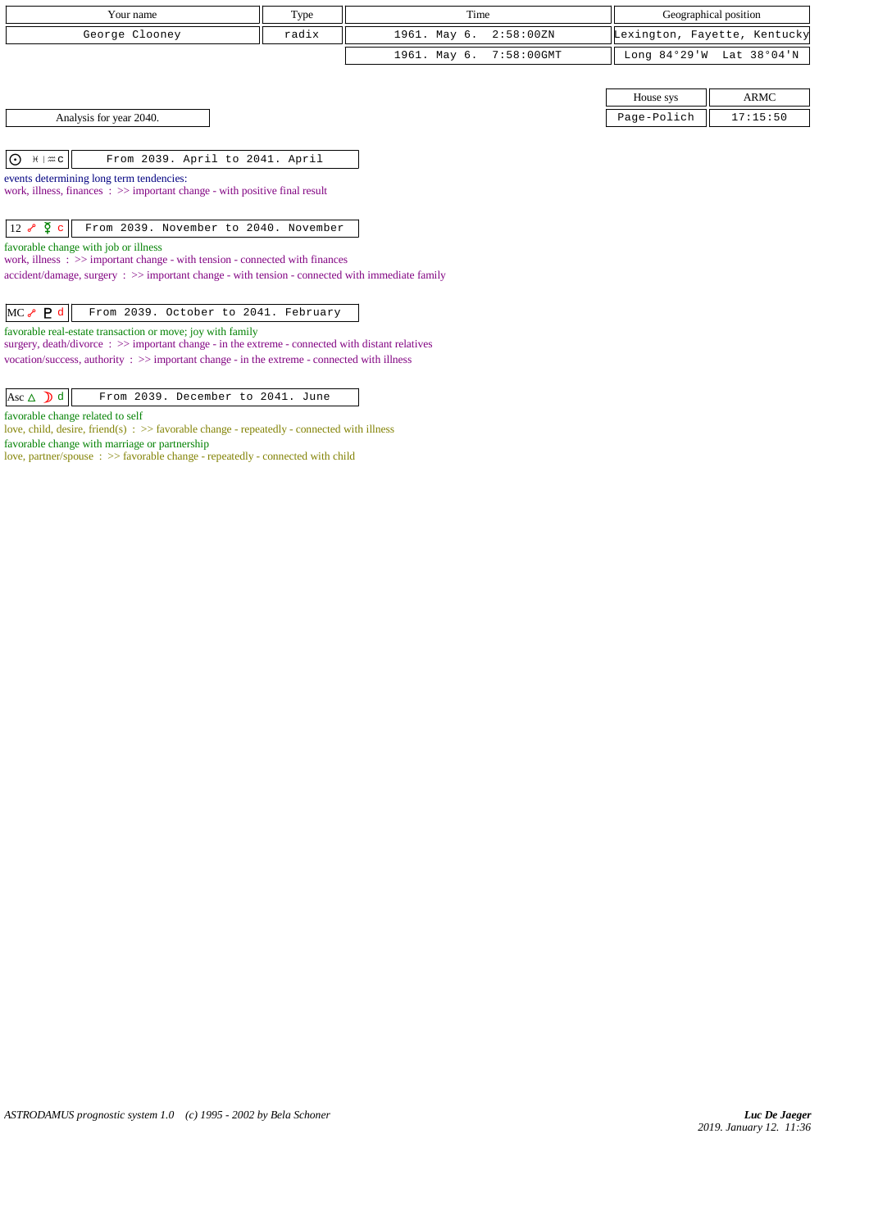| Your name      | Type  | Time                    | Geographical position        |
|----------------|-------|-------------------------|------------------------------|
| George Clooney | radix | 1961. May 6. 2:58:00ZN  | Lexington, Fayette, Kentucky |
|                |       | 1961. May 6. 7:58:00GMT | Long 84°29'W Lat 38°04'N     |

Analysis for year 2040.

| House sys  | <b>ARMC</b> |  |  |
|------------|-------------|--|--|
| aqe-Polich | 17:15:50    |  |  |

 $\boxed{\bigodot$   $\begin{bmatrix} \# \mid \text{mc} \end{bmatrix}$  From 2039. April to 2041. April

events determining long term tendencies: work, illness, finances : >> important change - with positive final result

12 c From 2039. November to 2040. November

favorable change with job or illness

work, illness : >> important change - with tension - connected with finances

accident/damage, surgery : >> important change - with tension - connected with immediate family

|  |  |  |  | $MC \rvert P d$ From 2039. October to 2041. February |
|--|--|--|--|------------------------------------------------------|
|--|--|--|--|------------------------------------------------------|

favorable real-estate transaction or move; joy with family

surgery, death/divorce : >> important change - in the extreme - connected with distant relatives vocation/success, authority :  $\gg$  important change - in the extreme - connected with illness

favorable change related to self

love, child, desire, friend(s) :  $\gg$  favorable change - repeatedly - connected with illness favorable change with marriage or partnership

love, partner/spouse : >> favorable change - repeatedly - connected with child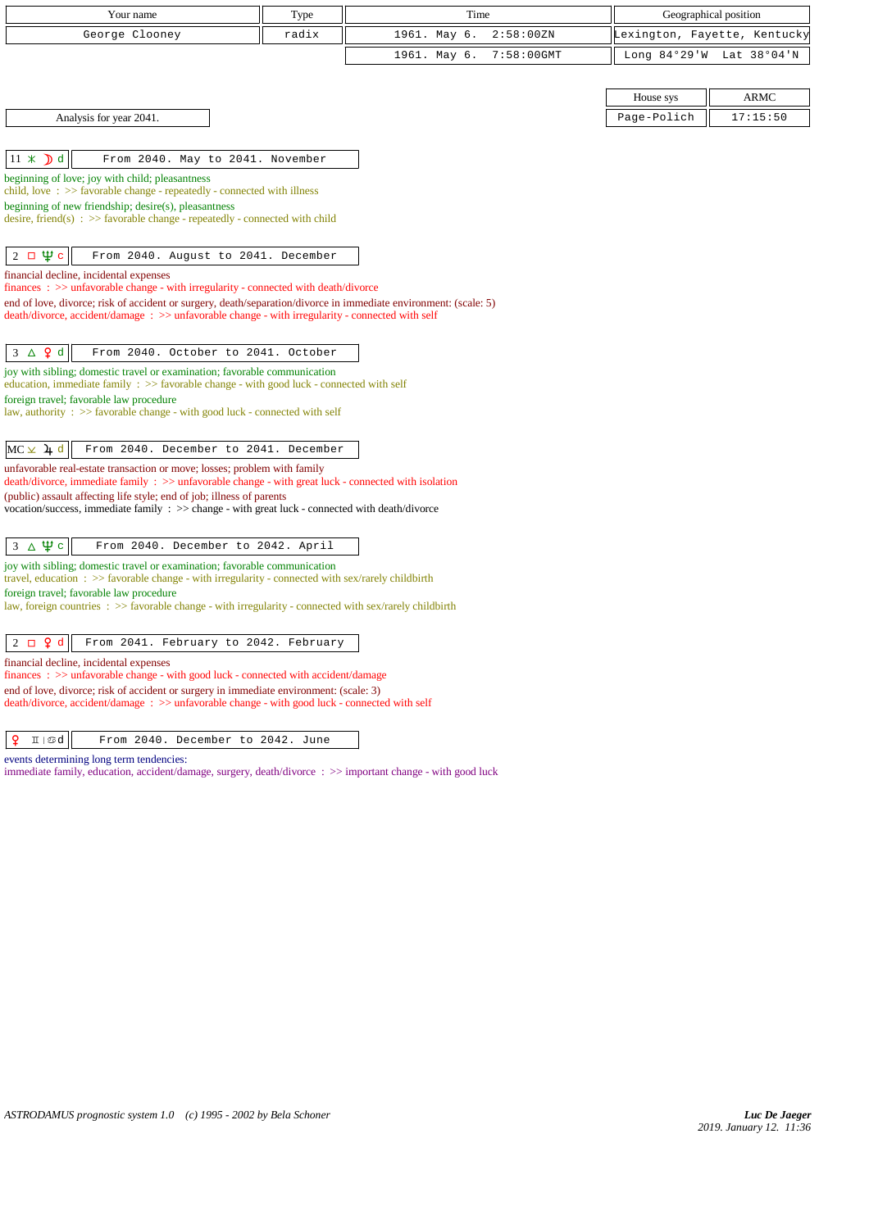| Your name                                                                                                                                                                                                           | Type  | Time                       |                | Geographical position        |
|---------------------------------------------------------------------------------------------------------------------------------------------------------------------------------------------------------------------|-------|----------------------------|----------------|------------------------------|
| George Clooney                                                                                                                                                                                                      | radix | 1961. May 6.<br>2:58:00 ZN |                | Lexington, Fayette, Kentucky |
|                                                                                                                                                                                                                     |       | 7:58:00GMT<br>1961. May 6. | Long $84°29'W$ | Lat 38°04'N                  |
|                                                                                                                                                                                                                     |       |                            |                |                              |
|                                                                                                                                                                                                                     |       |                            | House sys      | <b>ARMC</b>                  |
| Analysis for year 2041.                                                                                                                                                                                             |       |                            | Page-Polich    | 17:15:50                     |
|                                                                                                                                                                                                                     |       |                            |                |                              |
| $11 \times$ d<br>From 2040. May to 2041. November                                                                                                                                                                   |       |                            |                |                              |
| beginning of love; joy with child; pleasantness<br>child, love $\Rightarrow$ Savorable change - repeatedly - connected with illness                                                                                 |       |                            |                |                              |
| beginning of new friendship; $desire(s)$ , pleasantness                                                                                                                                                             |       |                            |                |                              |
| desire, friend(s) : $\gg$ favorable change - repeatedly - connected with child                                                                                                                                      |       |                            |                |                              |
| $\Psi$ c<br>$2\Box$<br>From 2040. August to 2041. December                                                                                                                                                          |       |                            |                |                              |
| financial decline, incidental expenses                                                                                                                                                                              |       |                            |                |                              |
| $finances: >> unfavorable change - with irregularity - connected with death/divorce$                                                                                                                                |       |                            |                |                              |
| end of love, divorce; risk of accident or surgery, death/separation/divorce in immediate environment: (scale: 5)<br>death/divorce, accident/damage: >> unfavorable change - with irregularity - connected with self |       |                            |                |                              |
|                                                                                                                                                                                                                     |       |                            |                |                              |
| $3 \Delta$ 9 d<br>From 2040. October to 2041. October                                                                                                                                                               |       |                            |                |                              |
| joy with sibling; domestic travel or examination; favorable communication<br>education, immediate family $\Rightarrow$ Savorable change - with good luck - connected with self                                      |       |                            |                |                              |
| foreign travel; favorable law procedure                                                                                                                                                                             |       |                            |                |                              |
| law, authority : $\gg$ favorable change - with good luck - connected with self                                                                                                                                      |       |                            |                |                              |
| $MC \times 1$ <sup>d</sup><br>From 2040. December to 2041. December                                                                                                                                                 |       |                            |                |                              |
| unfavorable real-estate transaction or move; losses; problem with family<br>death/divorce, immediate family : >> unfavorable change - with great luck - connected with isolation                                    |       |                            |                |                              |
| (public) assault affecting life style; end of job; illness of parents                                                                                                                                               |       |                            |                |                              |
| vocation/success, immediate family $\Rightarrow$ > $\Rightarrow$ change - with great luck - connected with death/divorce                                                                                            |       |                            |                |                              |
|                                                                                                                                                                                                                     |       |                            |                |                              |
| $3 \Delta \Psi c$<br>From 2040. December to 2042. April                                                                                                                                                             |       |                            |                |                              |
| joy with sibling; domestic travel or examination; favorable communication<br>travel, education : $\gg$ favorable change - with irregularity - connected with sex/rarely childbirth                                  |       |                            |                |                              |
| foreign travel; favorable law procedure<br>law, foreign countries $\Rightarrow$ Savorable change - with irregularity - connected with sex/rarely childbirth                                                         |       |                            |                |                              |
|                                                                                                                                                                                                                     |       |                            |                |                              |
| $2 \Box$ $9d$<br>From 2041. February to 2042. February                                                                                                                                                              |       |                            |                |                              |
| financial decline, incidental expenses                                                                                                                                                                              |       |                            |                |                              |
| finances : >> unfavorable change - with good luck - connected with accident/damage<br>end of love, divorce; risk of accident or surgery in immediate environment: (scale: 3)                                        |       |                            |                |                              |
| death/divorce, accident/damage : >> unfavorable change - with good luck - connected with self                                                                                                                       |       |                            |                |                              |
|                                                                                                                                                                                                                     |       |                            |                |                              |

 $\boxed{ \n }$   $\boxed{\n }$   $\boxed{\text{mod}}$  From 2040. December to 2042. June

events determining long term tendencies:

immediate family, education, accident/damage, surgery, death/divorce : >> important change - with good luck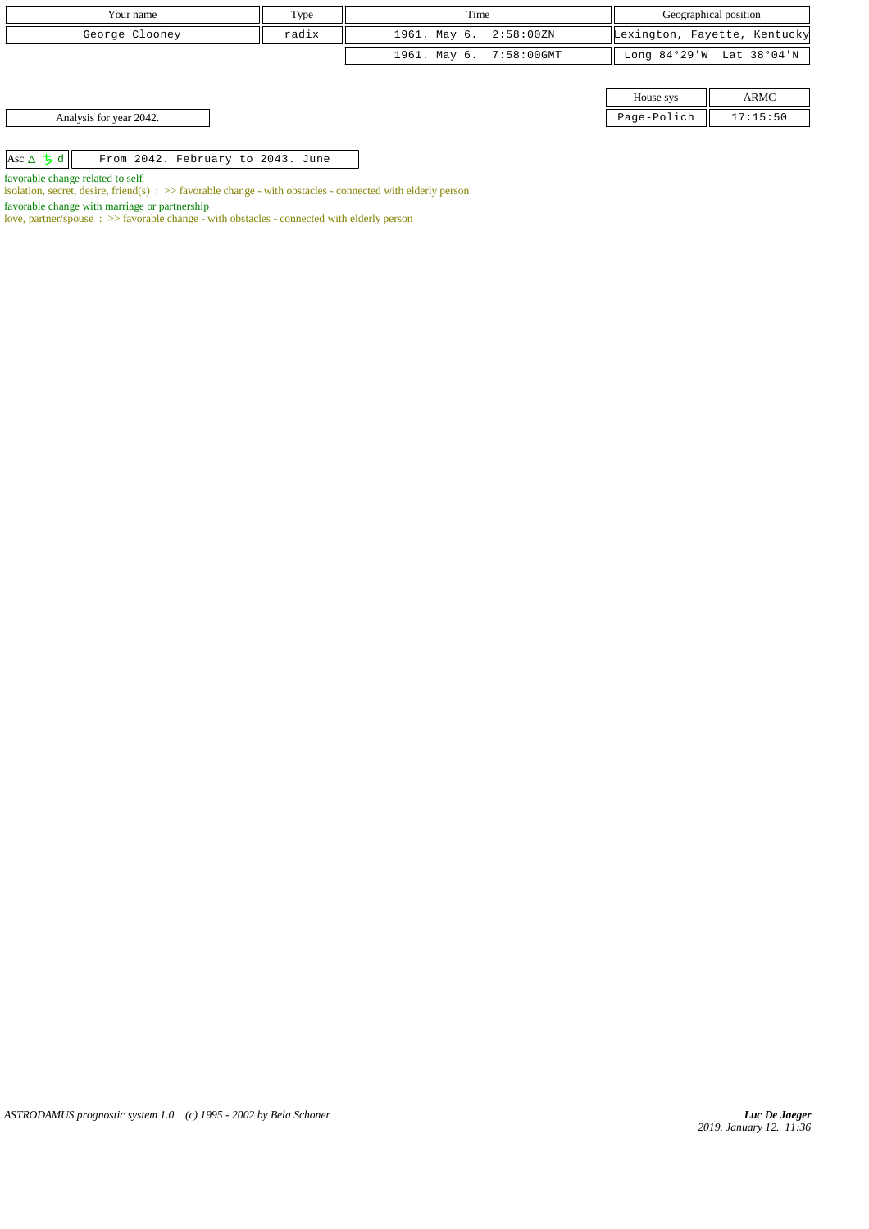| Your name                                             | Type  | Time                    |  | Geographical position |                              |
|-------------------------------------------------------|-------|-------------------------|--|-----------------------|------------------------------|
| George Clooney                                        | radix | 1961. May 6. 2:58:00ZN  |  |                       | Lexington, Fayette, Kentucky |
|                                                       |       | 1961. May 6. 7:58:00GMT |  |                       | Long 84°29'W Lat 38°04'N     |
|                                                       |       |                         |  |                       |                              |
|                                                       |       |                         |  | House sys             | <b>ARMC</b>                  |
| Analysis for year 2042.                               |       |                         |  | Page-Polich           | 17:15:50                     |
|                                                       |       |                         |  |                       |                              |
| Asc $\Delta$ 5 d<br>From 2042. February to 2043. June |       |                         |  |                       |                              |

favorable change related to self

isolation, secret, desire, friend(s) : >> favorable change - with obstacles - connected with elderly person

favorable change with marriage or partnership

love, partner/spouse : >> favorable change - with obstacles - connected with elderly person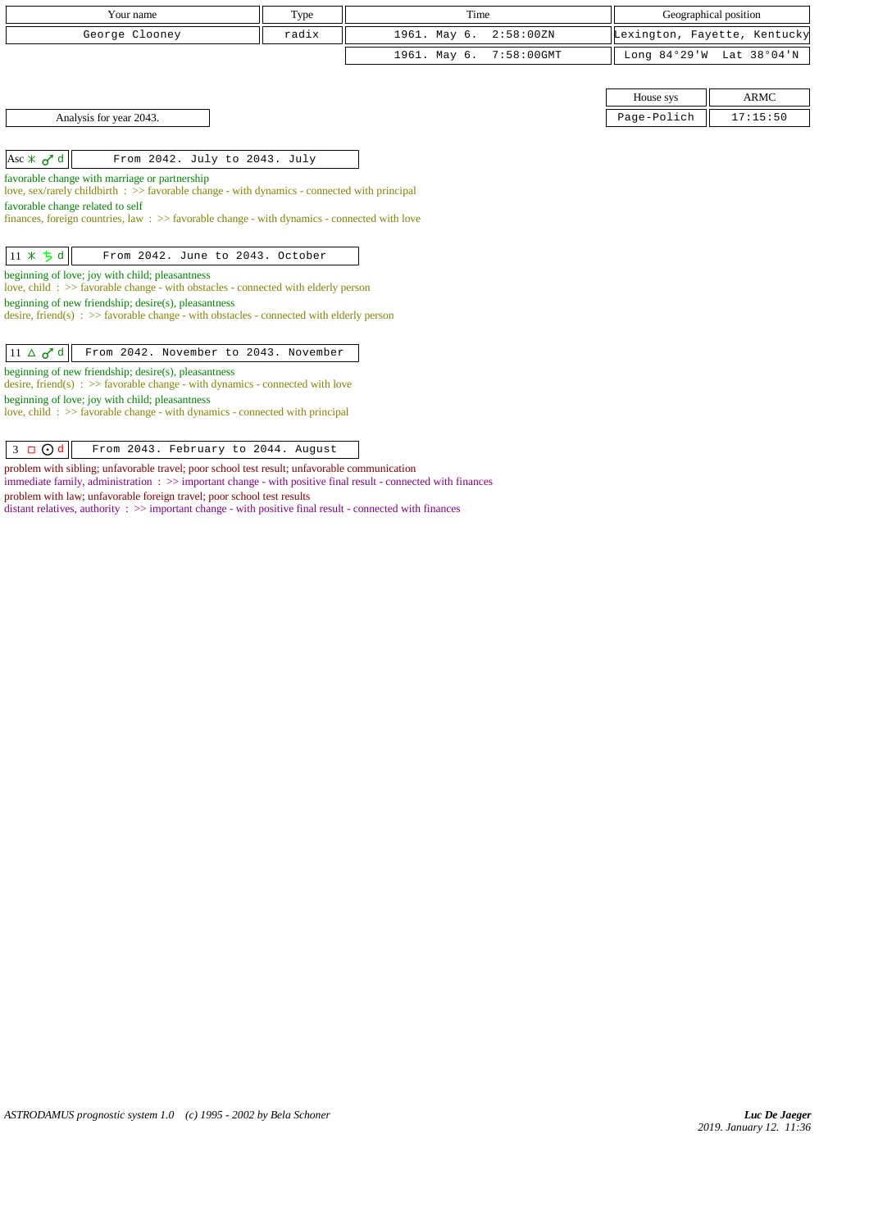| Your name                                                                                                                                           | Type  | Time         |               |             | Geographical position        |
|-----------------------------------------------------------------------------------------------------------------------------------------------------|-------|--------------|---------------|-------------|------------------------------|
| George Clooney                                                                                                                                      | radix | 1961. May 6. | 2:58:00 ZN    |             | Lexington, Fayette, Kentucky |
|                                                                                                                                                     |       | 1961. May 6. | $7:58:00$ GMT |             | Long 84°29'W Lat 38°04'N     |
|                                                                                                                                                     |       |              |               |             |                              |
|                                                                                                                                                     |       |              |               | House sys   | <b>ARMC</b>                  |
| Analysis for year 2043.                                                                                                                             |       |              |               | Page-Polich | 17:15:50                     |
|                                                                                                                                                     |       |              |               |             |                              |
| Asc $\angle$ $\sigma$ <sup>d</sup><br>From 2042. July to 2043. July                                                                                 |       |              |               |             |                              |
| favorable change with marriage or partnership                                                                                                       |       |              |               |             |                              |
| love, sex/rarely childbirth : >> favorable change - with dynamics - connected with principal<br>favorable change related to self                    |       |              |               |             |                              |
| finances, foreign countries, law $\Rightarrow$ favorable change - with dynamics - connected with love                                               |       |              |               |             |                              |
|                                                                                                                                                     |       |              |               |             |                              |
| $11 * 5d$<br>From 2042. June to 2043. October                                                                                                       |       |              |               |             |                              |
| beginning of love; joy with child; pleasantness                                                                                                     |       |              |               |             |                              |
| love, child: >> favorable change - with obstacles - connected with elderly person                                                                   |       |              |               |             |                              |
| beginning of new friendship; desire(s), pleasantness<br>desire, friend(s) : $\gg$ favorable change - with obstacles - connected with elderly person |       |              |               |             |                              |
|                                                                                                                                                     |       |              |               |             |                              |
| From 2042. November to 2043. November<br>$11 \triangle \sigma^d$ d                                                                                  |       |              |               |             |                              |
| beginning of new friendship; desire(s), pleasantness                                                                                                |       |              |               |             |                              |
| desire, friend(s) : $\gg$ favorable change - with dynamics - connected with love                                                                    |       |              |               |             |                              |
| beginning of love; joy with child; pleasantness<br>love, child: $\gg$ favorable change - with dynamics - connected with principal                   |       |              |               |             |                              |
|                                                                                                                                                     |       |              |               |             |                              |
| $3 \Box$ $\odot$ d<br>From 2043. February to 2044. August                                                                                           |       |              |               |             |                              |

 $\Box$ problem with sibling; unfavorable travel; poor school test result; unfavorable communication immediate family, administration : >> important change - with positive final result - connected with finances problem with law; unfavorable foreign travel; poor school test results distant relatives, authority : >> important change - with positive final result - connected with finances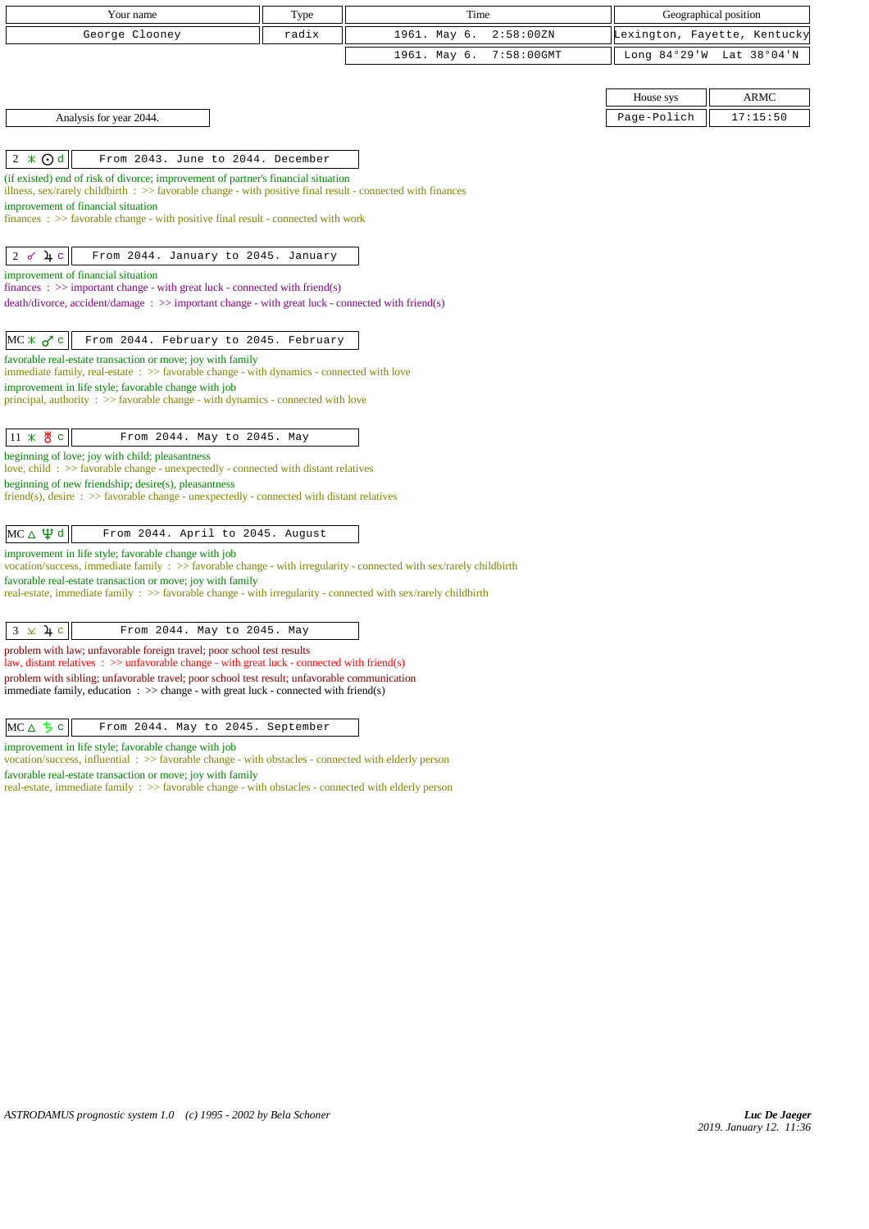| Your name                                                                                                                                                                         | Type  | Time         |               |                | Geographical position        |
|-----------------------------------------------------------------------------------------------------------------------------------------------------------------------------------|-------|--------------|---------------|----------------|------------------------------|
| George Clooney                                                                                                                                                                    | radix | 1961. May 6. | 2:58:00 ZN    |                | Lexington, Fayette, Kentucky |
|                                                                                                                                                                                   |       | 1961. May 6. | $7:58:00$ GMT | Long $84°29'W$ | Lat 38°04'N                  |
|                                                                                                                                                                                   |       |              |               |                |                              |
|                                                                                                                                                                                   |       |              |               | House sys      | <b>ARMC</b>                  |
| Analysis for year 2044.                                                                                                                                                           |       |              |               | Page-Polich    | 17:15:50                     |
|                                                                                                                                                                                   |       |              |               |                |                              |
| $2 \times 0d$<br>From 2043. June to 2044. December                                                                                                                                |       |              |               |                |                              |
| (if existed) end of risk of divorce; improvement of partner's financial situation                                                                                                 |       |              |               |                |                              |
| illness, sex/rarely childbirth $\Rightarrow$ favorable change - with positive final result - connected with finances<br>improvement of financial situation                        |       |              |               |                |                              |
| finances: >> favorable change - with positive final result - connected with work                                                                                                  |       |              |               |                |                              |
|                                                                                                                                                                                   |       |              |               |                |                              |
| $\frac{1}{2}$ c<br>From 2044. January to 2045. January<br>2d                                                                                                                      |       |              |               |                |                              |
| improvement of financial situation<br>finances : $\gg$ important change - with great luck - connected with friend(s)                                                              |       |              |               |                |                              |
| $death/divorce, accident/damage : \gg important change - with great luck - connected with friend(s)$                                                                              |       |              |               |                |                              |
|                                                                                                                                                                                   |       |              |               |                |                              |
| $MC * 2C$<br>From 2044. February to 2045. February                                                                                                                                |       |              |               |                |                              |
| favorable real-estate transaction or move; joy with family<br>immediate family, real-estate : >> favorable change - with dynamics - connected with love                           |       |              |               |                |                              |
| improvement in life style; favorable change with job                                                                                                                              |       |              |               |                |                              |
| principal, authority $\Rightarrow$ 5 favorable change - with dynamics - connected with love                                                                                       |       |              |               |                |                              |
|                                                                                                                                                                                   |       |              |               |                |                              |
| 11 * $\frac{H}{O}$ c<br>From 2044. May to 2045. May<br>beginning of love; joy with child; pleasantness                                                                            |       |              |               |                |                              |
| love, child: $\gg$ favorable change - unexpectedly - connected with distant relatives                                                                                             |       |              |               |                |                              |
| beginning of new friendship; desire(s), pleasantness                                                                                                                              |       |              |               |                |                              |
| $friend(s)$ , desire $\Rightarrow$ favorable change - unexpectedly - connected with distant relatives                                                                             |       |              |               |                |                              |
| $MC \triangle \Psi d$<br>From 2044. April to 2045. August                                                                                                                         |       |              |               |                |                              |
| improvement in life style; favorable change with job                                                                                                                              |       |              |               |                |                              |
| vocation/success, immediate family : >> favorable change - with irregularity - connected with sex/rarely childbirth<br>favorable real-estate transaction or move; joy with family |       |              |               |                |                              |
| real-estate, immediate family : >> favorable change - with irregularity - connected with sex/rarely childbirth                                                                    |       |              |               |                |                              |
|                                                                                                                                                                                   |       |              |               |                |                              |
| $3 \times 4c$<br>From 2044. May to 2045. May                                                                                                                                      |       |              |               |                |                              |
| problem with law; unfavorable foreign travel; poor school test results<br>law, distant relatives $\Rightarrow$ >> unfavorable change - with great luck - connected with friend(s) |       |              |               |                |                              |
| problem with sibling; unfavorable travel; poor school test result; unfavorable communication                                                                                      |       |              |               |                |                              |
| immediate family, education $\Rightarrow$ > change - with great luck - connected with friend(s)                                                                                   |       |              |               |                |                              |
| $MC \triangle 5c$<br>From 2044. May to 2045. September                                                                                                                            |       |              |               |                |                              |
| improvement in life style; favorable change with job                                                                                                                              |       |              |               |                |                              |
| vocation/success, influential $\Rightarrow$ Savorable change - with obstacles - connected with elderly person                                                                     |       |              |               |                |                              |
| favorable real-estate transaction or move; joy with family<br>real-estate, immediate family : >> favorable change - with obstacles - connected with elderly person                |       |              |               |                |                              |
|                                                                                                                                                                                   |       |              |               |                |                              |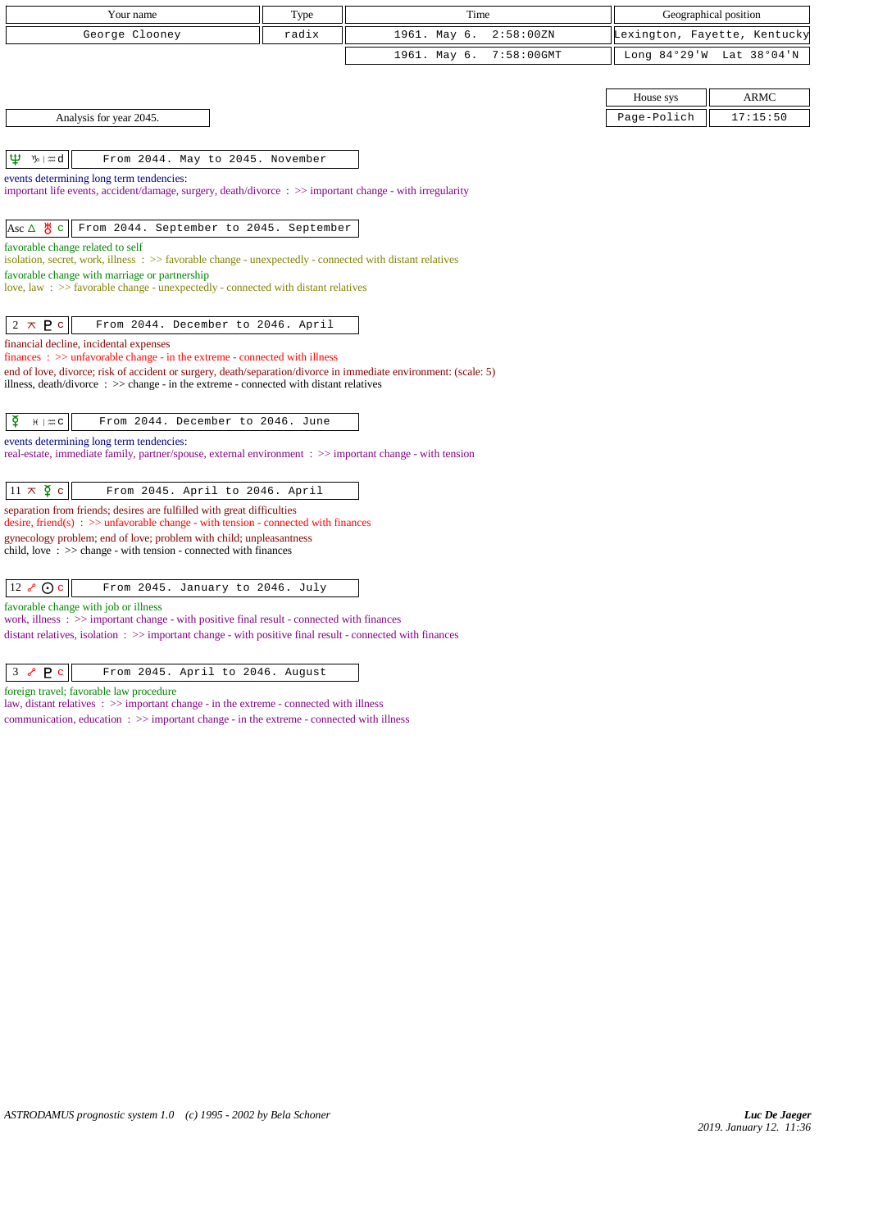| Your name                                                                                                                                                       | Type  | Time                       |                 | Geographical position        |
|-----------------------------------------------------------------------------------------------------------------------------------------------------------------|-------|----------------------------|-----------------|------------------------------|
| George Clooney                                                                                                                                                  | radix | 1961. May 6.<br>2:58:00 ZN |                 | Lexington, Fayette, Kentucky |
|                                                                                                                                                                 |       | 1961. May 6.<br>7:58:00GMT | Long $84°29'$ W | Lat 38°04'N                  |
|                                                                                                                                                                 |       |                            |                 |                              |
|                                                                                                                                                                 |       |                            | House sys       | <b>ARMC</b>                  |
| Analysis for year 2045.                                                                                                                                         |       |                            | Page-Polich     | 17:15:50                     |
|                                                                                                                                                                 |       |                            |                 |                              |
| Ψ<br>$\n  y$ $\infty$ $d$<br>From 2044. May to 2045. November                                                                                                   |       |                            |                 |                              |
| events determining long term tendencies:<br>important life events, accident/damage, surgery, death/divorce: >> important change - with irregularity             |       |                            |                 |                              |
|                                                                                                                                                                 |       |                            |                 |                              |
| $\text{Asc } \Delta \theta$ d<br>From 2044. September to 2045. September                                                                                        |       |                            |                 |                              |
| favorable change related to self<br>isolation, secret, work, illness : >> favorable change - unexpectedly - connected with distant relatives                    |       |                            |                 |                              |
| favorable change with marriage or partnership                                                                                                                   |       |                            |                 |                              |
| love, law: >> favorable change - unexpectedly - connected with distant relatives                                                                                |       |                            |                 |                              |
|                                                                                                                                                                 |       |                            |                 |                              |
| $2 \times P$<br>From 2044. December to 2046. April                                                                                                              |       |                            |                 |                              |
| financial decline, incidental expenses<br>$finances: \gg$ unfavorable change - in the extreme - connected with illness                                          |       |                            |                 |                              |
| end of love, divorce; risk of accident or surgery, death/separation/divorce in immediate environment: (scale: 5)                                                |       |                            |                 |                              |
| illness, $death/div$ orce: $\gg$ change - in the extreme - connected with distant relatives                                                                     |       |                            |                 |                              |
| From 2044. December to 2046. June                                                                                                                               |       |                            |                 |                              |
| ₽<br>$H \mid \mathfrak{m}$ C                                                                                                                                    |       |                            |                 |                              |
| events determining long term tendencies:<br>real-estate, immediate family, partner/spouse, external environment : >> important change - with tension            |       |                            |                 |                              |
|                                                                                                                                                                 |       |                            |                 |                              |
| $11 \times \xi$ c<br>From 2045. April to 2046. April                                                                                                            |       |                            |                 |                              |
| separation from friends; desires are fulfilled with great difficulties<br>desire, friend(s) : $\gg$ unfavorable change - with tension - connected with finances |       |                            |                 |                              |
| gynecology problem; end of love; problem with child; unpleasantness<br>child, love $\Rightarrow$ $\Rightarrow$ change - with tension - connected with finances  |       |                            |                 |                              |
|                                                                                                                                                                 |       |                            |                 |                              |
| $12 \, \sqrt{\ }$ O c<br>From 2045. January to 2046. July                                                                                                       |       |                            |                 |                              |
| favorable change with job or illness<br>work, illness $\Rightarrow$ > > important change - with positive final result - connected with finances                 |       |                            |                 |                              |

distant relatives, isolation : >> important change - with positive final result - connected with finances

|  | 3 $\rho$ P c $\parallel$ | From 2045. April to 2046. August |  |  |  |  |  |  |
|--|--------------------------|----------------------------------|--|--|--|--|--|--|
|--|--------------------------|----------------------------------|--|--|--|--|--|--|

foreign travel; favorable law procedure

law, distant relatives : >> important change - in the extreme - connected with illness communication, education : >> important change - in the extreme - connected with illness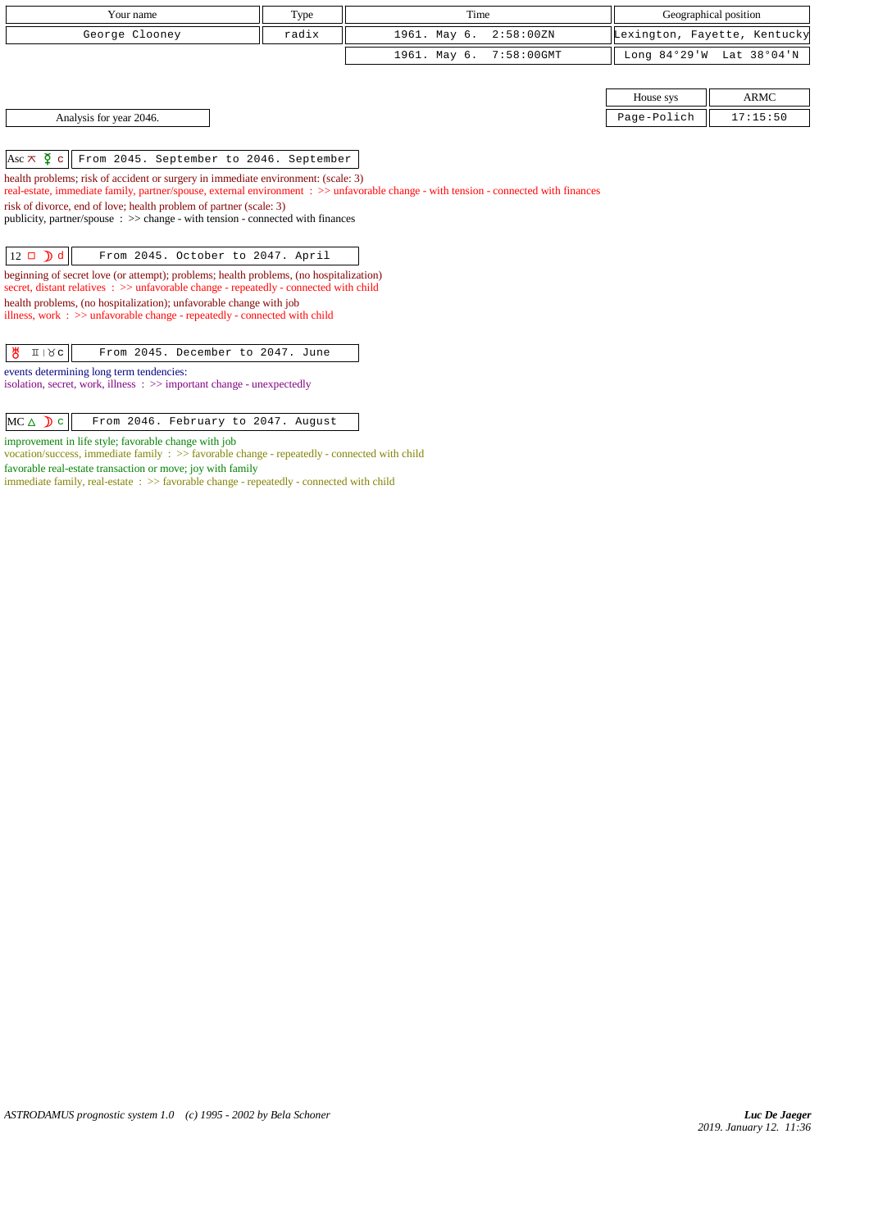| Your name                                                                                                                                                                       | Time<br>Type |                               |  | Geographical position |                              |  |  |
|---------------------------------------------------------------------------------------------------------------------------------------------------------------------------------|--------------|-------------------------------|--|-----------------------|------------------------------|--|--|
| George Clooney                                                                                                                                                                  | radix        | 1961. May 6.<br>2:58:00 ZN    |  |                       | Lexington, Fayette, Kentucky |  |  |
|                                                                                                                                                                                 |              | 1961. May 6.<br>$7:58:00$ GMT |  | Long $84°29'W$        | Lat 38°04'N                  |  |  |
|                                                                                                                                                                                 |              |                               |  |                       |                              |  |  |
|                                                                                                                                                                                 |              |                               |  | House sys             | <b>ARMC</b>                  |  |  |
| Analysis for year 2046.                                                                                                                                                         |              |                               |  | Page-Polich           | 17:15:50                     |  |  |
|                                                                                                                                                                                 |              |                               |  |                       |                              |  |  |
| Asc $\overline{\wedge}$ $\overline{Q}$ c<br>From 2045. September to 2046. September                                                                                             |              |                               |  |                       |                              |  |  |
| health problems; risk of accident or surgery in immediate environment: (scale: 3)                                                                                               |              |                               |  |                       |                              |  |  |
| real-estate, immediate family, partner/spouse, external environment : >> unfavorable change - with tension - connected with finances                                            |              |                               |  |                       |                              |  |  |
| risk of divorce, end of love; health problem of partner (scale: 3)                                                                                                              |              |                               |  |                       |                              |  |  |
| publicity, partner/spouse $\therefore$ $\gg$ change - with tension - connected with finances                                                                                    |              |                               |  |                       |                              |  |  |
| $12 \Box$ d<br>From 2045. October to 2047. April                                                                                                                                |              |                               |  |                       |                              |  |  |
|                                                                                                                                                                                 |              |                               |  |                       |                              |  |  |
| beginning of secret love (or attempt); problems; health problems, (no hospitalization)<br>secret, distant relatives : >> unfavorable change - repeatedly - connected with child |              |                               |  |                       |                              |  |  |
| health problems, (no hospitalization); unfavorable change with job                                                                                                              |              |                               |  |                       |                              |  |  |
| illness, work $\Rightarrow$ >> unfavorable change - repeatedly - connected with child                                                                                           |              |                               |  |                       |                              |  |  |

 $\frac{18}{6}$  II  $\frac{18}{3}$  From 2045. December to 2047. June

events determining long term tendencies:

isolation, secret, work, illness : >> important change - unexpectedly

| $MC \triangle \left D c \right$ From 2046. February to 2047. August |  |
|---------------------------------------------------------------------|--|
|---------------------------------------------------------------------|--|

improvement in life style; favorable change with job

vocation/success, immediate family : >> favorable change - repeatedly - connected with child favorable real-estate transaction or move; joy with family

immediate family, real-estate : >> favorable change - repeatedly - connected with child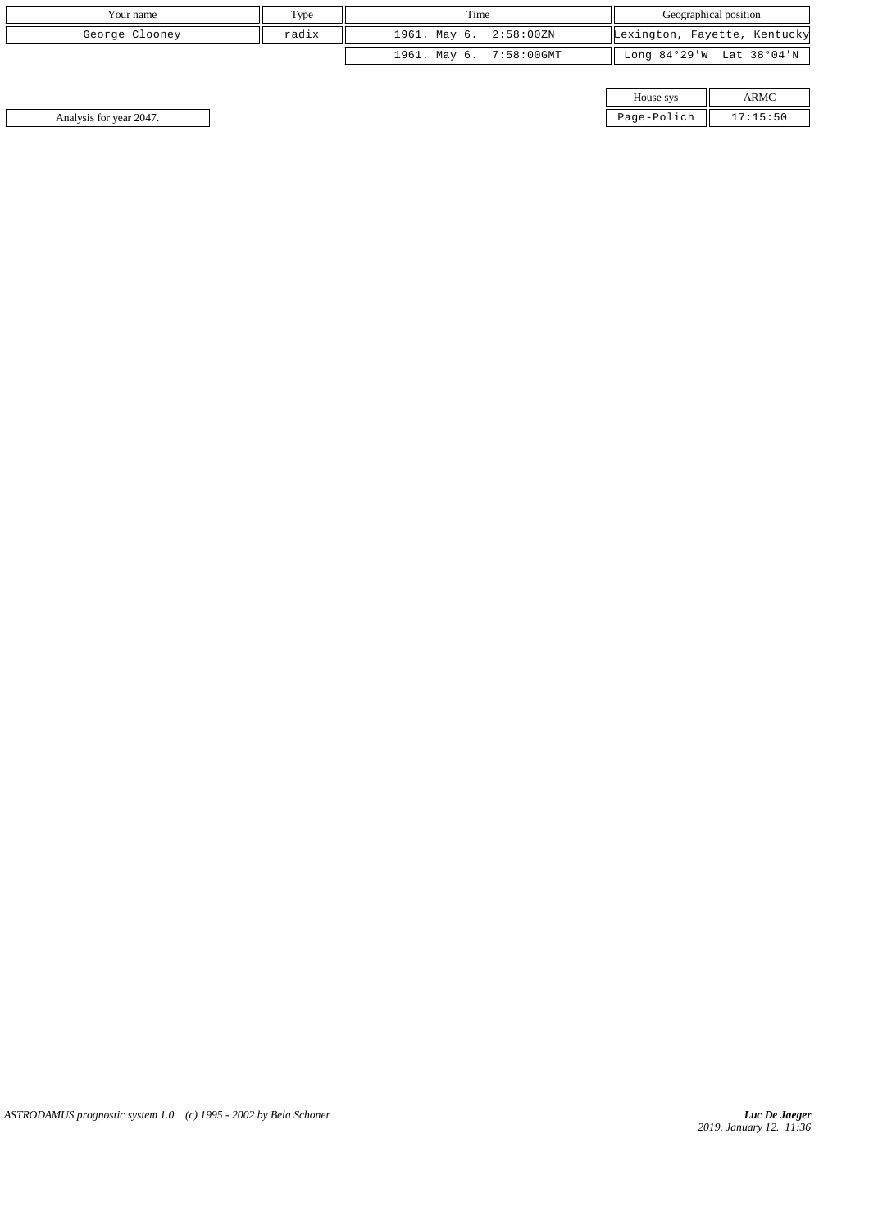| Your name      | Type  | Time                    | Geographical position        |
|----------------|-------|-------------------------|------------------------------|
| George Clooney | radix | 1961. May 6. 2:58:00ZN  | Lexington, Fayette, Kentucky |
|                |       | 1961. May 6. 7:58:00GMT | Long 84°29'W Lat 38°04'N     |

| House sys   |  |
|-------------|--|
| dnifoq-anas |  |

Analysis for year 2047. Page-Polich 17: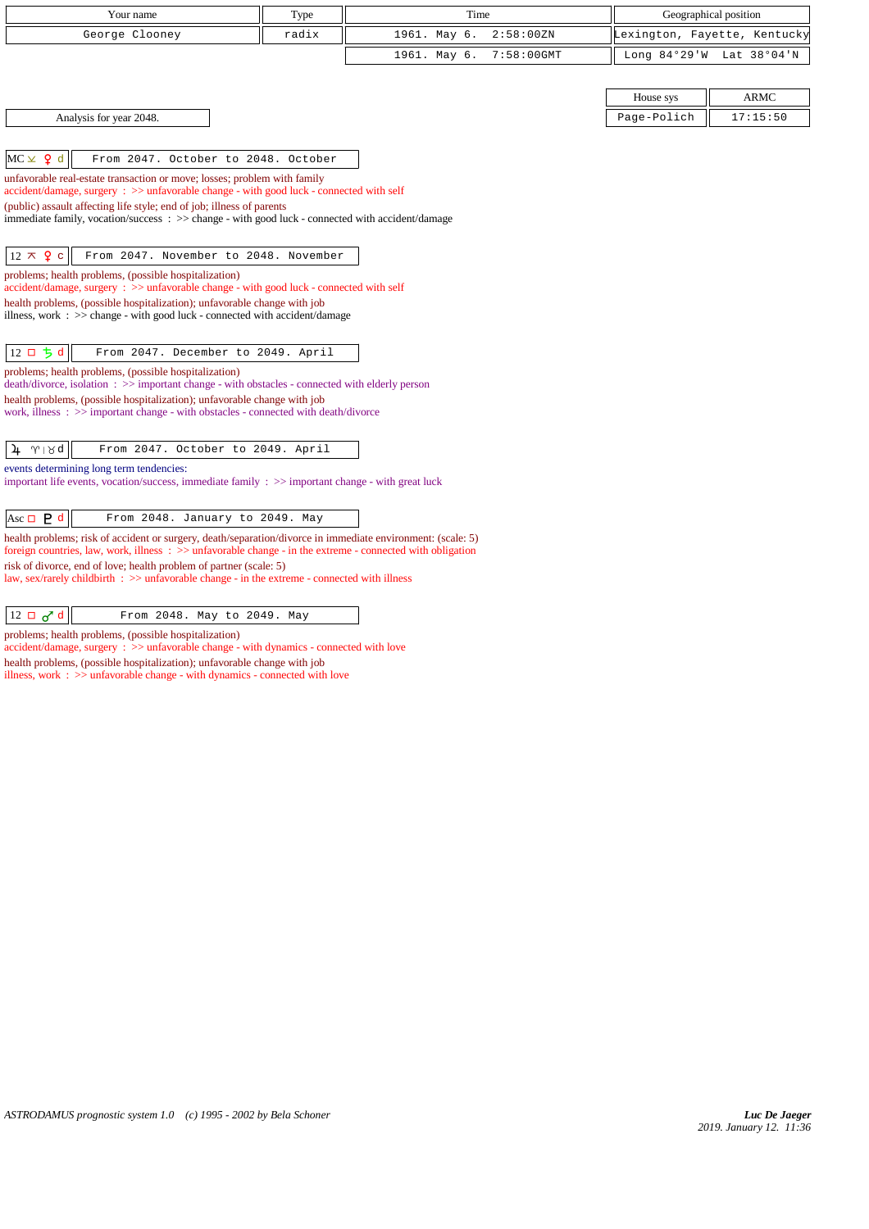| Your name                                                                                                                                                                                                                             | Type  | Time         |               |             |                              |
|---------------------------------------------------------------------------------------------------------------------------------------------------------------------------------------------------------------------------------------|-------|--------------|---------------|-------------|------------------------------|
|                                                                                                                                                                                                                                       |       |              |               |             | Geographical position        |
| George Clooney                                                                                                                                                                                                                        | radix | 1961. May 6. | 2:58:00 ZN    |             | Lexington, Fayette, Kentucky |
|                                                                                                                                                                                                                                       |       | 1961. May 6. | $7:58:00$ GMT |             | Long 84°29'W Lat 38°04'N     |
|                                                                                                                                                                                                                                       |       |              |               |             |                              |
|                                                                                                                                                                                                                                       |       |              |               | House sys   | ARMC                         |
| Analysis for year 2048.                                                                                                                                                                                                               |       |              |               | Page-Polich | 17:15:50                     |
|                                                                                                                                                                                                                                       |       |              |               |             |                              |
|                                                                                                                                                                                                                                       |       |              |               |             |                              |
| $MC \times 9 d$<br>From 2047. October to 2048. October                                                                                                                                                                                |       |              |               |             |                              |
| unfavorable real-estate transaction or move; losses; problem with family<br>accident/damage, surgery: >> unfavorable change - with good luck - connected with self                                                                    |       |              |               |             |                              |
| (public) assault affecting life style; end of job; illness of parents                                                                                                                                                                 |       |              |               |             |                              |
| immediate family, vocation/success: >> change - with good luck - connected with accident/damage                                                                                                                                       |       |              |               |             |                              |
|                                                                                                                                                                                                                                       |       |              |               |             |                              |
| $12 \times 9$ c<br>From 2047. November to 2048. November                                                                                                                                                                              |       |              |               |             |                              |
| problems; health problems, (possible hospitalization)                                                                                                                                                                                 |       |              |               |             |                              |
| $accident/damage$ , surgery : $\gg$ unfavorable change - with good luck - connected with self                                                                                                                                         |       |              |               |             |                              |
| health problems, (possible hospitalization); unfavorable change with job<br>illness, work : $\gg$ change - with good luck - connected with accident/damage                                                                            |       |              |               |             |                              |
|                                                                                                                                                                                                                                       |       |              |               |             |                              |
| $12$ ロ ち d<br>From 2047. December to 2049. April                                                                                                                                                                                      |       |              |               |             |                              |
| problems; health problems, (possible hospitalization)<br>death/divorce, isolation: >> important change - with obstacles - connected with elderly person                                                                               |       |              |               |             |                              |
| health problems, (possible hospitalization); unfavorable change with job                                                                                                                                                              |       |              |               |             |                              |
| work, illness: >> important change - with obstacles - connected with death/divorce                                                                                                                                                    |       |              |               |             |                              |
|                                                                                                                                                                                                                                       |       |              |               |             |                              |
| From 2047. October to 2049. April<br>$\gamma \mid \mathcal{R}$ q<br>4                                                                                                                                                                 |       |              |               |             |                              |
| events determining long term tendencies:                                                                                                                                                                                              |       |              |               |             |                              |
| important life events, vocation/success, immediate family $\Rightarrow$ important change - with great luck                                                                                                                            |       |              |               |             |                              |
|                                                                                                                                                                                                                                       |       |              |               |             |                              |
| Asc $\Box$ <b>P</b> d<br>From 2048. January to 2049. May                                                                                                                                                                              |       |              |               |             |                              |
| health problems; risk of accident or surgery, death/separation/divorce in immediate environment: (scale: 5)<br>foreign countries, law, work, illness $\Rightarrow$ >> unfavorable change - in the extreme - connected with obligation |       |              |               |             |                              |
| risk of divorce, end of love; health problem of partner (scale: 5)                                                                                                                                                                    |       |              |               |             |                              |
| law, sex/rarely childbirth $\therefore$ $\gg$ unfavorable change - in the extreme - connected with illness                                                                                                                            |       |              |               |             |                              |
|                                                                                                                                                                                                                                       |       |              |               |             |                              |
| $12 \Box \sigma d$<br>From 2048. May to 2049. May                                                                                                                                                                                     |       |              |               |             |                              |

problems; health problems, (possible hospitalization) accident/damage, surgery : >> unfavorable change - with dynamics - connected with love health problems, (possible hospitalization); unfavorable change with job

illness, work : >> unfavorable change - with dynamics - connected with love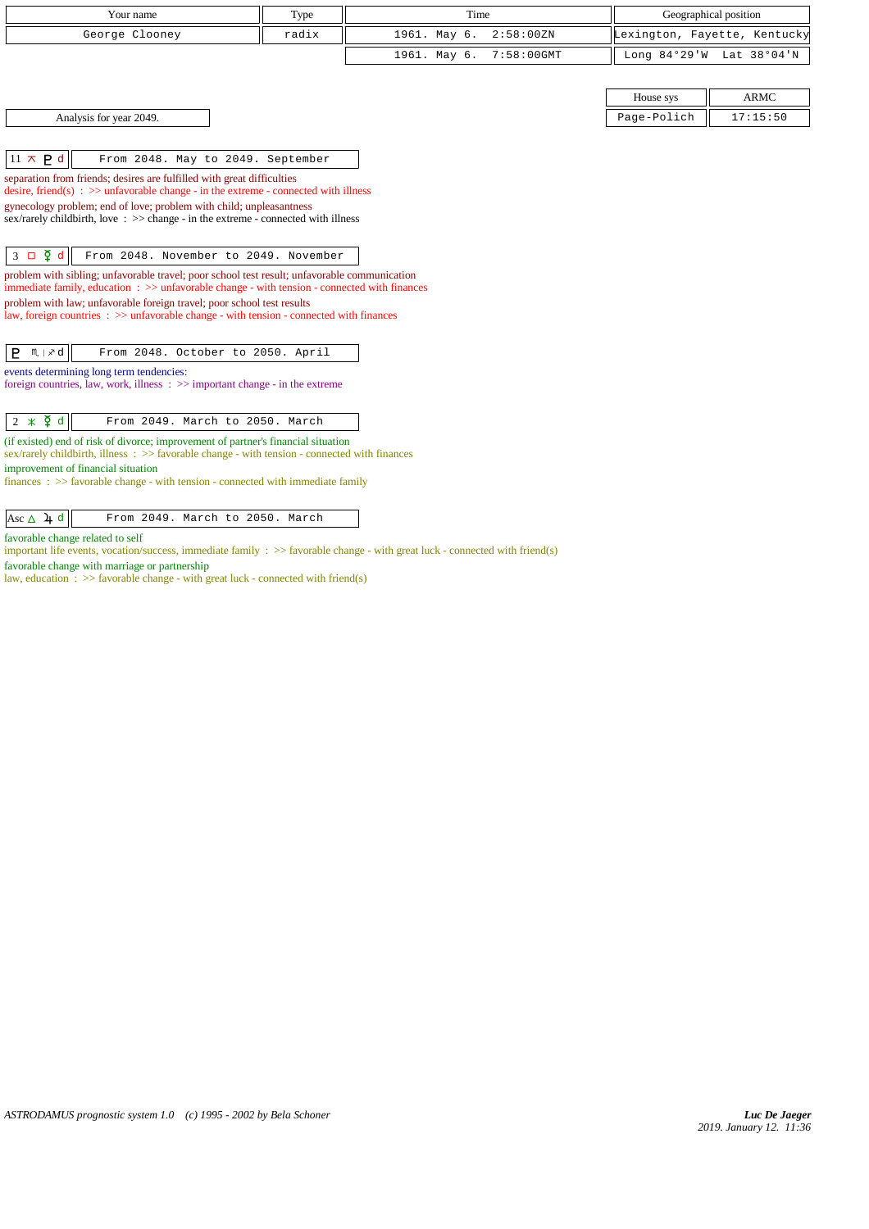| Your name                                                                                                                                                                         | Type  | Time         |               | Geographical position        |             |
|-----------------------------------------------------------------------------------------------------------------------------------------------------------------------------------|-------|--------------|---------------|------------------------------|-------------|
| George Clooney                                                                                                                                                                    | radix | 1961. May 6. | 2:58:00 ZN    | Lexington, Fayette, Kentucky |             |
|                                                                                                                                                                                   |       | 1961. May 6. | $7:58:00$ GMT | Long 84°29'W Lat 38°04'N     |             |
|                                                                                                                                                                                   |       |              |               |                              |             |
|                                                                                                                                                                                   |       |              |               | House sys                    | <b>ARMC</b> |
| Analysis for year 2049.                                                                                                                                                           |       |              |               | Page-Polich                  | 17:15:50    |
|                                                                                                                                                                                   |       |              |               |                              |             |
| $11 \times P d$<br>From 2048. May to 2049. September                                                                                                                              |       |              |               |                              |             |
| separation from friends; desires are fulfilled with great difficulties                                                                                                            |       |              |               |                              |             |
| desire, friend(s) : $\gg$ unfavorable change - in the extreme - connected with illness                                                                                            |       |              |               |                              |             |
| gynecology problem; end of love; problem with child; unpleasantness<br>sex/rarely childbirth, love $\Rightarrow$ $\Rightarrow$ change - in the extreme - connected with illness   |       |              |               |                              |             |
|                                                                                                                                                                                   |       |              |               |                              |             |
|                                                                                                                                                                                   |       |              |               |                              |             |
| $3 \Box \Phi d$<br>From 2048. November to 2049. November                                                                                                                          |       |              |               |                              |             |
| problem with sibling; unfavorable travel; poor school test result; unfavorable communication                                                                                      |       |              |               |                              |             |
| immediate family, education $\Rightarrow$ > unfavorable change - with tension - connected with finances                                                                           |       |              |               |                              |             |
| problem with law; unfavorable foreign travel; poor school test results                                                                                                            |       |              |               |                              |             |
| law, foreign countries $\Rightarrow$ > unfavorable change - with tension - connected with finances                                                                                |       |              |               |                              |             |
|                                                                                                                                                                                   |       |              |               |                              |             |
| $P$ $M \times d$<br>From 2048. October to 2050. April                                                                                                                             |       |              |               |                              |             |
| events determining long term tendencies:                                                                                                                                          |       |              |               |                              |             |
| foreign countries, law, work, illness $\Rightarrow$ important change - in the extreme                                                                                             |       |              |               |                              |             |
|                                                                                                                                                                                   |       |              |               |                              |             |
|                                                                                                                                                                                   |       |              |               |                              |             |
| $2 * \xi d$<br>From 2049. March to 2050. March                                                                                                                                    |       |              |               |                              |             |
| (if existed) end of risk of divorce; improvement of partner's financial situation<br>sex/rarely childbirth, illness: >> favorable change - with tension - connected with finances |       |              |               |                              |             |
| improvement of financial situation                                                                                                                                                |       |              |               |                              |             |
| $finances : \gg$ favorable change - with tension - connected with immediate family                                                                                                |       |              |               |                              |             |
|                                                                                                                                                                                   |       |              |               |                              |             |
| Asc $\Delta$ 4 d<br>From 2049. March to 2050. March                                                                                                                               |       |              |               |                              |             |
|                                                                                                                                                                                   |       |              |               |                              |             |

favorable change related to self

important life events, vocation/success, immediate family : >> favorable change - with great luck - connected with friend(s)

favorable change with marriage or partnership

law, education :  $\gg$  favorable change - with great luck - connected with friend(s)